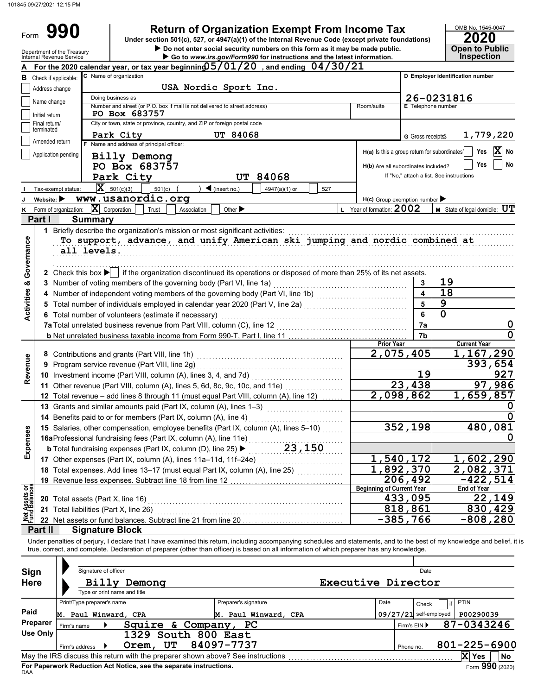Form 990

**Return of Organization Exempt From Income Tax 990 <sup>2020</sup> Under section 501(c), 527, or 4947(a)(1) of the Internal Revenue Code (except private foundations)**

OMB No. 1545-0047

| Department of the Treasury<br>Internal Revenue Service | Do not enter social security numbers on this form as it may be made public.<br>Go to www.irs.gov/Form990 for instructions and the latest information.                      |                                                           |                           | <b>Open to Public</b><br><b>Inspection</b> |
|--------------------------------------------------------|----------------------------------------------------------------------------------------------------------------------------------------------------------------------------|-----------------------------------------------------------|---------------------------|--------------------------------------------|
|                                                        | For the 2020 calendar year, or tax year beginning 05/01/20, and ending 04/30/21                                                                                            |                                                           |                           |                                            |
| Check if applicable:<br>в                              | C Name of organization                                                                                                                                                     |                                                           |                           | D Employer identification number           |
| Address change                                         | USA Nordic Sport Inc.                                                                                                                                                      |                                                           |                           |                                            |
|                                                        | Doing business as                                                                                                                                                          |                                                           |                           | 26-0231816                                 |
| Name change                                            | Number and street (or P.O. box if mail is not delivered to street address)                                                                                                 | Room/suite                                                | <b>E</b> Telephone number |                                            |
| Initial return                                         | PO Box 683757                                                                                                                                                              |                                                           |                           |                                            |
| Final return/<br>terminated                            | City or town, state or province, country, and ZIP or foreign postal code                                                                                                   |                                                           |                           |                                            |
|                                                        | <b>UT 84068</b><br>Park City                                                                                                                                               |                                                           | G Gross receipts\$        | 1,779,220                                  |
| Amended return                                         | F Name and address of principal officer:                                                                                                                                   | H(a) Is this a group return for subordinates <sup>1</sup> |                           | $\overline{\mathbf{X}}$ No<br>Yes          |
| Application pending                                    | Billy Demong                                                                                                                                                               |                                                           |                           |                                            |
|                                                        | PO Box 683757                                                                                                                                                              | H(b) Are all subordinates included?                       |                           | Yes<br>No                                  |
|                                                        | Park City<br><b>UT 84068</b>                                                                                                                                               |                                                           |                           | If "No," attach a list. See instructions   |
| Tax-exempt status:                                     | $ \mathbf{X} $ 501(c)(3)<br>$\blacktriangleleft$ (insert no.)<br>501(c)<br>4947(a)(1) or<br>527                                                                            |                                                           |                           |                                            |
| Website: $\blacktriangleright$                         | www.usanordic.org                                                                                                                                                          | $H(c)$ Group exemption number                             |                           |                                            |
| Form of organization:<br>κ                             | $ \mathbf{X} $ Corporation<br>Trust<br>Association<br>Other $\blacktriangleright$                                                                                          | L Year of formation: 2002                                 |                           | <b>M</b> State of legal domicile: $UT$     |
| Part I                                                 | <b>Summary</b>                                                                                                                                                             |                                                           |                           |                                            |
|                                                        | 1 Briefly describe the organization's mission or most significant activities:                                                                                              |                                                           |                           |                                            |
|                                                        | To support, advance, and unify American ski jumping and nordic combined at                                                                                                 |                                                           |                           |                                            |
|                                                        | all levels.                                                                                                                                                                |                                                           |                           |                                            |
|                                                        |                                                                                                                                                                            |                                                           |                           |                                            |
| Governance                                             | 2 Check this box $\blacktriangleright$ if the organization discontinued its operations or disposed of more than 25% of its net assets.                                     |                                                           |                           |                                            |
|                                                        | 3 Number of voting members of the governing body (Part VI, line 1a)                                                                                                        |                                                           | 3                         | 19                                         |
| <b>Activities &amp;</b>                                | 4 Number of independent voting members of the governing body (Part VI, line 1b) [11] [11] Number of independent voting                                                     |                                                           | $\blacktriangle$          | 18                                         |
|                                                        | 5 Total number of individuals employed in calendar year 2020 (Part V, line 2a) [[[[[[[[[[[[[[[[[[[[[[[[[[[[[[                                                              |                                                           | 5                         | $\overline{9}$                             |
|                                                        | 6 Total number of volunteers (estimate if necessary)                                                                                                                       |                                                           | 6                         | $\Omega$                                   |
|                                                        |                                                                                                                                                                            |                                                           | 7a                        | 0                                          |
|                                                        |                                                                                                                                                                            |                                                           | 7b                        | $\mathbf 0$                                |
|                                                        |                                                                                                                                                                            | <b>Prior Year</b>                                         |                           | <b>Current Year</b>                        |
|                                                        |                                                                                                                                                                            | 2,075,405                                                 |                           | 1,167,290                                  |
| Revenue                                                | 9 Program service revenue (Part VIII, line 2g)                                                                                                                             |                                                           |                           | 393,654                                    |
|                                                        |                                                                                                                                                                            |                                                           | 19                        | 927                                        |
|                                                        | 11 Other revenue (Part VIII, column (A), lines 5, 6d, 8c, 9c, 10c, and 11e)                                                                                                |                                                           | 23,438                    | 97,986                                     |
|                                                        | 12 Total revenue - add lines 8 through 11 (must equal Part VIII, column (A), line 12)                                                                                      | $\overline{2,098,862}$                                    |                           | 1,659,857                                  |
|                                                        | 13 Grants and similar amounts paid (Part IX, column (A), lines 1-3)                                                                                                        |                                                           |                           |                                            |
|                                                        | 14 Benefits paid to or for members (Part IX, column (A), line 4)                                                                                                           |                                                           |                           | 0                                          |
|                                                        | 15 Salaries, other compensation, employee benefits (Part IX, column (A), lines 5-10)                                                                                       |                                                           | 352,198                   | 480,081                                    |
| 96                                                     | 16aProfessional fundraising fees (Part IX, column (A), line 11e)                                                                                                           |                                                           |                           |                                            |
| Exper                                                  | 23,150<br><b>b</b> Total fundraising expenses (Part IX, column (D), line 25) $\blacktriangleright$                                                                         |                                                           |                           |                                            |
|                                                        | 17 Other expenses (Part IX, column (A), lines 11a-11d, 11f-24e)                                                                                                            | 1,540,172                                                 |                           | 1,602,290                                  |
|                                                        | 18 Total expenses. Add lines 13-17 (must equal Part IX, column (A), line 25)                                                                                               | $\overline{1}$ , 892, 370                                 |                           | 2,082,371                                  |
|                                                        | 19 Revenue less expenses. Subtract line 18 from line 12                                                                                                                    |                                                           | 206,492                   | $-422,514$                                 |
| Net Assets or<br>Fund Balances                         |                                                                                                                                                                            | <b>Beginning of Current Year</b>                          |                           | End of Year                                |
|                                                        | <b>20</b> Total assets (Part X, line 16)                                                                                                                                   |                                                           | 433,095                   | 22,149                                     |
|                                                        | 21 Total liabilities (Part X, line 26)                                                                                                                                     |                                                           | 818,861                   | 830,429                                    |
|                                                        | 22 Net assets or fund balances. Subtract line 21 from line 20                                                                                                              | $-385,766$                                                |                           | $-808,280$                                 |
| Part II                                                | <b>Signature Block</b>                                                                                                                                                     |                                                           |                           |                                            |
|                                                        | Under penalties of perjury, I declare that I have examined this return, including accompanying schedules and statements, and to the best of my knowledge and belief, it is |                                                           |                           |                                            |
|                                                        | true, correct, and complete. Declaration of preparer (other than officer) is based on all information of which preparer has any knowledge.                                 |                                                           |                           |                                            |
|                                                        |                                                                                                                                                                            |                                                           |                           |                                            |
| Sign                                                   | Signature of officer                                                                                                                                                       |                                                           | Date                      |                                            |
| <b>Here</b>                                            | <b>Billy Demong</b>                                                                                                                                                        | Executive Director                                        |                           |                                            |
|                                                        | Type or print name and title                                                                                                                                               |                                                           |                           |                                            |
|                                                        | Print/Type preparer's name<br>Preparer's signature                                                                                                                         | Date                                                      | Check                     | <b>PTIN</b><br>if                          |
| Paid                                                   | M. Paul Winward, CPA<br>M. Paul Winward, CPA                                                                                                                               |                                                           | 09/27/21 self-employed    | P00290039                                  |
| <b>Preparer</b>                                        | Squire & Company, PC<br>Firm's name                                                                                                                                        |                                                           | Firm's EIN ▶              | 87-0343246                                 |
| <b>Use Only</b>                                        | 1329 South 800 East                                                                                                                                                        |                                                           |                           |                                            |
|                                                        | Orem, UT<br>84097-7737<br>Firm's address ▶                                                                                                                                 |                                                           | Phone no.                 | 801-225-6900                               |
|                                                        |                                                                                                                                                                            |                                                           |                           | X Yes<br><b>No</b>                         |

| Sign<br><b>Here</b>                                                                                         | Signature of officer       | Billy Demong<br>Type or print name and title |                                                                    | Date<br>Executive Director |  |           |                          |              |                 |
|-------------------------------------------------------------------------------------------------------------|----------------------------|----------------------------------------------|--------------------------------------------------------------------|----------------------------|--|-----------|--------------------------|--------------|-----------------|
|                                                                                                             | Print/Type preparer's name |                                              |                                                                    | Preparer's signature       |  | Date      | Check                    | <b>PTIN</b>  |                 |
| Paid                                                                                                        | M.                         | Paul Winward, CPA                            |                                                                    | M. Paul Winward, CPA       |  |           | $09/27/21$ self-employed | P00290039    |                 |
| Preparer                                                                                                    | Firm's name                |                                              | Squire & Company,                                                  | <b>PC</b>                  |  |           | Firm's EIN ▶             | 87-0343246   |                 |
| Use Only                                                                                                    |                            | 1329                                         | South 800 East                                                     |                            |  |           |                          |              |                 |
|                                                                                                             | Firm's address             | Orem,                                        | UT                                                                 | 84097-7737                 |  | Phone no. |                          | 801-225-6900 |                 |
| $\mathbf x$<br>May the IRS discuss this return with the preparer shown above? See instructions<br>No<br>Yes |                            |                                              |                                                                    |                            |  |           |                          |              |                 |
| DAA                                                                                                         |                            |                                              | For Paperwork Reduction Act Notice, see the separate instructions. |                            |  |           |                          |              | Form 990 (2020) |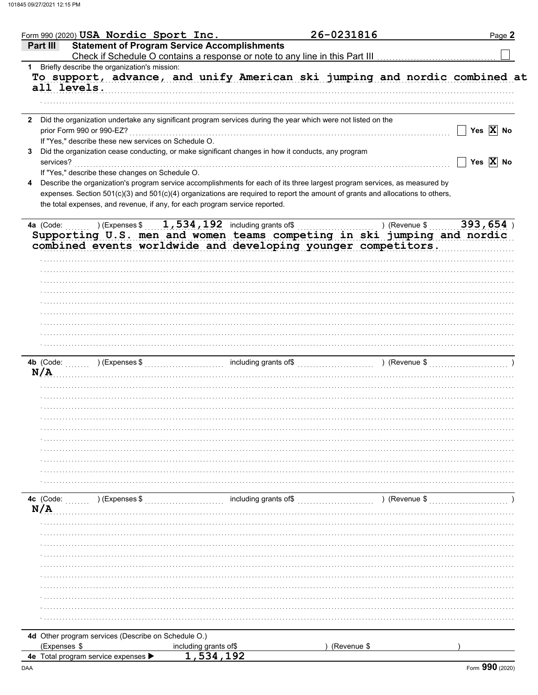|                                  | Form 990 (2020) $USA$ Nordic Sport Inc.                                                                        |                                                                                                      |                       | 26-0231816                                                                                                                     | Page 2                |
|----------------------------------|----------------------------------------------------------------------------------------------------------------|------------------------------------------------------------------------------------------------------|-----------------------|--------------------------------------------------------------------------------------------------------------------------------|-----------------------|
| Part III                         | <b>Statement of Program Service Accomplishments</b>                                                            |                                                                                                      |                       |                                                                                                                                |                       |
|                                  | 1 Briefly describe the organization's mission:                                                                 |                                                                                                      |                       |                                                                                                                                |                       |
|                                  |                                                                                                                |                                                                                                      |                       | To support, advance, and unify American ski jumping and nordic combined at                                                     |                       |
|                                  | all levels.                                                                                                    |                                                                                                      |                       |                                                                                                                                |                       |
|                                  |                                                                                                                |                                                                                                      |                       |                                                                                                                                |                       |
|                                  |                                                                                                                |                                                                                                      |                       |                                                                                                                                |                       |
|                                  | 2 Did the organization undertake any significant program services during the year which were not listed on the |                                                                                                      |                       |                                                                                                                                |                       |
|                                  | prior Form 990 or 990-EZ?                                                                                      |                                                                                                      |                       |                                                                                                                                | Yes $\overline{X}$ No |
|                                  | If "Yes," describe these new services on Schedule O.                                                           |                                                                                                      |                       |                                                                                                                                |                       |
|                                  | Did the organization cease conducting, or make significant changes in how it conducts, any program             |                                                                                                      |                       |                                                                                                                                |                       |
| services?                        |                                                                                                                |                                                                                                      |                       |                                                                                                                                | Yes $\overline{X}$ No |
|                                  | If "Yes," describe these changes on Schedule O.                                                                |                                                                                                      |                       |                                                                                                                                |                       |
|                                  |                                                                                                                |                                                                                                      |                       | Describe the organization's program service accomplishments for each of its three largest program services, as measured by     |                       |
|                                  |                                                                                                                |                                                                                                      |                       | expenses. Section 501(c)(3) and 501(c)(4) organizations are required to report the amount of grants and allocations to others, |                       |
|                                  | the total expenses, and revenue, if any, for each program service reported.                                    |                                                                                                      |                       |                                                                                                                                |                       |
|                                  |                                                                                                                |                                                                                                      |                       |                                                                                                                                |                       |
| 4a (Code:                        |                                                                                                                | $\boxed{\phantom{+}$ ) (Expenses $\$\,\ldots\,1$ , $534$ , $192$ including grants of $\$\,\ldots\,.$ |                       | ) (Revenue \$                                                                                                                  | $393,654$ )           |
|                                  |                                                                                                                |                                                                                                      |                       | Supporting U.S. men and women teams competing in ski jumping and nordic                                                        |                       |
|                                  |                                                                                                                |                                                                                                      |                       | combined events worldwide and developing younger competitors.                                                                  |                       |
|                                  |                                                                                                                |                                                                                                      |                       |                                                                                                                                |                       |
|                                  |                                                                                                                |                                                                                                      |                       |                                                                                                                                |                       |
|                                  |                                                                                                                |                                                                                                      |                       |                                                                                                                                |                       |
|                                  |                                                                                                                |                                                                                                      |                       |                                                                                                                                |                       |
|                                  |                                                                                                                |                                                                                                      |                       |                                                                                                                                |                       |
|                                  |                                                                                                                |                                                                                                      |                       |                                                                                                                                |                       |
|                                  |                                                                                                                |                                                                                                      |                       |                                                                                                                                |                       |
|                                  |                                                                                                                |                                                                                                      |                       |                                                                                                                                |                       |
|                                  |                                                                                                                |                                                                                                      |                       |                                                                                                                                |                       |
|                                  |                                                                                                                |                                                                                                      |                       |                                                                                                                                |                       |
|                                  |                                                                                                                |                                                                                                      |                       |                                                                                                                                |                       |
| N/A                              |                                                                                                                |                                                                                                      |                       | 4b (Code: William Code: 1991) (Expenses \$ 1991) (Expenses \$ 1991) (Revenue \$ 1991) (Revenue \$ 1991) (Revenue \$ 1991)      |                       |
|                                  |                                                                                                                |                                                                                                      |                       |                                                                                                                                |                       |
|                                  |                                                                                                                |                                                                                                      |                       |                                                                                                                                |                       |
|                                  |                                                                                                                |                                                                                                      |                       |                                                                                                                                |                       |
|                                  |                                                                                                                |                                                                                                      |                       |                                                                                                                                |                       |
|                                  |                                                                                                                |                                                                                                      |                       |                                                                                                                                |                       |
|                                  |                                                                                                                |                                                                                                      |                       |                                                                                                                                |                       |
|                                  |                                                                                                                |                                                                                                      |                       |                                                                                                                                |                       |
|                                  |                                                                                                                |                                                                                                      |                       |                                                                                                                                |                       |
|                                  |                                                                                                                |                                                                                                      |                       |                                                                                                                                |                       |
|                                  |                                                                                                                |                                                                                                      |                       |                                                                                                                                |                       |
|                                  |                                                                                                                |                                                                                                      |                       |                                                                                                                                |                       |
|                                  |                                                                                                                |                                                                                                      |                       |                                                                                                                                |                       |
|                                  |                                                                                                                |                                                                                                      |                       |                                                                                                                                |                       |
|                                  | ) (Expenses \$                                                                                                 |                                                                                                      | including grants of\$ | (Revenue \$) (Revenue \$)                                                                                                      |                       |
|                                  |                                                                                                                |                                                                                                      |                       |                                                                                                                                |                       |
|                                  |                                                                                                                |                                                                                                      |                       |                                                                                                                                |                       |
|                                  |                                                                                                                |                                                                                                      |                       |                                                                                                                                |                       |
|                                  |                                                                                                                |                                                                                                      |                       |                                                                                                                                |                       |
|                                  |                                                                                                                |                                                                                                      |                       |                                                                                                                                |                       |
|                                  |                                                                                                                |                                                                                                      |                       |                                                                                                                                |                       |
|                                  |                                                                                                                |                                                                                                      |                       |                                                                                                                                |                       |
|                                  |                                                                                                                |                                                                                                      |                       |                                                                                                                                |                       |
|                                  |                                                                                                                |                                                                                                      |                       |                                                                                                                                |                       |
|                                  |                                                                                                                |                                                                                                      |                       |                                                                                                                                |                       |
|                                  |                                                                                                                |                                                                                                      |                       |                                                                                                                                |                       |
|                                  |                                                                                                                |                                                                                                      |                       |                                                                                                                                |                       |
|                                  |                                                                                                                |                                                                                                      |                       |                                                                                                                                |                       |
| 4c (Code:<br>N/A<br>(Expenses \$ | 4d Other program services (Describe on Schedule O.)                                                            | including grants of\$                                                                                |                       | (Revenue \$                                                                                                                    |                       |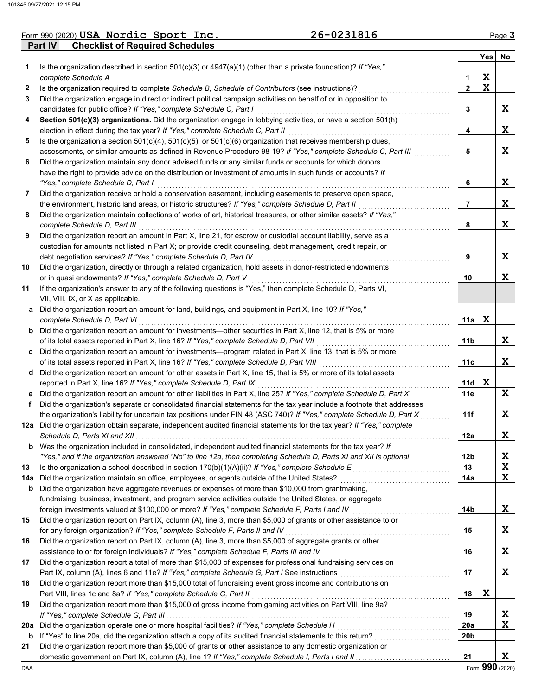|  | Form 990 (2020) USA Nordic Sport Inc.          | 26-0231816 | Page <b>3</b> |
|--|------------------------------------------------|------------|---------------|
|  | <b>Part IV Checklist of Required Schedules</b> |            |               |

|     |                                                                                                                                                                               |              | <b>Yes</b> | No |
|-----|-------------------------------------------------------------------------------------------------------------------------------------------------------------------------------|--------------|------------|----|
| 1.  | Is the organization described in section $501(c)(3)$ or $4947(a)(1)$ (other than a private foundation)? If "Yes,"                                                             |              |            |    |
|     | complete Schedule A                                                                                                                                                           | 1            | X          |    |
| 2   | Is the organization required to complete Schedule B, Schedule of Contributors (see instructions)?                                                                             | $\mathbf{2}$ | X          |    |
| 3   | Did the organization engage in direct or indirect political campaign activities on behalf of or in opposition to                                                              |              |            |    |
|     | candidates for public office? If "Yes," complete Schedule C, Part I                                                                                                           | 3            |            | X. |
| 4   | Section 501(c)(3) organizations. Did the organization engage in lobbying activities, or have a section 501(h)                                                                 |              |            |    |
|     | election in effect during the tax year? If "Yes," complete Schedule C, Part II                                                                                                | 4            |            | X. |
| 5   | Is the organization a section $501(c)(4)$ , $501(c)(5)$ , or $501(c)(6)$ organization that receives membership dues,                                                          |              |            |    |
|     | assessments, or similar amounts as defined in Revenue Procedure 98-19? If "Yes," complete Schedule C, Part III                                                                | 5            |            | X  |
| 6   | Did the organization maintain any donor advised funds or any similar funds or accounts for which donors                                                                       |              |            |    |
|     | have the right to provide advice on the distribution or investment of amounts in such funds or accounts? If                                                                   |              |            |    |
|     | "Yes," complete Schedule D, Part I                                                                                                                                            | 6            |            | X. |
| 7   | Did the organization receive or hold a conservation easement, including easements to preserve open space,                                                                     |              |            |    |
|     | the environment, historic land areas, or historic structures? If "Yes," complete Schedule D, Part II                                                                          | 7            |            | X. |
| 8   | Did the organization maintain collections of works of art, historical treasures, or other similar assets? If "Yes,"                                                           |              |            |    |
|     | complete Schedule D, Part III                                                                                                                                                 | 8            |            | X  |
| 9   | Did the organization report an amount in Part X, line 21, for escrow or custodial account liability, serve as a                                                               |              |            |    |
|     | custodian for amounts not listed in Part X; or provide credit counseling, debt management, credit repair, or                                                                  |              |            | X. |
| 10  | debt negotiation services? If "Yes," complete Schedule D, Part IV                                                                                                             | 9            |            |    |
|     | Did the organization, directly or through a related organization, hold assets in donor-restricted endowments<br>or in quasi endowments? If "Yes," complete Schedule D, Part V | 10           |            | X. |
| 11  | If the organization's answer to any of the following questions is "Yes," then complete Schedule D, Parts VI,                                                                  |              |            |    |
|     | VII, VIII, IX, or X as applicable.                                                                                                                                            |              |            |    |
|     | a Did the organization report an amount for land, buildings, and equipment in Part X, line 10? If "Yes,"                                                                      |              |            |    |
|     | complete Schedule D, Part VI                                                                                                                                                  | 11a          | X          |    |
|     | <b>b</b> Did the organization report an amount for investments—other securities in Part X, line 12, that is 5% or more                                                        |              |            |    |
|     | of its total assets reported in Part X, line 16? If "Yes," complete Schedule D, Part VII                                                                                      | 11b          |            | X. |
|     | c Did the organization report an amount for investments—program related in Part X, line 13, that is 5% or more                                                                |              |            |    |
|     | of its total assets reported in Part X, line 16? If "Yes," complete Schedule D, Part VIII [[[[[[[[[[[[[[[[[[[                                                                 | 11c          |            | X  |
|     | d Did the organization report an amount for other assets in Part X, line 15, that is 5% or more of its total assets                                                           |              |            |    |
|     | reported in Part X, line 16? If "Yes," complete Schedule D, Part IX                                                                                                           | 11d          | X          |    |
| е   | Did the organization report an amount for other liabilities in Part X, line 25? If "Yes," complete Schedule D, Part X                                                         | 11e          |            | X  |
| f   | Did the organization's separate or consolidated financial statements for the tax year include a footnote that addresses                                                       |              |            |    |
|     | the organization's liability for uncertain tax positions under FIN 48 (ASC 740)? If "Yes," complete Schedule D, Part X                                                        | 11f          |            | X. |
|     | 12a Did the organization obtain separate, independent audited financial statements for the tax year? If "Yes," complete                                                       |              |            |    |
|     |                                                                                                                                                                               | 12a          |            | X  |
| b   | Was the organization included in consolidated, independent audited financial statements for the tax year? If                                                                  |              |            |    |
|     | "Yes," and if the organization answered "No" to line 12a, then completing Schedule D, Parts XI and XII is optional                                                            | 12b          |            | X  |
| 13  |                                                                                                                                                                               | 13           |            | X  |
| 14a | Did the organization maintain an office, employees, or agents outside of the United States?                                                                                   | 14a          |            | X  |
| b   | Did the organization have aggregate revenues or expenses of more than \$10,000 from grantmaking,                                                                              |              |            |    |
|     | fundraising, business, investment, and program service activities outside the United States, or aggregate                                                                     |              |            |    |
|     | foreign investments valued at \$100,000 or more? If "Yes," complete Schedule F, Parts I and IV [[[[[[[[[[[[[[[                                                                | 14b          |            | X  |
| 15  | Did the organization report on Part IX, column (A), line 3, more than \$5,000 of grants or other assistance to or                                                             |              |            |    |
|     | for any foreign organization? If "Yes," complete Schedule F, Parts II and IV                                                                                                  | 15           |            | X  |
| 16  | Did the organization report on Part IX, column (A), line 3, more than \$5,000 of aggregate grants or other                                                                    |              |            |    |
|     | assistance to or for foreign individuals? If "Yes," complete Schedule F, Parts III and IV                                                                                     | 16           |            | X  |
| 17  | Did the organization report a total of more than \$15,000 of expenses for professional fundraising services on                                                                |              |            | X. |
| 18  | Did the organization report more than \$15,000 total of fundraising event gross income and contributions on                                                                   | 17           |            |    |
|     | Part VIII, lines 1c and 8a? If "Yes," complete Schedule G, Part II                                                                                                            | 18           | X          |    |
| 19  | Did the organization report more than \$15,000 of gross income from gaming activities on Part VIII, line 9a?                                                                  |              |            |    |
|     |                                                                                                                                                                               | 19           |            | X  |
| 20a |                                                                                                                                                                               | <b>20a</b>   |            | X  |
| b   |                                                                                                                                                                               | 20b          |            |    |
| 21  | Did the organization report more than \$5,000 of grants or other assistance to any domestic organization or                                                                   |              |            |    |
|     |                                                                                                                                                                               | 21           |            | X  |
|     |                                                                                                                                                                               |              |            |    |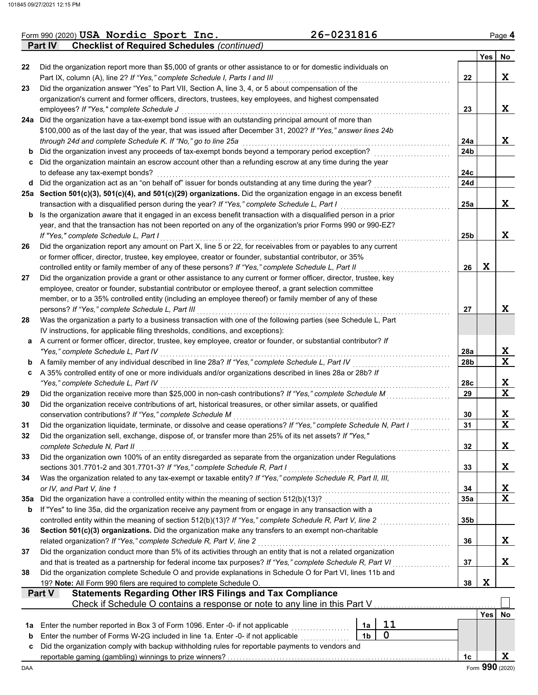**Part IV Checklist of Required Schedules** *(continued)*

|  | Form 990 (2020) USA Nordic Sport Inc. | 26-0231816 | Page <b>4</b> |
|--|---------------------------------------|------------|---------------|
|--|---------------------------------------|------------|---------------|

|     |                                                                                                                                                                                                                  |                |             |            | <b>Yes</b> | No              |  |  |
|-----|------------------------------------------------------------------------------------------------------------------------------------------------------------------------------------------------------------------|----------------|-------------|------------|------------|-----------------|--|--|
| 22  | Did the organization report more than \$5,000 of grants or other assistance to or for domestic individuals on                                                                                                    |                |             |            |            |                 |  |  |
|     | Part IX, column (A), line 2? If "Yes," complete Schedule I, Parts I and III                                                                                                                                      |                |             | 22         |            | X               |  |  |
| 23  | Did the organization answer "Yes" to Part VII, Section A, line 3, 4, or 5 about compensation of the                                                                                                              |                |             |            |            |                 |  |  |
|     | organization's current and former officers, directors, trustees, key employees, and highest compensated<br>employees? If "Yes," complete Schedule J                                                              |                |             |            |            | X               |  |  |
|     | 24a Did the organization have a tax-exempt bond issue with an outstanding principal amount of more than                                                                                                          |                |             | 23         |            |                 |  |  |
|     | \$100,000 as of the last day of the year, that was issued after December 31, 2002? If "Yes," answer lines 24b                                                                                                    |                |             |            |            |                 |  |  |
|     | through 24d and complete Schedule K. If "No," go to line 25a                                                                                                                                                     |                |             | 24a        |            | X               |  |  |
| b   | Did the organization invest any proceeds of tax-exempt bonds beyond a temporary period exception?                                                                                                                |                |             | 24b        |            |                 |  |  |
| c   | Did the organization maintain an escrow account other than a refunding escrow at any time during the year                                                                                                        |                |             |            |            |                 |  |  |
|     | to defease any tax-exempt bonds?                                                                                                                                                                                 |                |             | 24c        |            |                 |  |  |
| d   | Did the organization act as an "on behalf of" issuer for bonds outstanding at any time during the year?                                                                                                          |                |             | 24d        |            |                 |  |  |
|     | 25a Section 501(c)(3), 501(c)(4), and 501(c)(29) organizations. Did the organization engage in an excess benefit                                                                                                 |                |             |            |            |                 |  |  |
|     | transaction with a disqualified person during the year? If "Yes," complete Schedule L, Part I                                                                                                                    |                |             | 25a        |            | X               |  |  |
| b   | Is the organization aware that it engaged in an excess benefit transaction with a disqualified person in a prior                                                                                                 |                |             |            |            |                 |  |  |
|     | year, and that the transaction has not been reported on any of the organization's prior Forms 990 or 990-EZ?                                                                                                     |                |             |            |            |                 |  |  |
|     | If "Yes," complete Schedule L, Part I                                                                                                                                                                            |                |             | 25b        |            | X               |  |  |
| 26  | Did the organization report any amount on Part X, line 5 or 22, for receivables from or payables to any current                                                                                                  |                |             |            |            |                 |  |  |
|     | or former officer, director, trustee, key employee, creator or founder, substantial contributor, or 35%                                                                                                          |                |             |            |            |                 |  |  |
|     | controlled entity or family member of any of these persons? If "Yes," complete Schedule L, Part II                                                                                                               |                |             | 26         | X          |                 |  |  |
| 27  | Did the organization provide a grant or other assistance to any current or former officer, director, trustee, key                                                                                                |                |             |            |            |                 |  |  |
|     | employee, creator or founder, substantial contributor or employee thereof, a grant selection committee<br>member, or to a 35% controlled entity (including an employee thereof) or family member of any of these |                |             |            |            |                 |  |  |
|     | persons? If "Yes," complete Schedule L, Part III                                                                                                                                                                 |                |             | 27         |            | X               |  |  |
| 28  | Was the organization a party to a business transaction with one of the following parties (see Schedule L, Part                                                                                                   |                |             |            |            |                 |  |  |
|     | IV instructions, for applicable filing thresholds, conditions, and exceptions):                                                                                                                                  |                |             |            |            |                 |  |  |
| a   | A current or former officer, director, trustee, key employee, creator or founder, or substantial contributor? If                                                                                                 |                |             |            |            |                 |  |  |
|     | "Yes," complete Schedule L, Part IV                                                                                                                                                                              |                |             | 28a        |            | X               |  |  |
| b   | A family member of any individual described in line 28a? If "Yes," complete Schedule L, Part IV                                                                                                                  |                |             | 28b        |            | $\mathbf x$     |  |  |
| c   | A 35% controlled entity of one or more individuals and/or organizations described in lines 28a or 28b? If                                                                                                        |                |             |            |            |                 |  |  |
|     | "Yes," complete Schedule L, Part IV                                                                                                                                                                              |                |             | 28c        |            | X               |  |  |
| 29  | Did the organization receive more than \$25,000 in non-cash contributions? If "Yes," complete Schedule M                                                                                                         |                |             | 29         |            | X               |  |  |
| 30  | Did the organization receive contributions of art, historical treasures, or other similar assets, or qualified                                                                                                   |                |             |            |            |                 |  |  |
|     | conservation contributions? If "Yes," complete Schedule M                                                                                                                                                        |                |             | 30         |            | X               |  |  |
| 31  | Did the organization liquidate, terminate, or dissolve and cease operations? If "Yes," complete Schedule N, Part I                                                                                               |                |             | 31         |            | $\mathbf x$     |  |  |
| 32  | Did the organization sell, exchange, dispose of, or transfer more than 25% of its net assets? If "Yes,"                                                                                                          |                |             | 32         |            | X               |  |  |
| 33  | complete Schedule N, Part II<br>Did the organization own 100% of an entity disregarded as separate from the organization under Regulations                                                                       |                |             |            |            |                 |  |  |
|     | sections 301.7701-2 and 301.7701-3? If "Yes," complete Schedule R, Part I                                                                                                                                        |                |             | 33         |            | X               |  |  |
| 34  | Was the organization related to any tax-exempt or taxable entity? If "Yes," complete Schedule R, Part II, III,                                                                                                   |                |             |            |            |                 |  |  |
|     | or IV, and Part V, line 1                                                                                                                                                                                        |                |             | 34         |            | X               |  |  |
| 35а | Did the organization have a controlled entity within the meaning of section 512(b)(13)?                                                                                                                          |                |             | <b>35a</b> |            | $\mathbf x$     |  |  |
| b   | If "Yes" to line 35a, did the organization receive any payment from or engage in any transaction with a                                                                                                          |                |             |            |            |                 |  |  |
|     | controlled entity within the meaning of section 512(b)(13)? If "Yes," complete Schedule R, Part V, line 2                                                                                                        |                |             | 35b        |            |                 |  |  |
| 36  | Section 501(c)(3) organizations. Did the organization make any transfers to an exempt non-charitable                                                                                                             |                |             |            |            |                 |  |  |
|     | related organization? If "Yes," complete Schedule R, Part V, line 2                                                                                                                                              |                |             | 36         |            | X               |  |  |
| 37  | Did the organization conduct more than 5% of its activities through an entity that is not a related organization                                                                                                 |                |             | 37         |            | X               |  |  |
|     | and that is treated as a partnership for federal income tax purposes? If "Yes," complete Schedule R, Part VI                                                                                                     |                |             |            |            |                 |  |  |
| 38  | Did the organization complete Schedule O and provide explanations in Schedule O for Part VI, lines 11b and                                                                                                       |                |             |            |            |                 |  |  |
|     | 19? Note: All Form 990 filers are required to complete Schedule O.<br><b>Statements Regarding Other IRS Filings and Tax Compliance</b><br>Part V                                                                 |                |             | 38         | X          |                 |  |  |
|     | Check if Schedule O contains a response or note to any line in this Part V                                                                                                                                       |                |             |            |            |                 |  |  |
|     |                                                                                                                                                                                                                  |                |             |            | Yes        | No              |  |  |
| 1а  | Enter the number reported in Box 3 of Form 1096. Enter -0- if not applicable                                                                                                                                     | 1a             | 11          |            |            |                 |  |  |
| b   | Enter the number of Forms W-2G included in line 1a. Enter -0- if not applicable                                                                                                                                  | 1 <sub>b</sub> | $\mathbf 0$ |            |            |                 |  |  |
| c   | Did the organization comply with backup withholding rules for reportable payments to vendors and                                                                                                                 |                |             |            |            |                 |  |  |
|     |                                                                                                                                                                                                                  |                |             | 1c         |            | X               |  |  |
| DAA |                                                                                                                                                                                                                  |                |             |            |            | Form 990 (2020) |  |  |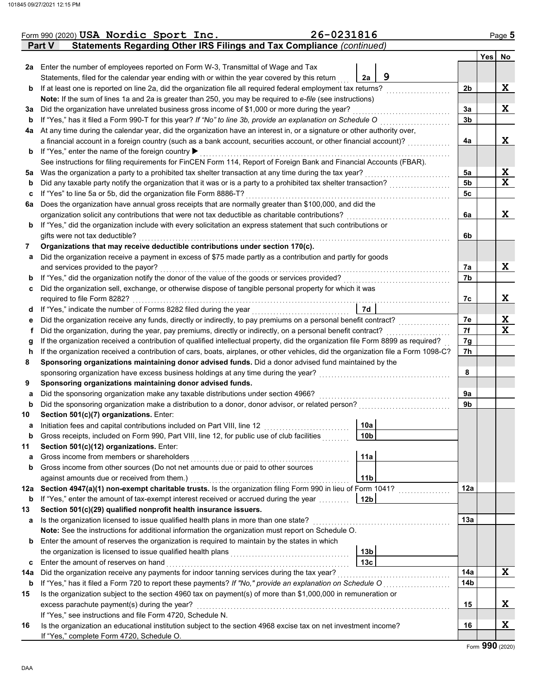|     | Form 990 (2020) USA Nordic Sport Inc.                                                                                              | 26-0231816                                                                                                          |                | Page 5      |
|-----|------------------------------------------------------------------------------------------------------------------------------------|---------------------------------------------------------------------------------------------------------------------|----------------|-------------|
|     | Statements Regarding Other IRS Filings and Tax Compliance (continued)<br>Part V                                                    |                                                                                                                     |                |             |
|     |                                                                                                                                    |                                                                                                                     |                | Yes No      |
|     | 2a Enter the number of employees reported on Form W-3, Transmittal of Wage and Tax                                                 |                                                                                                                     |                |             |
|     | Statements, filed for the calendar year ending with or within the year covered by this return                                      | 9<br>2a                                                                                                             |                |             |
| b   | If at least one is reported on line 2a, did the organization file all required federal employment tax returns?                     |                                                                                                                     | 2b             | X           |
|     | Note: If the sum of lines 1a and 2a is greater than 250, you may be required to e-file (see instructions)                          |                                                                                                                     |                |             |
| За  | Did the organization have unrelated business gross income of \$1,000 or more during the year?                                      |                                                                                                                     | 3a             | X           |
| b   | If "Yes," has it filed a Form 990-T for this year? If "No" to line 3b, provide an explanation on Schedule O                        |                                                                                                                     | 3 <sub>b</sub> |             |
| 4a  | At any time during the calendar year, did the organization have an interest in, or a signature or other authority over,            |                                                                                                                     |                |             |
|     | a financial account in a foreign country (such as a bank account, securities account, or other financial account)?                 |                                                                                                                     | 4a             | X           |
| b   | If "Yes," enter the name of the foreign country ▶                                                                                  |                                                                                                                     |                |             |
|     | See instructions for filing requirements for FinCEN Form 114, Report of Foreign Bank and Financial Accounts (FBAR).                |                                                                                                                     |                |             |
| 5a  | Was the organization a party to a prohibited tax shelter transaction at any time during the tax year?                              | <u> 1999 - Johann Stoff, Amerikaansk kanton en beskriuwer om de formatieke om de formatieke om de formatieke om</u> | 5a             | X           |
| b   | Did any taxable party notify the organization that it was or is a party to a prohibited tax shelter transaction?                   |                                                                                                                     | 5b             | $\mathbf x$ |
| c   | If "Yes" to line 5a or 5b, did the organization file Form 8886-T?                                                                  |                                                                                                                     | 5c             |             |
| 6a  | Does the organization have annual gross receipts that are normally greater than \$100,000, and did the                             |                                                                                                                     |                |             |
|     | organization solicit any contributions that were not tax deductible as charitable contributions?                                   |                                                                                                                     | 6a             | X           |
| b   | If "Yes," did the organization include with every solicitation an express statement that such contributions or                     |                                                                                                                     |                |             |
|     | gifts were not tax deductible?                                                                                                     |                                                                                                                     | 6b             |             |
| 7   | Organizations that may receive deductible contributions under section 170(c).                                                      |                                                                                                                     |                |             |
| а   | Did the organization receive a payment in excess of \$75 made partly as a contribution and partly for goods                        |                                                                                                                     |                |             |
|     | and services provided to the payor?                                                                                                |                                                                                                                     | 7a             | X           |
| b   | If "Yes," did the organization notify the donor of the value of the goods or services provided?                                    |                                                                                                                     | 7b             |             |
| c   | Did the organization sell, exchange, or otherwise dispose of tangible personal property for which it was                           |                                                                                                                     |                |             |
|     | required to file Form 8282?                                                                                                        |                                                                                                                     | 7c             | X           |
| d   | If "Yes," indicate the number of Forms 8282 filed during the year                                                                  | 7d                                                                                                                  |                |             |
| е   | Did the organization receive any funds, directly or indirectly, to pay premiums on a personal benefit contract?                    |                                                                                                                     | 7e             | X           |
| f   | Did the organization, during the year, pay premiums, directly or indirectly, on a personal benefit contract?                       |                                                                                                                     | 7f             | $\mathbf x$ |
| g   | If the organization received a contribution of qualified intellectual property, did the organization file Form 8899 as required?   |                                                                                                                     | 7g             |             |
| h   | If the organization received a contribution of cars, boats, airplanes, or other vehicles, did the organization file a Form 1098-C? |                                                                                                                     | 7h             |             |
| 8   | Sponsoring organizations maintaining donor advised funds. Did a donor advised fund maintained by the                               |                                                                                                                     |                |             |
|     | sponsoring organization have excess business holdings at any time during the year?                                                 |                                                                                                                     | 8              |             |
| 9   | Sponsoring organizations maintaining donor advised funds.                                                                          |                                                                                                                     |                |             |
| а   | Did the sponsoring organization make any taxable distributions under section 4966?                                                 |                                                                                                                     | 9a             |             |
| b   | Did the sponsoring organization make a distribution to a donor, donor advisor, or related person?                                  |                                                                                                                     | 9b             |             |
| 10  | Section 501(c)(7) organizations. Enter:                                                                                            |                                                                                                                     |                |             |
| a   | Initiation fees and capital contributions included on Part VIII, line 12                                                           | 10a                                                                                                                 |                |             |
| b   | Gross receipts, included on Form 990, Part VIII, line 12, for public use of club facilities                                        | 10b                                                                                                                 |                |             |
| 11  | Section 501(c)(12) organizations. Enter:                                                                                           |                                                                                                                     |                |             |
| a   | Gross income from members or shareholders                                                                                          | 11a                                                                                                                 |                |             |
| b   | Gross income from other sources (Do not net amounts due or paid to other sources                                                   |                                                                                                                     |                |             |
|     | against amounts due or received from them.)                                                                                        | 11 <sub>b</sub>                                                                                                     |                |             |
| 12a | Section 4947(a)(1) non-exempt charitable trusts. Is the organization filing Form 990 in lieu of Form 1041?                         |                                                                                                                     | 12a            |             |
| b   | If "Yes," enter the amount of tax-exempt interest received or accrued during the year                                              | 12 <sub>b</sub>                                                                                                     |                |             |
| 13  | Section 501(c)(29) qualified nonprofit health insurance issuers.                                                                   |                                                                                                                     |                |             |
| а   | Is the organization licensed to issue qualified health plans in more than one state?                                               |                                                                                                                     | 13a            |             |
|     | Note: See the instructions for additional information the organization must report on Schedule O.                                  |                                                                                                                     |                |             |
| b   | Enter the amount of reserves the organization is required to maintain by the states in which                                       |                                                                                                                     |                |             |
|     | the organization is licensed to issue qualified health plans                                                                       | 13 <sub>b</sub>                                                                                                     |                |             |
| c   | Enter the amount of reserves on hand                                                                                               | 13 <sub>c</sub>                                                                                                     |                |             |
| 14a | Did the organization receive any payments for indoor tanning services during the tax year?                                         |                                                                                                                     | 14a            | X           |
| b   | If "Yes," has it filed a Form 720 to report these payments? If "No," provide an explanation on Schedule O                          |                                                                                                                     | 14b            |             |
| 15  | Is the organization subject to the section 4960 tax on payment(s) of more than \$1,000,000 in remuneration or                      |                                                                                                                     |                |             |
|     | excess parachute payment(s) during the year?                                                                                       |                                                                                                                     | 15             | X           |
|     | If "Yes," see instructions and file Form 4720, Schedule N.                                                                         |                                                                                                                     |                |             |
| 16  | Is the organization an educational institution subject to the section 4968 excise tax on net investment income?                    |                                                                                                                     | 16             | X           |
|     | If "Yes," complete Form 4720, Schedule O.                                                                                          |                                                                                                                     |                |             |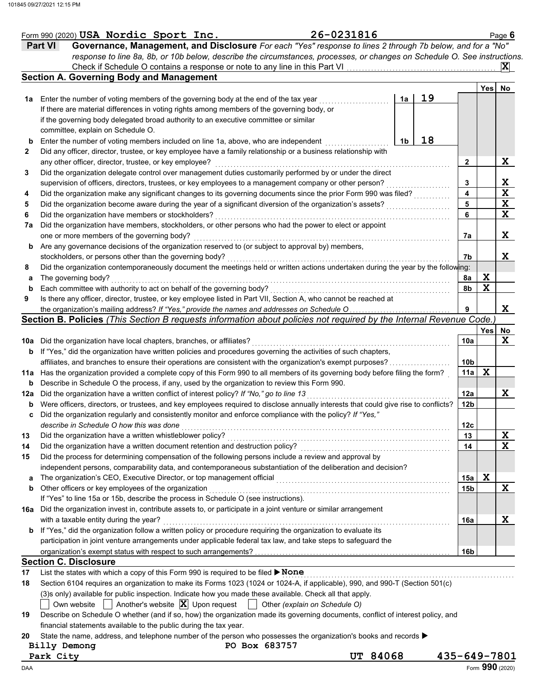|     | Form 990 (2020) USA Nordic Sport Inc.                                                                                                | 26-0231816      |    |    |                 |                 | Page 6      |
|-----|--------------------------------------------------------------------------------------------------------------------------------------|-----------------|----|----|-----------------|-----------------|-------------|
|     | Governance, Management, and Disclosure For each "Yes" response to lines 2 through 7b below, and for a "No"<br><b>Part VI</b>         |                 |    |    |                 |                 |             |
|     | response to line 8a, 8b, or 10b below, describe the circumstances, processes, or changes on Schedule O. See instructions.            |                 |    |    |                 |                 |             |
|     | Check if Schedule O contains a response or note to any line in this Part VI                                                          |                 |    |    |                 |                 | $ {\bf X} $ |
|     | <b>Section A. Governing Body and Management</b>                                                                                      |                 |    |    |                 |                 |             |
|     |                                                                                                                                      |                 |    |    |                 | Yes No          |             |
| 1а  | Enter the number of voting members of the governing body at the end of the tax year                                                  |                 | 1a | 19 |                 |                 |             |
|     | If there are material differences in voting rights among members of the governing body, or                                           |                 |    |    |                 |                 |             |
|     | if the governing body delegated broad authority to an executive committee or similar                                                 |                 |    |    |                 |                 |             |
|     | committee, explain on Schedule O.                                                                                                    |                 |    |    |                 |                 |             |
| b   | Enter the number of voting members included on line 1a, above, who are independent                                                   |                 | 1b | 18 |                 |                 |             |
| 2   | Did any officer, director, trustee, or key employee have a family relationship or a business relationship with                       |                 |    |    |                 |                 |             |
|     | any other officer, director, trustee, or key employee?                                                                               |                 |    |    | 2               |                 | X           |
| 3   | Did the organization delegate control over management duties customarily performed by or under the direct                            |                 |    |    |                 |                 |             |
|     | supervision of officers, directors, trustees, or key employees to a management company or other person?                              |                 |    |    | 3               |                 | X           |
| 4   | Did the organization make any significant changes to its governing documents since the prior Form 990 was filed?                     |                 |    |    | 4               |                 | $\mathbf x$ |
| 5   | Did the organization become aware during the year of a significant diversion of the organization's assets?                           |                 |    |    | 5               |                 | $\mathbf X$ |
| 6   | Did the organization have members or stockholders?                                                                                   |                 |    |    | 6               |                 | $\mathbf x$ |
| 7a  | Did the organization have members, stockholders, or other persons who had the power to elect or appoint                              |                 |    |    |                 |                 |             |
|     | one or more members of the governing body?                                                                                           |                 |    |    | 7a              |                 | X           |
|     | Are any governance decisions of the organization reserved to (or subject to approval by) members,                                    |                 |    |    |                 |                 |             |
| b   | stockholders, or persons other than the governing body?                                                                              |                 |    |    | 7b              |                 | X           |
|     | Did the organization contemporaneously document the meetings held or written actions undertaken during the year by the following:    |                 |    |    |                 |                 |             |
| 8   |                                                                                                                                      |                 |    |    |                 | X               |             |
| а   | The governing body?                                                                                                                  |                 |    |    | 8a              | $\mathbf x$     |             |
| b   | Each committee with authority to act on behalf of the governing body?                                                                |                 |    |    | 8b              |                 |             |
| 9   | Is there any officer, director, trustee, or key employee listed in Part VII, Section A, who cannot be reached at                     |                 |    |    |                 |                 |             |
|     | the organization's mailing address? If "Yes," provide the names and addresses on Schedule O                                          |                 |    |    | 9               |                 | X           |
|     | Section B. Policies (This Section B requests information about policies not required by the Internal Revenue Code.)                  |                 |    |    |                 |                 |             |
|     |                                                                                                                                      |                 |    |    |                 | Yes             | No          |
| 10a | Did the organization have local chapters, branches, or affiliates?                                                                   |                 |    |    | 10a             |                 | X           |
| b   | If "Yes," did the organization have written policies and procedures governing the activities of such chapters,                       |                 |    |    |                 |                 |             |
|     | affiliates, and branches to ensure their operations are consistent with the organization's exempt purposes?                          |                 |    |    | 10 <sub>b</sub> |                 |             |
| 11a | Has the organization provided a complete copy of this Form 990 to all members of its governing body before filing the form?          |                 |    |    | 11a             | $\mathbf x$     |             |
| b   | Describe in Schedule O the process, if any, used by the organization to review this Form 990.                                        |                 |    |    |                 |                 |             |
| 12a | Did the organization have a written conflict of interest policy? If "No," go to line 13                                              |                 |    |    | 12a             |                 | X           |
| b   | Were officers, directors, or trustees, and key employees required to disclose annually interests that could give rise to conflicts?  |                 |    |    | 12 <sub>b</sub> |                 |             |
| c   | Did the organization regularly and consistently monitor and enforce compliance with the policy? If "Yes,"                            |                 |    |    |                 |                 |             |
|     | describe in Schedule O how this was done                                                                                             |                 |    |    | 12 <sub>c</sub> |                 |             |
| 13  | Did the organization have a written whistleblower policy?                                                                            |                 |    |    | 13              |                 | X           |
| 14  | Did the organization have a written document retention and destruction policy?                                                       |                 |    |    | 14              |                 | $\mathbf x$ |
| 15  | Did the process for determining compensation of the following persons include a review and approval by                               |                 |    |    |                 |                 |             |
|     | independent persons, comparability data, and contemporaneous substantiation of the deliberation and decision?                        |                 |    |    |                 |                 |             |
| a   | The organization's CEO, Executive Director, or top management official                                                               |                 |    |    | 15a             | X               |             |
| b   | Other officers or key employees of the organization                                                                                  |                 |    |    | 15b             |                 | X           |
|     | If "Yes" to line 15a or 15b, describe the process in Schedule O (see instructions).                                                  |                 |    |    |                 |                 |             |
|     | 16a Did the organization invest in, contribute assets to, or participate in a joint venture or similar arrangement                   |                 |    |    |                 |                 |             |
|     | with a taxable entity during the year?                                                                                               |                 |    |    | 16a             |                 | X           |
|     | <b>b</b> If "Yes," did the organization follow a written policy or procedure requiring the organization to evaluate its              |                 |    |    |                 |                 |             |
|     | participation in joint venture arrangements under applicable federal tax law, and take steps to safeguard the                        |                 |    |    |                 |                 |             |
|     |                                                                                                                                      |                 |    |    | 16b             |                 |             |
|     | <b>Section C. Disclosure</b>                                                                                                         |                 |    |    |                 |                 |             |
|     |                                                                                                                                      |                 |    |    |                 |                 |             |
| 17  | List the states with which a copy of this Form 990 is required to be filed ▶ None                                                    |                 |    |    |                 |                 |             |
| 18  | Section 6104 requires an organization to make its Forms 1023 (1024 or 1024-A, if applicable), 990, and 990-T (Section 501(c)         |                 |    |    |                 |                 |             |
|     | (3)s only) available for public inspection. Indicate how you made these available. Check all that apply.                             |                 |    |    |                 |                 |             |
|     | Another's website $ \mathbf{X} $ Upon request $ \cdot $ Other (explain on Schedule O)<br>Own website                                 |                 |    |    |                 |                 |             |
| 19  | Describe on Schedule O whether (and if so, how) the organization made its governing documents, conflict of interest policy, and      |                 |    |    |                 |                 |             |
|     | financial statements available to the public during the tax year.                                                                    |                 |    |    |                 |                 |             |
| 20  | State the name, address, and telephone number of the person who possesses the organization's books and records $\blacktriangleright$ |                 |    |    |                 |                 |             |
|     | PO Box 683757<br>Billy Demong                                                                                                        |                 |    |    |                 |                 |             |
|     | Park City                                                                                                                            | <b>UT 84068</b> |    |    | 435-649-7801    |                 |             |
| DAA |                                                                                                                                      |                 |    |    |                 | Form 990 (2020) |             |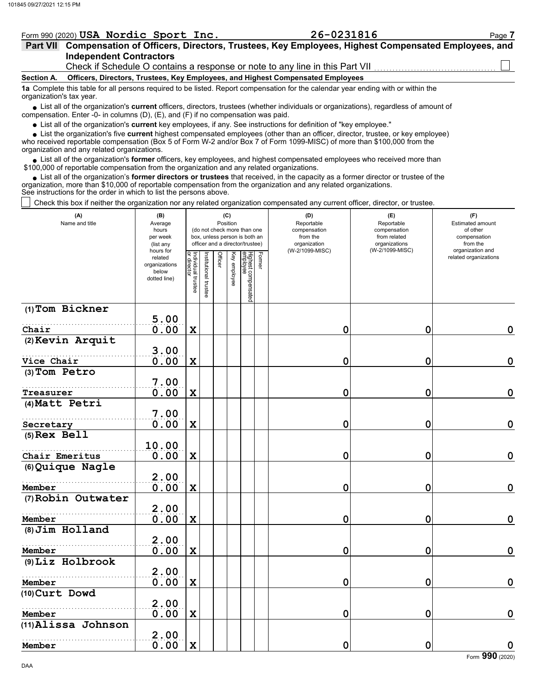|                                                                              | Form 990 (2020) USA Nordic Sport Inc.                                                                                                                                                                                       | 26-0231816 | Page 7 |  |  |  |  |  |  |  |  |
|------------------------------------------------------------------------------|-----------------------------------------------------------------------------------------------------------------------------------------------------------------------------------------------------------------------------|------------|--------|--|--|--|--|--|--|--|--|
|                                                                              | Compensation of Officers, Directors, Trustees, Key Employees, Highest Compensated Employees, and<br><b>Part VII</b>                                                                                                         |            |        |  |  |  |  |  |  |  |  |
|                                                                              | <b>Independent Contractors</b>                                                                                                                                                                                              |            |        |  |  |  |  |  |  |  |  |
| Check if Schedule O contains a response or note to any line in this Part VII |                                                                                                                                                                                                                             |            |        |  |  |  |  |  |  |  |  |
| <b>Section A.</b>                                                            | Officers, Directors, Trustees, Key Employees, and Highest Compensated Employees                                                                                                                                             |            |        |  |  |  |  |  |  |  |  |
| organization's tax year.                                                     | 1a Complete this table for all persons required to be listed. Report compensation for the calendar year ending with or within the                                                                                           |            |        |  |  |  |  |  |  |  |  |
|                                                                              | • List all of the organization's current officers, directors, trustees (whether individuals or organizations), regardless of amount of<br>compensation. Enter -0- in columns (D), (E), and (F) if no compensation was paid. |            |        |  |  |  |  |  |  |  |  |

List all of the organization's **current** key employees, if any. See instructions for definition of "key employee."

who received reportable compensation (Box 5 of Form W-2 and/or Box 7 of Form 1099-MISC) of more than \$100,000 from the organization and any related organizations. ■ List all of the organization's **current** key employees, if any. See instructions for definition of "key employee."<br>■ List the organization's five **current** highest compensated employees (other than an officer, director,

• List all of the organization's **former** officers, key employees, and highest compensated employees who received more than<br>00,000 of reportable compensation from the organization and any related erganizations. \$100,000 of reportable compensation from the organization and any related organizations.

List all of the organization's **former directors or trustees** that received, in the capacity as a former director or trustee of the • List all of the organization's **former directors or trustees** that received, in the capacity as a former director organization, more than \$10,000 of reportable compensation from the organization and any related organizat See instructions for the order in which to list the persons above.

Check this box if neither the organization nor any related organization compensated any current officer, director, or trustee.

| (A)<br>Name and title | (B)<br>Average<br>hours<br>per week<br>(list any               |                                   |                      | (C)<br>Position<br>(do not check more than one<br>box, unless person is both an<br>officer and a director/trustee) |              |                                           | (D)<br>Reportable<br>compensation<br>from the<br>organization | (E)<br>Reportable<br>compensation<br>from related<br>organizations | (F)<br>Estimated amount<br>of other<br>compensation<br>from the |
|-----------------------|----------------------------------------------------------------|-----------------------------------|----------------------|--------------------------------------------------------------------------------------------------------------------|--------------|-------------------------------------------|---------------------------------------------------------------|--------------------------------------------------------------------|-----------------------------------------------------------------|
|                       | hours for<br>related<br>organizations<br>below<br>dotted line) | Individual trustee<br>or director | nstitutional trustee | Officer                                                                                                            | Key employee | Highest compensated<br>employee<br>Former | (W-2/1099-MISC)                                               | (W-2/1099-MISC)                                                    | organization and<br>related organizations                       |
| (1) Tom Bickner       | 5.00                                                           |                                   |                      |                                                                                                                    |              |                                           |                                                               |                                                                    |                                                                 |
| Chair                 | 0.00                                                           | $\mathbf X$                       |                      |                                                                                                                    |              |                                           | $\mathbf 0$                                                   | 0                                                                  | $\mathbf 0$                                                     |
| (2) Kevin Arquit      | 3.00                                                           |                                   |                      |                                                                                                                    |              |                                           |                                                               |                                                                    |                                                                 |
| Vice Chair            | 0.00                                                           | $\mathbf x$                       |                      |                                                                                                                    |              |                                           | 0                                                             | 0                                                                  | $\mathbf 0$                                                     |
| (3) Tom Petro         |                                                                |                                   |                      |                                                                                                                    |              |                                           |                                                               |                                                                    |                                                                 |
| <b>Treasurer</b>      | 7.00<br>0.00                                                   | X                                 |                      |                                                                                                                    |              |                                           | 0                                                             | 0                                                                  | $\mathbf 0$                                                     |
| (4) Matt Petri        |                                                                |                                   |                      |                                                                                                                    |              |                                           |                                                               |                                                                    |                                                                 |
|                       | 7.00                                                           |                                   |                      |                                                                                                                    |              |                                           |                                                               |                                                                    |                                                                 |
| Secretary             | 0.00                                                           | $\mathbf X$                       |                      |                                                                                                                    |              |                                           | $\mathbf 0$                                                   | 0                                                                  | $\mathbf 0$                                                     |
| $(5)$ Rex Bell        | 10.00                                                          |                                   |                      |                                                                                                                    |              |                                           |                                                               |                                                                    |                                                                 |
| Chair Emeritus        | 0.00                                                           | $\mathbf x$                       |                      |                                                                                                                    |              |                                           | 0                                                             | 0                                                                  | $\mathbf 0$                                                     |
| (6) Quique Nagle      |                                                                |                                   |                      |                                                                                                                    |              |                                           |                                                               |                                                                    |                                                                 |
| Member                | 2.00<br>0.00                                                   | $\mathbf x$                       |                      |                                                                                                                    |              |                                           | 0                                                             | 0                                                                  | $\mathbf 0$                                                     |
| (7) Robin Outwater    |                                                                |                                   |                      |                                                                                                                    |              |                                           |                                                               |                                                                    |                                                                 |
|                       | 2.00                                                           |                                   |                      |                                                                                                                    |              |                                           |                                                               |                                                                    |                                                                 |
| Member                | 0.00                                                           | $\mathbf x$                       |                      |                                                                                                                    |              |                                           | $\mathbf 0$                                                   | 0                                                                  | $\mathbf 0$                                                     |
| (8) Jim Holland       | 2.00                                                           |                                   |                      |                                                                                                                    |              |                                           |                                                               |                                                                    |                                                                 |
| Member                | 0.00                                                           | $\mathbf x$                       |                      |                                                                                                                    |              |                                           | $\mathbf 0$                                                   | 0                                                                  | $\mathbf 0$                                                     |
| (9) Liz Holbrook      |                                                                |                                   |                      |                                                                                                                    |              |                                           |                                                               |                                                                    |                                                                 |
|                       | 2.00                                                           |                                   |                      |                                                                                                                    |              |                                           |                                                               |                                                                    |                                                                 |
| Member                | 0.00                                                           | $\mathbf x$                       |                      |                                                                                                                    |              |                                           | $\mathbf 0$                                                   | 0                                                                  | $\mathbf 0$                                                     |
| (10) Curt Dowd        | 2.00                                                           |                                   |                      |                                                                                                                    |              |                                           |                                                               |                                                                    |                                                                 |
| Member                | 0.00                                                           | $\mathbf x$                       |                      |                                                                                                                    |              |                                           | 0                                                             | 0                                                                  | $\mathbf 0$                                                     |
| (11) Alissa Johnson   |                                                                |                                   |                      |                                                                                                                    |              |                                           |                                                               |                                                                    |                                                                 |
|                       | 2.00                                                           |                                   |                      |                                                                                                                    |              |                                           |                                                               |                                                                    |                                                                 |
| Member                | 0.00                                                           | $\mathbf x$                       |                      |                                                                                                                    |              |                                           | $\mathbf 0$                                                   | $\mathbf 0$                                                        | $\boldsymbol{0}$                                                |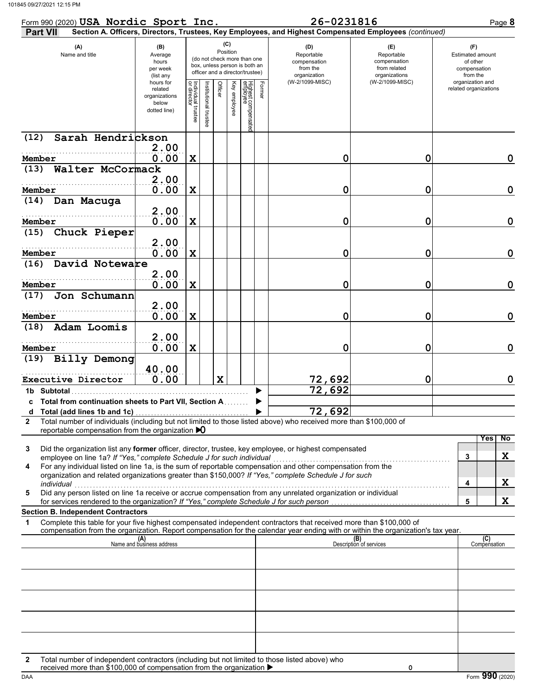| Form 990 (2020) USA Nordic Sport Inc.                                                                                                                                                                                                                                                                                                                                                                             |                                                                |                                   |                         |                 |                 |                                                                                                 |        | 26-0231816                                                    |                                                                                                        | Page 8                                                          |
|-------------------------------------------------------------------------------------------------------------------------------------------------------------------------------------------------------------------------------------------------------------------------------------------------------------------------------------------------------------------------------------------------------------------|----------------------------------------------------------------|-----------------------------------|-------------------------|-----------------|-----------------|-------------------------------------------------------------------------------------------------|--------|---------------------------------------------------------------|--------------------------------------------------------------------------------------------------------|-----------------------------------------------------------------|
| <b>Part VII</b>                                                                                                                                                                                                                                                                                                                                                                                                   |                                                                |                                   |                         |                 |                 |                                                                                                 |        |                                                               | Section A. Officers, Directors, Trustees, Key Employees, and Highest Compensated Employees (continued) |                                                                 |
| (A)<br>Name and title                                                                                                                                                                                                                                                                                                                                                                                             | (B)<br>Average<br>hours<br>per week<br>(list any               |                                   |                         | (C)<br>Position |                 | (do not check more than one<br>box, unless person is both an<br>officer and a director/trustee) |        | (D)<br>Reportable<br>compensation<br>from the<br>organization | (E)<br>Reportable<br>compensation<br>from related<br>organizations                                     | (F)<br>Estimated amount<br>of other<br>compensation<br>from the |
|                                                                                                                                                                                                                                                                                                                                                                                                                   | hours for<br>related<br>organizations<br>below<br>dotted line) | Individual trustee<br>or director | nstitutional<br>trustee | Officer         | Key<br>amployee | Highest compensated<br>employee                                                                 | Former | (W-2/1099-MISC)                                               | (W-2/1099-MISC)                                                                                        | organization and<br>related organizations                       |
| Sarah Hendrickson<br>(12)                                                                                                                                                                                                                                                                                                                                                                                         |                                                                |                                   |                         |                 |                 |                                                                                                 |        |                                                               |                                                                                                        |                                                                 |
| Member                                                                                                                                                                                                                                                                                                                                                                                                            | 2.00<br>0.00                                                   | X                                 |                         |                 |                 |                                                                                                 |        | 0                                                             | 0                                                                                                      | 0                                                               |
| Walter McCormack<br>(13)                                                                                                                                                                                                                                                                                                                                                                                          |                                                                |                                   |                         |                 |                 |                                                                                                 |        |                                                               |                                                                                                        |                                                                 |
|                                                                                                                                                                                                                                                                                                                                                                                                                   | 2.00                                                           |                                   |                         |                 |                 |                                                                                                 |        |                                                               |                                                                                                        |                                                                 |
| Member<br>Dan Macuga<br>(14)                                                                                                                                                                                                                                                                                                                                                                                      | 0.00                                                           | X                                 |                         |                 |                 |                                                                                                 |        | 0                                                             | 0                                                                                                      | 0                                                               |
|                                                                                                                                                                                                                                                                                                                                                                                                                   | 2.00                                                           |                                   |                         |                 |                 |                                                                                                 |        |                                                               |                                                                                                        |                                                                 |
| Member                                                                                                                                                                                                                                                                                                                                                                                                            | 0.00                                                           | X                                 |                         |                 |                 |                                                                                                 |        | 0                                                             | 0                                                                                                      | 0                                                               |
| Chuck Pieper<br>(15)                                                                                                                                                                                                                                                                                                                                                                                              | 2.00                                                           |                                   |                         |                 |                 |                                                                                                 |        |                                                               |                                                                                                        |                                                                 |
| Member                                                                                                                                                                                                                                                                                                                                                                                                            | 0.00                                                           | X                                 |                         |                 |                 |                                                                                                 |        | 0                                                             | 0                                                                                                      | 0                                                               |
| David Noteware<br>(16)                                                                                                                                                                                                                                                                                                                                                                                            |                                                                |                                   |                         |                 |                 |                                                                                                 |        |                                                               |                                                                                                        |                                                                 |
| Member                                                                                                                                                                                                                                                                                                                                                                                                            | 2.00                                                           |                                   |                         |                 |                 |                                                                                                 |        | 0                                                             |                                                                                                        | 0                                                               |
| Jon Schumann<br>(17)                                                                                                                                                                                                                                                                                                                                                                                              | 0.00                                                           | X                                 |                         |                 |                 |                                                                                                 |        |                                                               | 0                                                                                                      |                                                                 |
|                                                                                                                                                                                                                                                                                                                                                                                                                   | 2.00                                                           |                                   |                         |                 |                 |                                                                                                 |        |                                                               |                                                                                                        |                                                                 |
| Member                                                                                                                                                                                                                                                                                                                                                                                                            | 0.00                                                           | X                                 |                         |                 |                 |                                                                                                 |        | 0                                                             | 0                                                                                                      | 0                                                               |
| Adam Loomis<br>(18)                                                                                                                                                                                                                                                                                                                                                                                               | 2.00                                                           |                                   |                         |                 |                 |                                                                                                 |        |                                                               |                                                                                                        |                                                                 |
| Member                                                                                                                                                                                                                                                                                                                                                                                                            | 0.00                                                           | X                                 |                         |                 |                 |                                                                                                 |        | 0                                                             | 0                                                                                                      | 0                                                               |
| (19) Billy Demong                                                                                                                                                                                                                                                                                                                                                                                                 |                                                                |                                   |                         |                 |                 |                                                                                                 |        |                                                               |                                                                                                        |                                                                 |
|                                                                                                                                                                                                                                                                                                                                                                                                                   | 40.00<br>0.00                                                  |                                   |                         | $\mathbf x$     |                 |                                                                                                 |        |                                                               |                                                                                                        | 0                                                               |
| Executive Director<br>1b Subtotal                                                                                                                                                                                                                                                                                                                                                                                 |                                                                |                                   |                         |                 |                 |                                                                                                 |        | <u>72,692</u><br>72,692                                       | 0                                                                                                      |                                                                 |
| c Total from continuation sheets to Part VII, Section A                                                                                                                                                                                                                                                                                                                                                           |                                                                |                                   |                         |                 |                 |                                                                                                 |        |                                                               |                                                                                                        |                                                                 |
|                                                                                                                                                                                                                                                                                                                                                                                                                   |                                                                |                                   |                         |                 |                 |                                                                                                 |        | 72,692                                                        |                                                                                                        |                                                                 |
| Total number of individuals (including but not limited to those listed above) who received more than \$100,000 of<br>2<br>reportable compensation from the organization $\bigtriangledown$                                                                                                                                                                                                                        |                                                                |                                   |                         |                 |                 |                                                                                                 |        |                                                               |                                                                                                        |                                                                 |
| Did the organization list any former officer, director, trustee, key employee, or highest compensated<br>3<br>employee on line 1a? If "Yes," complete Schedule J for such individual<br>For any individual listed on line 1a, is the sum of reportable compensation and other compensation from the<br>4<br>organization and related organizations greater than \$150,000? If "Yes," complete Schedule J for such |                                                                |                                   |                         |                 |                 |                                                                                                 |        |                                                               |                                                                                                        | No<br>Yes<br>X<br>3<br>X                                        |
| individual<br>Did any person listed on line 1a receive or accrue compensation from any unrelated organization or individual<br>5                                                                                                                                                                                                                                                                                  |                                                                |                                   |                         |                 |                 |                                                                                                 |        |                                                               |                                                                                                        | 4                                                               |
| for services rendered to the organization? If "Yes," complete Schedule J for such person                                                                                                                                                                                                                                                                                                                          |                                                                |                                   |                         |                 |                 |                                                                                                 |        |                                                               |                                                                                                        | X<br>5                                                          |
| <b>Section B. Independent Contractors</b><br>Complete this table for your five highest compensated independent contractors that received more than \$100,000 of<br>1                                                                                                                                                                                                                                              |                                                                |                                   |                         |                 |                 |                                                                                                 |        |                                                               |                                                                                                        |                                                                 |
| compensation from the organization. Report compensation for the calendar year ending with or within the organization's tax year.                                                                                                                                                                                                                                                                                  |                                                                |                                   |                         |                 |                 |                                                                                                 |        |                                                               |                                                                                                        |                                                                 |
|                                                                                                                                                                                                                                                                                                                                                                                                                   | (A)<br>Name and business address                               |                                   |                         |                 |                 |                                                                                                 |        |                                                               | (B)<br>Description of services                                                                         | (C)<br>Compensation                                             |
|                                                                                                                                                                                                                                                                                                                                                                                                                   |                                                                |                                   |                         |                 |                 |                                                                                                 |        |                                                               |                                                                                                        |                                                                 |
|                                                                                                                                                                                                                                                                                                                                                                                                                   |                                                                |                                   |                         |                 |                 |                                                                                                 |        |                                                               |                                                                                                        |                                                                 |
|                                                                                                                                                                                                                                                                                                                                                                                                                   |                                                                |                                   |                         |                 |                 |                                                                                                 |        |                                                               |                                                                                                        |                                                                 |
|                                                                                                                                                                                                                                                                                                                                                                                                                   |                                                                |                                   |                         |                 |                 |                                                                                                 |        |                                                               |                                                                                                        |                                                                 |
|                                                                                                                                                                                                                                                                                                                                                                                                                   |                                                                |                                   |                         |                 |                 |                                                                                                 |        |                                                               |                                                                                                        |                                                                 |
|                                                                                                                                                                                                                                                                                                                                                                                                                   |                                                                |                                   |                         |                 |                 |                                                                                                 |        |                                                               |                                                                                                        |                                                                 |
|                                                                                                                                                                                                                                                                                                                                                                                                                   |                                                                |                                   |                         |                 |                 |                                                                                                 |        |                                                               |                                                                                                        |                                                                 |
| Total number of independent contractors (including but not limited to those listed above) who<br>2                                                                                                                                                                                                                                                                                                                |                                                                |                                   |                         |                 |                 |                                                                                                 |        |                                                               |                                                                                                        |                                                                 |
| received more than \$100,000 of compensation from the organization ▶                                                                                                                                                                                                                                                                                                                                              |                                                                |                                   |                         |                 |                 |                                                                                                 |        |                                                               | 0                                                                                                      |                                                                 |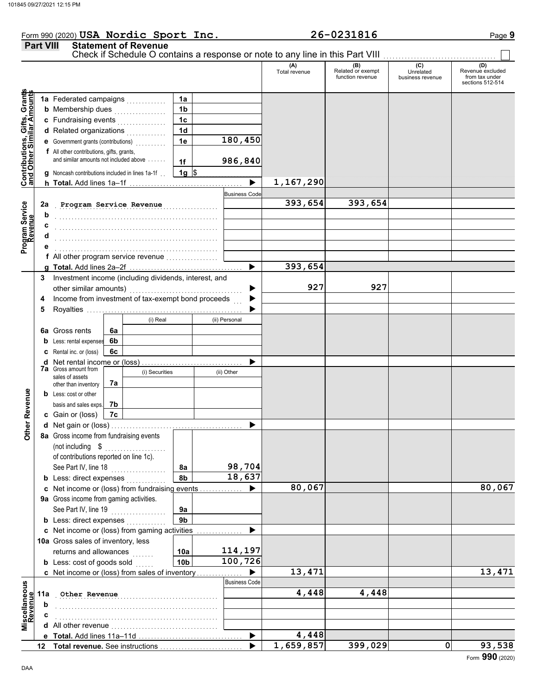### Form 990 (2020) Page **9 USA Nordic Sport Inc. 26-0231816 Part VIII Statement of Revenue** Check if Schedule O contains a response or note to any line in this Part VIII. (A) (B) (C) (C) (D)<br>Total revenue Related or exempt Unrelated Revenue e: Total revenue Related or exempt Unrelated Revenue excluded function revenue business revenue from tax under sections 512-514 **Contributions, Gifts, Grants and Other Similar Amounts** Grant **1a 1a** Federated campaigns . . . . . . . . . . . ifts, Gr<br>r Amol **1b b** Membership dues  $\ldots$  . . . . . . . . . . . . **1c c** Fundraising events <sub>.</sub> . . . . . . . . . . . . ā **1d d** Related organizations <sub>.</sub> . . . . . . . . . . Contributions,<br>and Other Sim **1e 180,450 e** Government grants (contributions) . . . . . . . . . . **f** All other contributions, gifts, grants, and similar amounts not included above  $\dots$ . **986,840 1f 1g g** Noncash contributions included in lines 1a-1f . .  $\frac{1}{2}$ **1,167,290**  $\blacktriangleright$ **h Total.** Add lines 1a–1f . . . . . . . . . . . . . . . . . . . . . . . . . . . . . . . . . . . . . **Business Code** Program Service<br>Revenue . . . . . . . . . . . . . . . . . . . . . . . . . . . . . . . . . . . . . . . . . . . . . . . . . . . . . **Program Service Revenue 393,654 393,654 2a Program Service b** . . . . . . . . . . . . . . . . . . . . . . . . . . . . . . . . . . . . . . . . . . . . . . . . . . . . . **c** . . . . . . . . . . . . . . . . . . . . . . . . . . . . . . . . . . . . . . . . . . . . . . . . . . . . . **d** . . . . . . . . . . . . . . . . . . . . . . . . . . . . . . . . . . . . . . . . . . . . . . . . . . . . . **e** . . . . . . . . . . . . . . . . . . . . . . . . . . . . . . . . . . . . . . . . . . . . . . . . . . . . . **f** All other program service revenue . . . . . . . . . . . . . . . . . **393,654 g Total.** Add lines 2a–2f . . . . . . . . . . . . . . . . . . . . . . . . . . . . . . . . . . . . . **3** Investment income (including dividends, interest, and **927 927** other similar amounts) ь Income from investment of tax-exempt bond proceeds **4**  $\blacktriangleright$ **5** Royalties .... ▶ (i) Real (ii) Personal **6a** Gross rents **6a 6b b** Less: rental expenses **6c c** Rental inc. or (loss) ь **d** Net rental income or (loss) . . . . . . . . . . . . . . . . . . . . . . . . . . . . . . . . . **7a** Gross amount from (i) Securities (ii) Other sales of assets **7a** other than inventory **Other Revenue Other Revenue b** Less: cost or other **7b** basis and sales exps. **7c c** Gain or (loss) **d** Net gain or (loss) . . . . . . . . . . . . . . . . . . . . . . . . . . . . . . . . . . . . . . . . . . . **8a** Gross income from fundraising events (not including \$ . . . . . . . . . . . . . . . . . . . . of contributions reported on line 1c). See Part IV, line 18 . . . . . . . . . . . . . . . . . . **98,704 8a 8b 18,637 b** Less: direct expenses <sub>.</sub> . . . . . . . . . . **80,067 80,067 c** Net income or (loss) from fundraising events . . . . . . . . . . . . . . ▶ **9a** Gross income from gaming activities. See Part IV, line 19 . . . . . . . . . . . . . . . . . . **9a 9b b** Less: direct expenses  $\ldots$ ▶ Net income or (loss) from gaming activities . . . . . . . . . . . . . . . **c** 10a Gross sales of inventory, less **114,197** returns and allowances **10a 100,726 10b b** Less:  $\cosh$  of goods  $\sinh$ **13,471 13,471** ▶ Net income or (loss) from sales of inventory . . . . . . . . . . . . . . . **c** cellaneous<br>Revenue Business Code **Miscellaneous Other Revenue 4,448 4,448 4,448 11a Revenue b** . . . . . . . . . . . . . . . . . . . . . . . . . . . . . . . . . . . . . . . . . . . . . . . . . . . . . **c** . . . . . . . . . . . . . . . . . . . . . . . . . . . . . . . . . . . . . . . . . . . . . . . . . . . . . ă<br>Nă **d** All other revenue . . . . . . . . . . . . . . . . . . . . . . . . . . . . . . . . . . . ь **4,448 Total.** Add lines 11a-11d **e 1,659,857 399,029 0 93,538 Total revenue.** See instructions  $\blacktriangleright$ **12**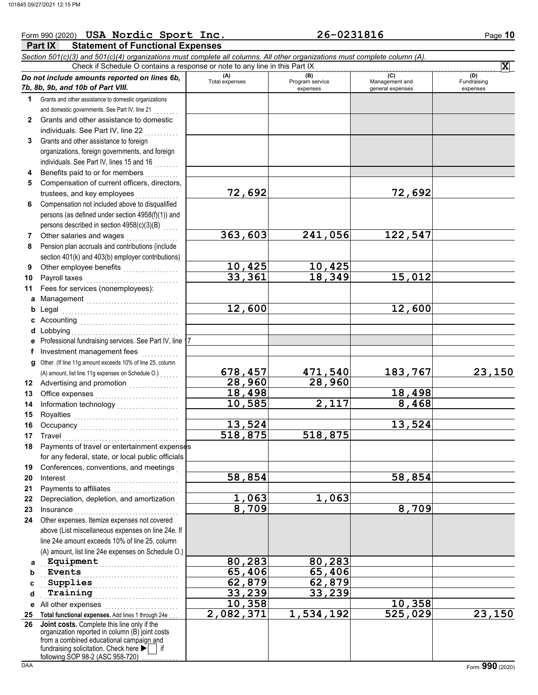**7 8** Other salaries and wages . . . . . . . . . . . . . . . . . Pension plan accruals and contributions (include section 401(k) and 403(b) employer contributions)

## **Part IX Statement of Functional Expenses** Form 990 (2020) Page **10 USA Nordic Sport Inc. 26-0231816** *Section 501(c)(3) and 501(c)(4) organizations must complete all columns. All other organizations must complete column (A). Do not include amounts reported on lines 6b, 7b, 8b, 9b, and 10b of Part VIII.* **1 2 3 4 5 6** Grants and other assistance to domestic organizations and domestic governments. See Part IV, line 21 . . . . . . . . Grants and other assistance to domestic individuals. See Part IV, line 22 Grants and other assistance to foreign organizations, foreign governments, and foreign individuals. See Part IV, lines 15 and 16 Benefits paid to or for members . . . . . . . . . . Compensation of current officers, directors, trustees, and key employees Compensation not included above to disqualified persons (as defined under section 4958(f)(1)) and persons described in section 4958(c)(3)(B) **(A) (B)** (B) (B) (C) (C) (A) (D)<br>Total expenses Program service Management and Fundrai expenses and general expenses (D)<br>Fundraising expenses Check if Schedule O contains a response or note to any line in this Part IX **X 72,692 72,692**

**363,603 241,056 122,547**

| 9  | Other employee benefits                                                                                         | 10,425           | 10,425                |         |        |
|----|-----------------------------------------------------------------------------------------------------------------|------------------|-----------------------|---------|--------|
| 10 |                                                                                                                 | 33,361           | 18,349                | 15,012  |        |
| 11 | Fees for services (nonemployees):                                                                               |                  |                       |         |        |
|    | a Management                                                                                                    |                  |                       |         |        |
|    |                                                                                                                 | 12,600           |                       | 12,600  |        |
|    |                                                                                                                 |                  |                       |         |        |
|    |                                                                                                                 |                  |                       |         |        |
|    | e Professional fundraising services. See Part IV, line 17                                                       |                  |                       |         |        |
|    | f Investment management fees                                                                                    |                  |                       |         |        |
|    | g Other. (If line 11g amount exceeds 10% of line 25, column                                                     |                  |                       |         |        |
|    | (A) amount, list line 11g expenses on Schedule O.)                                                              | 678,457          | 471,540               | 183,767 | 23,150 |
|    | 12 Advertising and promotion                                                                                    | 28,960           | 28,960                |         |        |
| 13 | Office expenses                                                                                                 | 18,498           |                       | 18,498  |        |
| 14 | Information technology<br>                                                                                      | 10,585           | 2,117                 | 8,468   |        |
| 15 |                                                                                                                 |                  |                       |         |        |
| 16 |                                                                                                                 | 13,524           |                       | 13,524  |        |
| 17 |                                                                                                                 | 518,875          | 518,875               |         |        |
| 18 | Payments of travel or entertainment expenses                                                                    |                  |                       |         |        |
|    | for any federal, state, or local public officials                                                               |                  |                       |         |        |
|    | Conferences, conventions, and meetings                                                                          |                  |                       |         |        |
| 19 |                                                                                                                 | 58,854           |                       | 58,854  |        |
| 20 |                                                                                                                 |                  |                       |         |        |
| 21 | Payments to affiliates [11] contains the material contains a payment of the Payment of Payment of Payment and P | 1,063            | 1,063                 |         |        |
| 22 | Depreciation, depletion, and amortization                                                                       | 8,709            |                       | 8,709   |        |
| 23 |                                                                                                                 |                  |                       |         |        |
| 24 | Other expenses. Itemize expenses not covered                                                                    |                  |                       |         |        |
|    | above (List miscellaneous expenses on line 24e. If                                                              |                  |                       |         |        |
|    | line 24e amount exceeds 10% of line 25, column                                                                  |                  |                       |         |        |
|    | (A) amount, list line 24e expenses on Schedule O.)                                                              |                  |                       |         |        |
| a  | Equipment                                                                                                       | 80,283           | 80,283                |         |        |
| b  | Events                                                                                                          | 65,406           | $\overline{65}$ , 406 |         |        |
| C  | Supplies                                                                                                        | 62,879           | 62,879                |         |        |
| d  | Training                                                                                                        | 33,239<br>10,358 | 33,239                | 10,358  |        |
| е  | All other expenses                                                                                              |                  |                       |         |        |
| 25 | Total functional expenses. Add lines 1 through 24e<br>Joint costs. Complete this line only if the               | 2,082,371        | 1,534,192             | 525,029 | 23,150 |
| 26 | organization reported in column (B) joint costs                                                                 |                  |                       |         |        |
|    | from a combined educational campaign and                                                                        |                  |                       |         |        |
|    | fundraising solicitation. Check here $\blacktriangleright$<br>if                                                |                  |                       |         |        |

following SOP 98-2 (ASC 958-720) . . . . . . . . . .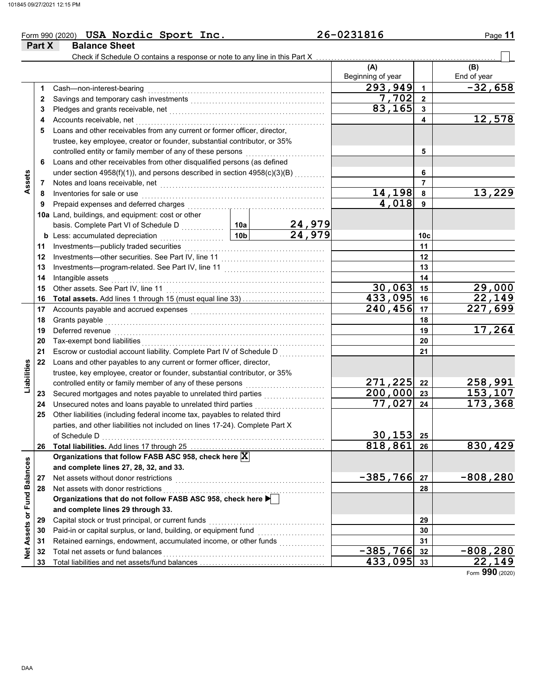| Form 990 (2020) USA Nordic Sport Inc. | 26-0231816 | Page 11 |
|---------------------------------------|------------|---------|
| <b>Part X</b><br><b>Balance Sheet</b> |            |         |

|                             |    | Check if Schedule O contains a response or note to any line in this Part X                                                                                                                                                    |                 |                         |                   |              |                        |
|-----------------------------|----|-------------------------------------------------------------------------------------------------------------------------------------------------------------------------------------------------------------------------------|-----------------|-------------------------|-------------------|--------------|------------------------|
|                             |    |                                                                                                                                                                                                                               |                 |                         | (A)               |              | (B)                    |
|                             |    |                                                                                                                                                                                                                               |                 |                         | Beginning of year |              | End of year            |
|                             | 1. | Cash-non-interest-bearing                                                                                                                                                                                                     |                 |                         | $\sqrt{293,949}$  | $\mathbf{1}$ | $-32,658$              |
|                             | 2  |                                                                                                                                                                                                                               |                 |                         | 7,702             | $\mathbf{2}$ |                        |
|                             | 3  |                                                                                                                                                                                                                               |                 |                         | 83,165            | 3            |                        |
|                             | 4  | Accounts receivable, net                                                                                                                                                                                                      |                 |                         |                   | 4            | 12,578                 |
|                             | 5  | Loans and other receivables from any current or former officer, director,                                                                                                                                                     |                 |                         |                   |              |                        |
|                             |    | trustee, key employee, creator or founder, substantial contributor, or 35%                                                                                                                                                    |                 |                         |                   |              |                        |
|                             |    |                                                                                                                                                                                                                               |                 |                         |                   | 5            |                        |
|                             | 6  | Loans and other receivables from other disqualified persons (as defined                                                                                                                                                       |                 |                         |                   |              |                        |
|                             |    | under section $4958(f)(1)$ ), and persons described in section $4958(c)(3)(B)$                                                                                                                                                |                 |                         |                   | 6            |                        |
| Assets                      | 7  | Notes and loans receivable, net with an architecture of the state of the state of the state of the state of the state of the state of the state of the state of the state of the state of the state of the state of the state |                 |                         |                   | 7            |                        |
|                             | 8  | Inventories for sale or use contained and a series of the state of the state of the state of the state of the                                                                                                                 |                 |                         | 14,198            | 8            | 13,229                 |
|                             | 9  | Prepaid expenses and deferred charges                                                                                                                                                                                         |                 |                         | 4,018             | 9            |                        |
|                             |    | 10a Land, buildings, and equipment: cost or other                                                                                                                                                                             |                 |                         |                   |              |                        |
|                             |    |                                                                                                                                                                                                                               | 10a             |                         |                   |              |                        |
|                             |    | <b>b</b> Less: accumulated depreciation                                                                                                                                                                                       | 10 <sub>b</sub> | $\frac{24,979}{24,979}$ |                   | 10c          |                        |
|                             | 11 |                                                                                                                                                                                                                               |                 |                         |                   | 11           |                        |
|                             | 12 |                                                                                                                                                                                                                               |                 |                         |                   | 12           |                        |
|                             | 13 |                                                                                                                                                                                                                               |                 |                         |                   | 13           |                        |
|                             | 14 | Intangible assets                                                                                                                                                                                                             |                 |                         | 14                |              |                        |
|                             | 15 |                                                                                                                                                                                                                               |                 | $\overline{30}$ , 063   | 15                | 29,000       |                        |
|                             | 16 |                                                                                                                                                                                                                               |                 |                         | 433,095           | 16           | 22,149                 |
|                             | 17 |                                                                                                                                                                                                                               |                 |                         | 240,456           | 17           | $\overline{227}$ , 699 |
|                             | 18 | Grants payable                                                                                                                                                                                                                |                 |                         |                   | 18           |                        |
|                             | 19 |                                                                                                                                                                                                                               |                 |                         |                   | 19           | 17,264                 |
|                             | 20 |                                                                                                                                                                                                                               |                 |                         |                   | 20           |                        |
|                             | 21 | Escrow or custodial account liability. Complete Part IV of Schedule D                                                                                                                                                         |                 |                         |                   | 21           |                        |
|                             | 22 | Loans and other payables to any current or former officer, director,                                                                                                                                                          |                 |                         |                   |              |                        |
| Liabilities                 |    | trustee, key employee, creator or founder, substantial contributor, or 35%                                                                                                                                                    |                 |                         |                   |              |                        |
|                             |    | controlled entity or family member of any of these persons                                                                                                                                                                    |                 |                         | 271,225           | 22           | 258,991                |
|                             | 23 | Secured mortgages and notes payable to unrelated third parties                                                                                                                                                                |                 |                         | $200,000$ 23      |              | 153,107                |
|                             | 24 | Unsecured notes and loans payable to unrelated third parties                                                                                                                                                                  |                 |                         | 77,027            | 24           | 173,368                |
|                             | 25 | Other liabilities (including federal income tax, payables to related third                                                                                                                                                    |                 |                         |                   |              |                        |
|                             |    | parties, and other liabilities not included on lines 17-24). Complete Part X                                                                                                                                                  |                 |                         |                   |              |                        |
|                             |    |                                                                                                                                                                                                                               |                 |                         | $30, 153$ 25      |              |                        |
|                             | 26 | Total liabilities. Add lines 17 through 25                                                                                                                                                                                    |                 |                         | 818,861           | 26           | 830,429                |
|                             |    | Organizations that follow FASB ASC 958, check here X                                                                                                                                                                          |                 |                         |                   |              |                        |
|                             |    | and complete lines 27, 28, 32, and 33.                                                                                                                                                                                        |                 |                         |                   |              |                        |
|                             | 27 | Net assets without donor restrictions                                                                                                                                                                                         |                 |                         | $-385,766$        | 27           | $-808,280$             |
|                             | 28 | Net assets with donor restrictions                                                                                                                                                                                            |                 |                         |                   | 28           |                        |
|                             |    | Organizations that do not follow FASB ASC 958, check here                                                                                                                                                                     |                 |                         |                   |              |                        |
|                             |    | and complete lines 29 through 33.                                                                                                                                                                                             |                 |                         |                   |              |                        |
|                             | 29 | Capital stock or trust principal, or current funds                                                                                                                                                                            |                 |                         |                   | 29           |                        |
|                             | 30 | Paid-in or capital surplus, or land, building, or equipment fund                                                                                                                                                              |                 |                         |                   | 30           |                        |
| Net Assets or Fund Balances | 31 | Retained earnings, endowment, accumulated income, or other funds                                                                                                                                                              |                 |                         |                   | 31           |                        |
|                             | 32 | Total net assets or fund balances                                                                                                                                                                                             |                 |                         | $-385,766$        | 32           | $-808,280$             |
|                             | 33 |                                                                                                                                                                                                                               |                 |                         | 433,095           | 33           | 22,149                 |

Form **990** (2020)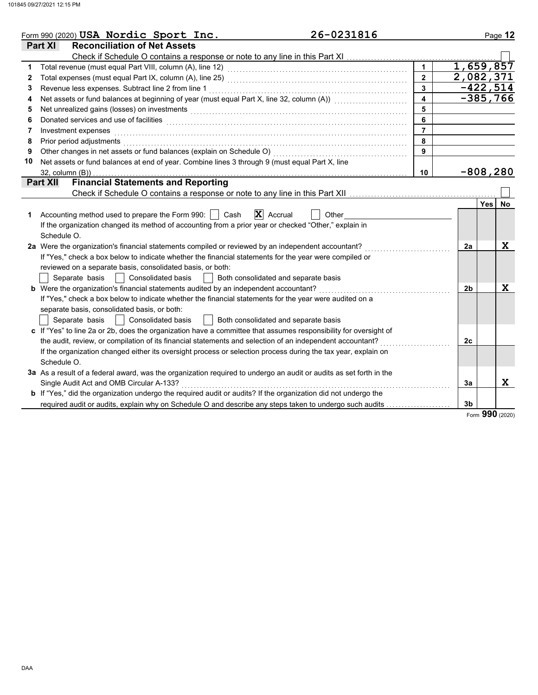|              | 26-0231816<br>Form 990 (2020) USA Nordic Sport Inc.                                                                                                                                                                                 |                         |    | Page 12          |
|--------------|-------------------------------------------------------------------------------------------------------------------------------------------------------------------------------------------------------------------------------------|-------------------------|----|------------------|
|              | <b>Reconciliation of Net Assets</b><br><b>Part XI</b>                                                                                                                                                                               |                         |    |                  |
|              |                                                                                                                                                                                                                                     |                         |    |                  |
| 1            |                                                                                                                                                                                                                                     | $\mathbf{1}$            |    | 1,659,857        |
| $\mathbf{2}$ |                                                                                                                                                                                                                                     | $\overline{2}$          |    | 2,082,371        |
| 3            | Revenue less expenses. Subtract line 2 from line 1                                                                                                                                                                                  | $\overline{3}$          |    | $-422, 514$      |
| 4            | Net assets or fund balances at beginning of year (must equal Part X, line 32, column (A)) [[[[[[[[[[[[[[[[[[[                                                                                                                       | $\overline{\mathbf{4}}$ |    | $-385,766$       |
| 5            | Net unrealized gains (losses) on investments [11] with the contract of the state of the state of the state of the state of the state of the state of the state of the state of the state of the state of the state of the stat      | 5                       |    |                  |
| 6            | Donated services and use of facilities <b>constructs</b> and the construction of the service of the construction of the construction of the construction of the construction of the construction of the construction of the constru | 6                       |    |                  |
| 7            | Investment expenses                                                                                                                                                                                                                 | $\overline{7}$          |    |                  |
| 8            | Prior period adjustments entertainment and the control of the control of the control of the control of the control of the control of the control of the control of the control of the control of the control of the control of      | 8                       |    |                  |
| 9            |                                                                                                                                                                                                                                     | $\mathbf{9}$            |    |                  |
| 10           | Net assets or fund balances at end of year. Combine lines 3 through 9 (must equal Part X, line                                                                                                                                      |                         |    |                  |
|              |                                                                                                                                                                                                                                     | 10                      |    | $-808,280$       |
|              | <b>Financial Statements and Reporting</b><br>Part XII                                                                                                                                                                               |                         |    |                  |
|              |                                                                                                                                                                                                                                     |                         |    |                  |
|              |                                                                                                                                                                                                                                     |                         |    | <b>Yes</b><br>No |
| 1            | $\mathbf{X}$ Accrual<br>Accounting method used to prepare the Form 990:     Cash<br>Other                                                                                                                                           |                         |    |                  |
|              | If the organization changed its method of accounting from a prior year or checked "Other," explain in                                                                                                                               |                         |    |                  |
|              | Schedule O.                                                                                                                                                                                                                         |                         |    |                  |
|              | 2a Were the organization's financial statements compiled or reviewed by an independent accountant?                                                                                                                                  |                         | 2a | X                |
|              | If "Yes," check a box below to indicate whether the financial statements for the year were compiled or                                                                                                                              |                         |    |                  |
|              | reviewed on a separate basis, consolidated basis, or both:                                                                                                                                                                          |                         |    |                  |
|              | Separate basis<br><b>Consolidated basis</b><br>Both consolidated and separate basis<br>$\mathcal{L}$                                                                                                                                |                         |    |                  |
|              | <b>b</b> Were the organization's financial statements audited by an independent accountant?                                                                                                                                         |                         | 2b | $\mathbf x$      |
|              | If "Yes," check a box below to indicate whether the financial statements for the year were audited on a                                                                                                                             |                         |    |                  |
|              | separate basis, consolidated basis, or both:                                                                                                                                                                                        |                         |    |                  |
|              | Separate basis<br><b>Consolidated basis</b><br>Both consolidated and separate basis                                                                                                                                                 |                         |    |                  |
|              | c If "Yes" to line 2a or 2b, does the organization have a committee that assumes responsibility for oversight of                                                                                                                    |                         |    |                  |
|              | the audit, review, or compilation of its financial statements and selection of an independent accountant?                                                                                                                           |                         | 2c |                  |
|              | If the organization changed either its oversight process or selection process during the tax year, explain on                                                                                                                       |                         |    |                  |
|              | Schedule O.                                                                                                                                                                                                                         |                         |    |                  |
|              | 3a As a result of a federal award, was the organization required to undergo an audit or audits as set forth in the                                                                                                                  |                         |    |                  |
|              | Single Audit Act and OMB Circular A-133?                                                                                                                                                                                            |                         | 3a | X                |
|              | <b>b</b> If "Yes," did the organization undergo the required audit or audits? If the organization did not undergo the                                                                                                               |                         |    |                  |
|              | required audit or audits, explain why on Schedule O and describe any steps taken to undergo such audits                                                                                                                             |                         | 3b |                  |

Form **990** (2020)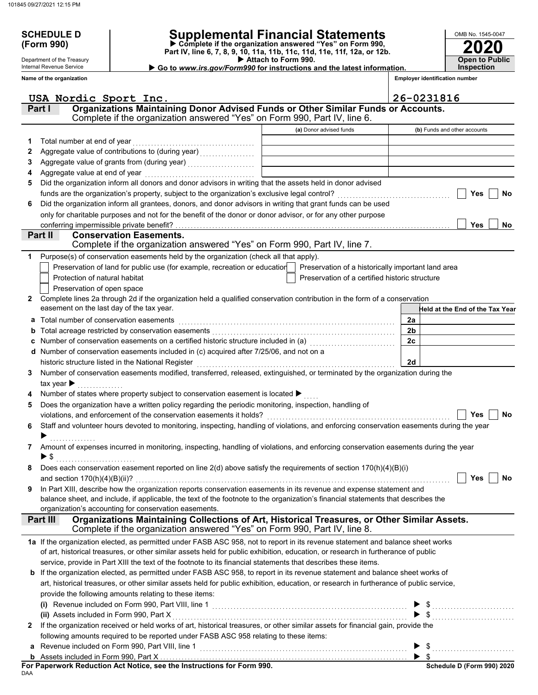Department of the Treasury Internal Revenue Service

# **SCHEDULE D Supplemental Financial Statements**

 **Attach to Form 990. (Form 990) Part IV, line 6, 7, 8, 9, 10, 11a, 11b, 11c, 11d, 11e, 11f, 12a, or 12b. Complete if the organization answered "Yes" on Form 990,**

 **Go to** *www.irs.gov/Form990* **for instructions and the latest information.**

**Inspection**

**2020**

**Open to Public**

OMB No. 1545-0047

|              | Name of the organization                                                                                                                                                                                                                                             |                                                | <b>Employer identification number</b> |
|--------------|----------------------------------------------------------------------------------------------------------------------------------------------------------------------------------------------------------------------------------------------------------------------|------------------------------------------------|---------------------------------------|
|              | USA Nordic Sport Inc.                                                                                                                                                                                                                                                |                                                | 26-0231816                            |
|              | Organizations Maintaining Donor Advised Funds or Other Similar Funds or Accounts.<br>Part I<br>Complete if the organization answered "Yes" on Form 990, Part IV, line 6.                                                                                             |                                                |                                       |
|              |                                                                                                                                                                                                                                                                      | (a) Donor advised funds                        | (b) Funds and other accounts          |
|              |                                                                                                                                                                                                                                                                      |                                                |                                       |
| 1.           | Total number at end of year<br>Aggregate value of contributions to (during year) [11] Aggregate value of contributions of the during year)                                                                                                                           |                                                |                                       |
| 2<br>З       |                                                                                                                                                                                                                                                                      |                                                |                                       |
| 4            | Aggregate value at end of year                                                                                                                                                                                                                                       |                                                |                                       |
| 5            | Did the organization inform all donors and donor advisors in writing that the assets held in donor advised                                                                                                                                                           |                                                |                                       |
|              | funds are the organization's property, subject to the organization's exclusive legal control?                                                                                                                                                                        |                                                | Yes<br><b>No</b>                      |
| 6            | Did the organization inform all grantees, donors, and donor advisors in writing that grant funds can be used                                                                                                                                                         |                                                |                                       |
|              | only for charitable purposes and not for the benefit of the donor or donor advisor, or for any other purpose                                                                                                                                                         |                                                |                                       |
|              | conferring impermissible private benefit?                                                                                                                                                                                                                            |                                                | <b>Yes</b><br>No                      |
|              | Part II<br><b>Conservation Easements.</b>                                                                                                                                                                                                                            |                                                |                                       |
|              | Complete if the organization answered "Yes" on Form 990, Part IV, line 7.                                                                                                                                                                                            |                                                |                                       |
| 1            | Purpose(s) of conservation easements held by the organization (check all that apply).                                                                                                                                                                                |                                                |                                       |
|              | Preservation of land for public use (for example, recreation or educatior   Preservation of a historically important land area                                                                                                                                       |                                                |                                       |
|              | Protection of natural habitat                                                                                                                                                                                                                                        | Preservation of a certified historic structure |                                       |
|              | Preservation of open space                                                                                                                                                                                                                                           |                                                |                                       |
| $\mathbf{2}$ | Complete lines 2a through 2d if the organization held a qualified conservation contribution in the form of a conservation                                                                                                                                            |                                                |                                       |
|              | easement on the last day of the tax year.                                                                                                                                                                                                                            |                                                | Held at the End of the Tax Year       |
| a            | Total number of conservation easements                                                                                                                                                                                                                               |                                                | 2a                                    |
| b            |                                                                                                                                                                                                                                                                      |                                                | 2 <sub>b</sub>                        |
| c            |                                                                                                                                                                                                                                                                      |                                                | 2c                                    |
| d            | Number of conservation easements included in (c) acquired after 7/25/06, and not on a                                                                                                                                                                                |                                                |                                       |
|              | historic structure listed in the National Register                                                                                                                                                                                                                   |                                                | 2d                                    |
| 3            | Number of conservation easements modified, transferred, released, extinguished, or terminated by the organization during the                                                                                                                                         |                                                |                                       |
|              | tax year $\blacktriangleright$                                                                                                                                                                                                                                       |                                                |                                       |
|              | Number of states where property subject to conservation easement is located ▶                                                                                                                                                                                        |                                                |                                       |
| 5            | Does the organization have a written policy regarding the periodic monitoring, inspection, handling of<br>violations, and enforcement of the conservation easements it holds?                                                                                        |                                                | No<br>Yes                             |
| 6            | Staff and volunteer hours devoted to monitoring, inspecting, handling of violations, and enforcing conservation easements during the year                                                                                                                            |                                                |                                       |
|              |                                                                                                                                                                                                                                                                      |                                                |                                       |
| 7            | Amount of expenses incurred in monitoring, inspecting, handling of violations, and enforcing conservation easements during the year                                                                                                                                  |                                                |                                       |
|              | $\blacktriangleright$ \$                                                                                                                                                                                                                                             |                                                |                                       |
|              | Does each conservation easement reported on line $2(d)$ above satisfy the requirements of section $170(h)(4)(B)(i)$                                                                                                                                                  |                                                |                                       |
|              | and section $170(h)(4)(B)(ii)$ ?                                                                                                                                                                                                                                     |                                                | Yes<br><b>No</b>                      |
| 9            | In Part XIII, describe how the organization reports conservation easements in its revenue and expense statement and                                                                                                                                                  |                                                |                                       |
|              | balance sheet, and include, if applicable, the text of the footnote to the organization's financial statements that describes the                                                                                                                                    |                                                |                                       |
|              | organization's accounting for conservation easements.                                                                                                                                                                                                                |                                                |                                       |
|              | Organizations Maintaining Collections of Art, Historical Treasures, or Other Similar Assets.<br>Part III<br>Complete if the organization answered "Yes" on Form 990, Part IV, line 8.                                                                                |                                                |                                       |
|              |                                                                                                                                                                                                                                                                      |                                                |                                       |
|              | 1a If the organization elected, as permitted under FASB ASC 958, not to report in its revenue statement and balance sheet works<br>of art, historical treasures, or other similar assets held for public exhibition, education, or research in furtherance of public |                                                |                                       |
|              | service, provide in Part XIII the text of the footnote to its financial statements that describes these items.                                                                                                                                                       |                                                |                                       |
|              | b If the organization elected, as permitted under FASB ASC 958, to report in its revenue statement and balance sheet works of                                                                                                                                        |                                                |                                       |
|              | art, historical treasures, or other similar assets held for public exhibition, education, or research in furtherance of public service,                                                                                                                              |                                                |                                       |
|              | provide the following amounts relating to these items:                                                                                                                                                                                                               |                                                |                                       |
|              | (i) Revenue included on Form 990, Part VIII, line 1                                                                                                                                                                                                                  |                                                |                                       |
|              | (ii) Assets included in Form 990, Part X                                                                                                                                                                                                                             |                                                |                                       |
| 2            | If the organization received or held works of art, historical treasures, or other similar assets for financial gain, provide the                                                                                                                                     |                                                |                                       |
|              | following amounts required to be reported under FASB ASC 958 relating to these items:                                                                                                                                                                                |                                                |                                       |
| a            | Revenue included on Form 990, Part VIII, line 1                                                                                                                                                                                                                      |                                                |                                       |
|              |                                                                                                                                                                                                                                                                      |                                                |                                       |

DAA **For Paperwork Reduction Act Notice, see the Instructions for Form 990.**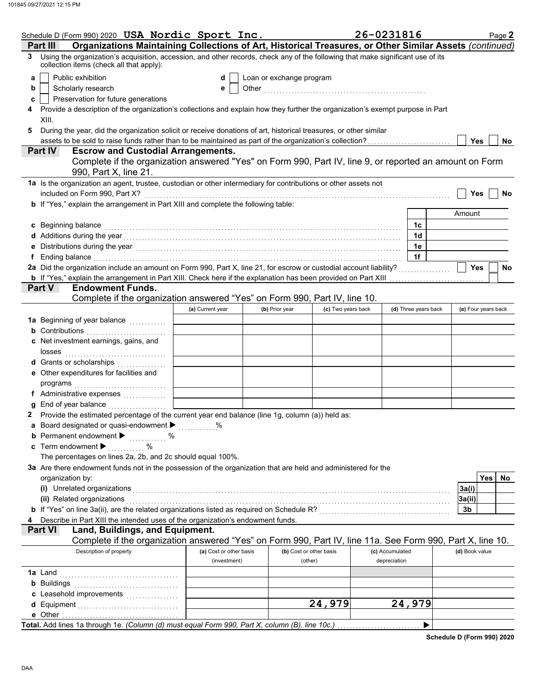|                   | Schedule D (Form 990) 2020 USA Nordic Sport Inc.                                                                                                                                                                               |                         |                          |                         | 26-0231816      |                      | Page 2              |
|-------------------|--------------------------------------------------------------------------------------------------------------------------------------------------------------------------------------------------------------------------------|-------------------------|--------------------------|-------------------------|-----------------|----------------------|---------------------|
|                   | Organizations Maintaining Collections of Art, Historical Treasures, or Other Similar Assets (continued)<br>Part III                                                                                                            |                         |                          |                         |                 |                      |                     |
| 3                 | Using the organization's acquisition, accession, and other records, check any of the following that make significant use of its<br>collection items (check all that apply):                                                    |                         |                          |                         |                 |                      |                     |
| a                 | Public exhibition                                                                                                                                                                                                              | d                       | Loan or exchange program |                         |                 |                      |                     |
| b                 | Scholarly research<br>е                                                                                                                                                                                                        |                         |                          |                         |                 |                      |                     |
| c                 | Preservation for future generations                                                                                                                                                                                            |                         |                          |                         |                 |                      |                     |
| 4                 | Provide a description of the organization's collections and explain how they further the organization's exempt purpose in Part                                                                                                 |                         |                          |                         |                 |                      |                     |
|                   | XIII.                                                                                                                                                                                                                          |                         |                          |                         |                 |                      |                     |
| 5                 | During the year, did the organization solicit or receive donations of art, historical treasures, or other similar                                                                                                              |                         |                          |                         |                 |                      |                     |
|                   | assets to be sold to raise funds rather than to be maintained as part of the organization's collection?                                                                                                                        |                         |                          |                         |                 |                      | Yes<br>No           |
|                   | <b>Escrow and Custodial Arrangements.</b><br><b>Part IV</b>                                                                                                                                                                    |                         |                          |                         |                 |                      |                     |
|                   | Complete if the organization answered "Yes" on Form 990, Part IV, line 9, or reported an amount on Form<br>990, Part X, line 21.                                                                                               |                         |                          |                         |                 |                      |                     |
|                   | 1a Is the organization an agent, trustee, custodian or other intermediary for contributions or other assets not                                                                                                                |                         |                          |                         |                 |                      |                     |
|                   | included on Form 990, Part X?                                                                                                                                                                                                  |                         |                          |                         |                 |                      | Yes<br>No           |
|                   | b If "Yes," explain the arrangement in Part XIII and complete the following table:                                                                                                                                             |                         |                          |                         |                 |                      |                     |
|                   |                                                                                                                                                                                                                                |                         |                          |                         |                 |                      | Amount              |
|                   | c Beginning balance                                                                                                                                                                                                            |                         |                          |                         |                 | 1c                   |                     |
|                   |                                                                                                                                                                                                                                |                         |                          |                         |                 | 1d                   |                     |
|                   | e Distributions during the year manufactured contains and the vertex of the vertex and the vertex of the vertex of the vertex of the vertex of the vertex of the vertex of the vertex of the vertex of the vertex of the verte |                         |                          |                         |                 | 1e                   |                     |
| f                 | Ending balance with a construction of the construction of the construction of the construction of the construction of the construction of the construction of the construction of the construction of the construction of the  |                         |                          |                         |                 | 1f                   |                     |
|                   | 2a Did the organization include an amount on Form 990, Part X, line 21, for escrow or custodial account liability?                                                                                                             |                         |                          |                         |                 |                      | <b>Yes</b><br>No    |
|                   | b If "Yes," explain the arrangement in Part XIII. Check here if the explanation has been provided on Part XIII                                                                                                                 |                         |                          |                         |                 |                      |                     |
|                   | <b>Endowment Funds.</b><br>Part V                                                                                                                                                                                              |                         |                          |                         |                 |                      |                     |
|                   | Complete if the organization answered "Yes" on Form 990, Part IV, line 10.                                                                                                                                                     |                         |                          |                         |                 |                      |                     |
|                   |                                                                                                                                                                                                                                | (a) Current year        | (b) Prior year           | (c) Two years back      |                 | (d) Three years back | (e) Four years back |
|                   | 1a Beginning of year balance                                                                                                                                                                                                   |                         |                          |                         |                 |                      |                     |
|                   | <b>b</b> Contributions                                                                                                                                                                                                         |                         |                          |                         |                 |                      |                     |
|                   | c Net investment earnings, gains, and                                                                                                                                                                                          |                         |                          |                         |                 |                      |                     |
|                   |                                                                                                                                                                                                                                |                         |                          |                         |                 |                      |                     |
|                   | d Grants or scholarships                                                                                                                                                                                                       |                         |                          |                         |                 |                      |                     |
|                   | e Other expenditures for facilities and                                                                                                                                                                                        |                         |                          |                         |                 |                      |                     |
|                   |                                                                                                                                                                                                                                |                         |                          |                         |                 |                      |                     |
|                   | f Administrative expenses<br>End of year balance <i>minimization</i>                                                                                                                                                           |                         |                          |                         |                 |                      |                     |
| a<br>$\mathbf{2}$ | Provide the estimated percentage of the current year end balance (line 1g, column (a)) held as:                                                                                                                                |                         |                          |                         |                 |                      |                     |
|                   | a Board designated or quasi-endowment >                                                                                                                                                                                        |                         |                          |                         |                 |                      |                     |
|                   | <b>b</b> Permanent endowment $\blacktriangleright$                                                                                                                                                                             |                         |                          |                         |                 |                      |                     |
|                   | c Term endowment $\blacktriangleright$                                                                                                                                                                                         |                         |                          |                         |                 |                      |                     |
|                   | The percentages on lines 2a, 2b, and 2c should equal 100%.                                                                                                                                                                     |                         |                          |                         |                 |                      |                     |
|                   | 3a Are there endowment funds not in the possession of the organization that are held and administered for the                                                                                                                  |                         |                          |                         |                 |                      |                     |
|                   | organization by:                                                                                                                                                                                                               |                         |                          |                         |                 |                      | Yes<br>No.          |
|                   | (i) Unrelated organizations entertainment and all the contract of the contract of the contract of the contract of the contract of the contract of the contract of the contract of the contract of the contract of the contract |                         |                          |                         |                 |                      | 3a(i)               |
|                   | (ii) Related organizations                                                                                                                                                                                                     |                         |                          |                         |                 |                      | 3a(ii)              |
|                   |                                                                                                                                                                                                                                |                         |                          |                         |                 |                      | 3b                  |
|                   | Describe in Part XIII the intended uses of the organization's endowment funds.                                                                                                                                                 |                         |                          |                         |                 |                      |                     |
|                   | Land, Buildings, and Equipment.<br><b>Part VI</b>                                                                                                                                                                              |                         |                          |                         |                 |                      |                     |
|                   | Complete if the organization answered "Yes" on Form 990, Part IV, line 11a. See Form 990, Part X, line 10.                                                                                                                     |                         |                          |                         |                 |                      |                     |
|                   | Description of property                                                                                                                                                                                                        | (a) Cost or other basis |                          | (b) Cost or other basis | (c) Accumulated |                      | (d) Book value      |
|                   |                                                                                                                                                                                                                                | (investment)            |                          | (other)                 | depreciation    |                      |                     |
|                   |                                                                                                                                                                                                                                |                         |                          |                         |                 |                      |                     |
|                   |                                                                                                                                                                                                                                |                         |                          |                         |                 |                      |                     |
|                   | c Leasehold improvements                                                                                                                                                                                                       |                         |                          |                         |                 |                      |                     |
|                   |                                                                                                                                                                                                                                |                         |                          | 24,979                  |                 | 24,979               |                     |
|                   |                                                                                                                                                                                                                                |                         |                          |                         |                 |                      |                     |
|                   | Total. Add lines 1a through 1e. (Column (d) must equal Form 990, Part X, column (B), line 10c.)                                                                                                                                |                         |                          |                         |                 | ▶                    |                     |

**Schedule D (Form 990) 2020**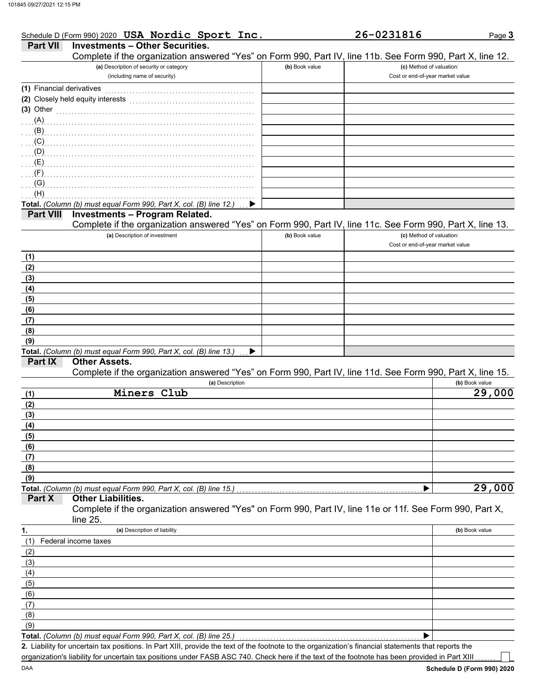DAA

|                           | Schedule D (Form 990) 2020 USA Nordic Sport Inc.                                                           |                | 26-0231816                       | Page 3              |
|---------------------------|------------------------------------------------------------------------------------------------------------|----------------|----------------------------------|---------------------|
| <b>Part VII</b>           | <b>Investments - Other Securities.</b>                                                                     |                |                                  |                     |
|                           | Complete if the organization answered "Yes" on Form 990, Part IV, line 11b. See Form 990, Part X, line 12. |                |                                  |                     |
|                           | (a) Description of security or category                                                                    | (b) Book value | (c) Method of valuation:         |                     |
|                           | (including name of security)                                                                               |                | Cost or end-of-year market value |                     |
| (1) Financial derivatives |                                                                                                            |                |                                  |                     |
|                           | (2) Closely held equity interests                                                                          |                |                                  |                     |
| $(3)$ Other               |                                                                                                            |                |                                  |                     |
| (A)                       |                                                                                                            |                |                                  |                     |
| (B)                       |                                                                                                            |                |                                  |                     |
| (C)                       |                                                                                                            |                |                                  |                     |
| (D)                       |                                                                                                            |                |                                  |                     |
| (E)                       |                                                                                                            |                |                                  |                     |
| (F)                       |                                                                                                            |                |                                  |                     |
| (G)                       |                                                                                                            |                |                                  |                     |
| (H)                       |                                                                                                            |                |                                  |                     |
|                           | Total. (Column (b) must equal Form 990, Part X, col. (B) line 12.)                                         |                |                                  |                     |
| <b>Part VIII</b>          | <b>Investments - Program Related.</b>                                                                      |                |                                  |                     |
|                           | Complete if the organization answered "Yes" on Form 990, Part IV, line 11c. See Form 990, Part X, line 13. |                |                                  |                     |
|                           | (a) Description of investment                                                                              | (b) Book value | (c) Method of valuation:         |                     |
|                           |                                                                                                            |                | Cost or end-of-year market value |                     |
| (1)                       |                                                                                                            |                |                                  |                     |
| (2)                       |                                                                                                            |                |                                  |                     |
| (3)                       |                                                                                                            |                |                                  |                     |
| (4)                       |                                                                                                            |                |                                  |                     |
| (5)                       |                                                                                                            |                |                                  |                     |
| (6)                       |                                                                                                            |                |                                  |                     |
| (7)                       |                                                                                                            |                |                                  |                     |
| (8)                       |                                                                                                            |                |                                  |                     |
| (9)                       |                                                                                                            |                |                                  |                     |
|                           | Total. (Column (b) must equal Form 990, Part X, col. (B) line 13.)                                         |                |                                  |                     |
| Part IX                   | <b>Other Assets.</b>                                                                                       |                |                                  |                     |
|                           | Complete if the organization answered "Yes" on Form 990, Part IV, line 11d. See Form 990, Part X, line 15. |                |                                  |                     |
|                           | (a) Description                                                                                            |                |                                  | (b) Book value      |
| (1)                       | Miners Club                                                                                                |                |                                  | $\overline{29,000}$ |
| (2)                       |                                                                                                            |                |                                  |                     |
| (3)                       |                                                                                                            |                |                                  |                     |
| (4)                       |                                                                                                            |                |                                  |                     |
| (5)                       |                                                                                                            |                |                                  |                     |
| (6)                       |                                                                                                            |                |                                  |                     |
| (7)                       |                                                                                                            |                |                                  |                     |
| (8)                       |                                                                                                            |                |                                  |                     |
| (9)                       |                                                                                                            |                |                                  |                     |
|                           | Total. (Column (b) must equal Form 990, Part X, col. (B) line 15.)                                         |                |                                  | 29,000              |
| Part X                    | <b>Other Liabilities.</b>                                                                                  |                |                                  |                     |
|                           | Complete if the organization answered "Yes" on Form 990, Part IV, line 11e or 11f. See Form 990, Part X,   |                |                                  |                     |
|                           | line 25.                                                                                                   |                |                                  |                     |
| 1.                        | (a) Description of liability                                                                               |                |                                  | (b) Book value      |
| (1)                       | Federal income taxes                                                                                       |                |                                  |                     |
| (2)                       |                                                                                                            |                |                                  |                     |
| (3)                       |                                                                                                            |                |                                  |                     |
| (4)                       |                                                                                                            |                |                                  |                     |
| (5)                       |                                                                                                            |                |                                  |                     |
| (6)                       |                                                                                                            |                |                                  |                     |
| (7)                       |                                                                                                            |                |                                  |                     |
| (8)                       |                                                                                                            |                |                                  |                     |
| (9)                       |                                                                                                            |                |                                  |                     |
|                           | Total. (Column (b) must equal Form 990, Part X, col. (B) line 25.)                                         |                | ▶                                |                     |

Liability for uncertain tax positions. In Part XIII, provide the text of the footnote to the organization's financial statements that reports the **2.** organization's liability for uncertain tax positions under FASB ASC 740. Check here if the text of the footnote has been provided in Part XIII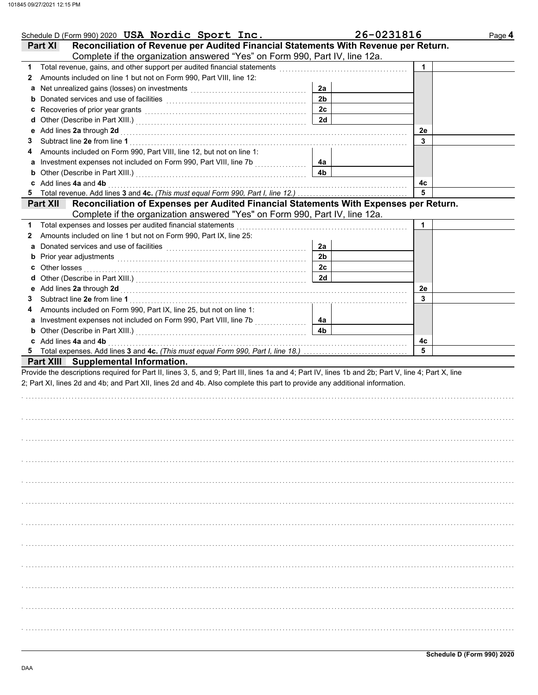| Schedule D (Form 990) 2020 USA Nordic Sport Inc.                                                                                                                                                                               |                      | 26-0231816 | Page 4 |
|--------------------------------------------------------------------------------------------------------------------------------------------------------------------------------------------------------------------------------|----------------------|------------|--------|
| Reconciliation of Revenue per Audited Financial Statements With Revenue per Return.<br>Part XI                                                                                                                                 |                      |            |        |
| Complete if the organization answered "Yes" on Form 990, Part IV, line 12a.                                                                                                                                                    |                      |            |        |
| Total revenue, gains, and other support per audited financial statements<br>1.                                                                                                                                                 |                      | 1          |        |
| Amounts included on line 1 but not on Form 990, Part VIII, line 12:<br>2                                                                                                                                                       |                      |            |        |
|                                                                                                                                                                                                                                | 2a                   |            |        |
|                                                                                                                                                                                                                                | 2 <sub>b</sub>       |            |        |
|                                                                                                                                                                                                                                | 2c                   |            |        |
|                                                                                                                                                                                                                                | 2d                   |            |        |
| e Add lines 2a through 2d                                                                                                                                                                                                      |                      | 2e         |        |
| 3                                                                                                                                                                                                                              |                      | 3          |        |
| Amounts included on Form 990, Part VIII, line 12, but not on line 1:<br>4                                                                                                                                                      |                      |            |        |
| a Investment expenses not included on Form 990, Part VIII, line 7b<br>.                                                                                                                                                        | 4a                   |            |        |
| <b>b</b> Other (Describe in Part XIII.) <b>CONSIDENT DESCRIPTION DESCRIPTION DESCRIPTION DESCRIPTION DESCRIPTION DESCRIPTION DESCRIPTION DESCRIPTION DESCRIPTION DESCRIPTION DESCRIPTION DESCRIPTION DESCRI</b>                | 4b                   |            |        |
| c Add lines 4a and 4b                                                                                                                                                                                                          |                      | 4c         |        |
| 5.                                                                                                                                                                                                                             |                      | 5          |        |
| Reconciliation of Expenses per Audited Financial Statements With Expenses per Return.<br><b>Part XII</b>                                                                                                                       |                      |            |        |
| Complete if the organization answered "Yes" on Form 990, Part IV, line 12a.                                                                                                                                                    |                      |            |        |
| Total expenses and losses per audited financial statements<br>1                                                                                                                                                                |                      | 1          |        |
| Amounts included on line 1 but not on Form 990, Part IX, line 25:<br>2                                                                                                                                                         |                      |            |        |
| a Donated services and use of facilities [11] content to content the service of the service of the service of the service of the service of the service of the service of the service of the service of the service of the ser | 2a<br>2 <sub>b</sub> |            |        |
| <b>b</b> Prior year adjustments <b>contained contained contained and prior contained a</b>                                                                                                                                     |                      |            |        |
| <b>c</b> Other losses                                                                                                                                                                                                          | 2c<br>2d             |            |        |
|                                                                                                                                                                                                                                |                      |            |        |
|                                                                                                                                                                                                                                |                      | 2e<br>3    |        |
| 3                                                                                                                                                                                                                              |                      |            |        |
| Amounts included on Form 990, Part IX, line 25, but not on line 1:<br>4<br>a Investment expenses not included on Form 990, Part VIII, line 7b                                                                                  | 4a                   |            |        |
| <u> 1986 - Andrea Steinberg, ameri</u> kan                                                                                                                                                                                     | 4 <sub>b</sub>       |            |        |
| c Add lines 4a and 4b                                                                                                                                                                                                          |                      | 4с         |        |
|                                                                                                                                                                                                                                |                      | 5          |        |
| <b>Part XIII Supplemental Information.</b>                                                                                                                                                                                     |                      |            |        |
| Provide the descriptions required for Part II, lines 3, 5, and 9; Part III, lines 1a and 4; Part IV, lines 1b and 2b; Part V, line 4; Part X, line                                                                             |                      |            |        |
| 2; Part XI, lines 2d and 4b; and Part XII, lines 2d and 4b. Also complete this part to provide any additional information.                                                                                                     |                      |            |        |
|                                                                                                                                                                                                                                |                      |            |        |
|                                                                                                                                                                                                                                |                      |            |        |
|                                                                                                                                                                                                                                |                      |            |        |
|                                                                                                                                                                                                                                |                      |            |        |
|                                                                                                                                                                                                                                |                      |            |        |
|                                                                                                                                                                                                                                |                      |            |        |
|                                                                                                                                                                                                                                |                      |            |        |
|                                                                                                                                                                                                                                |                      |            |        |
|                                                                                                                                                                                                                                |                      |            |        |
|                                                                                                                                                                                                                                |                      |            |        |
|                                                                                                                                                                                                                                |                      |            |        |
|                                                                                                                                                                                                                                |                      |            |        |
|                                                                                                                                                                                                                                |                      |            |        |
|                                                                                                                                                                                                                                |                      |            |        |
|                                                                                                                                                                                                                                |                      |            |        |
|                                                                                                                                                                                                                                |                      |            |        |
|                                                                                                                                                                                                                                |                      |            |        |
|                                                                                                                                                                                                                                |                      |            |        |
|                                                                                                                                                                                                                                |                      |            |        |
|                                                                                                                                                                                                                                |                      |            |        |
|                                                                                                                                                                                                                                |                      |            |        |
|                                                                                                                                                                                                                                |                      |            |        |
|                                                                                                                                                                                                                                |                      |            |        |
|                                                                                                                                                                                                                                |                      |            |        |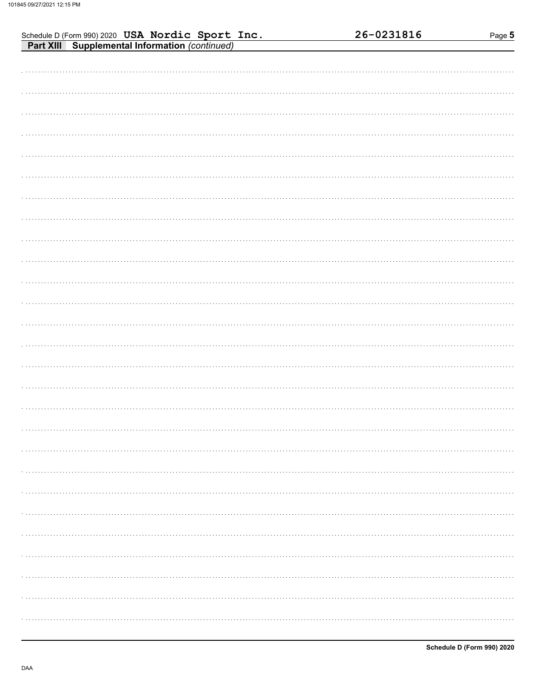| Schedule D (Form 990) 2020 USA Nordic Sport Inc.<br>Part XIII Supplemental Information (continued) | 26-0231816 | Page 5 |
|----------------------------------------------------------------------------------------------------|------------|--------|
|                                                                                                    |            |        |
|                                                                                                    |            |        |
|                                                                                                    |            |        |
|                                                                                                    |            |        |
|                                                                                                    |            |        |
|                                                                                                    |            |        |
|                                                                                                    |            |        |
|                                                                                                    |            |        |
|                                                                                                    |            |        |
|                                                                                                    |            |        |
|                                                                                                    |            |        |
|                                                                                                    |            |        |
|                                                                                                    |            |        |
|                                                                                                    |            |        |
|                                                                                                    |            |        |
|                                                                                                    |            |        |
|                                                                                                    |            |        |
|                                                                                                    |            |        |
|                                                                                                    |            |        |
|                                                                                                    |            |        |
|                                                                                                    |            |        |
|                                                                                                    |            |        |
|                                                                                                    |            |        |
|                                                                                                    |            |        |
|                                                                                                    |            |        |
|                                                                                                    |            |        |
|                                                                                                    |            |        |
|                                                                                                    |            |        |
|                                                                                                    |            |        |
|                                                                                                    |            |        |
|                                                                                                    |            |        |
|                                                                                                    |            |        |
|                                                                                                    |            |        |
|                                                                                                    |            |        |
|                                                                                                    |            |        |
|                                                                                                    |            |        |
|                                                                                                    |            |        |
|                                                                                                    |            |        |
|                                                                                                    |            |        |
|                                                                                                    |            |        |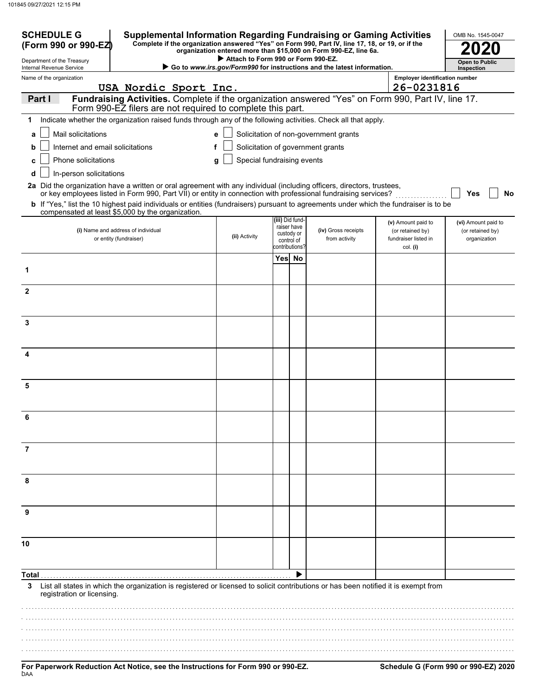| <b>SCHEDULE G</b><br><b>Supplemental Information Regarding Fundraising or Gaming Activities</b><br>Complete if the organization answered "Yes" on Form 990, Part IV, line 17, 18, or 19, or if the<br>(Form 990 or 990-EZ)<br>organization entered more than \$15,000 on Form 990-EZ, line 6a. |                                                                                                                                                                                            |                                    |                |                                |                                                                        | OMB No. 1545-0047                        |                                     |
|------------------------------------------------------------------------------------------------------------------------------------------------------------------------------------------------------------------------------------------------------------------------------------------------|--------------------------------------------------------------------------------------------------------------------------------------------------------------------------------------------|------------------------------------|----------------|--------------------------------|------------------------------------------------------------------------|------------------------------------------|-------------------------------------|
| Department of the Treasury<br>Internal Revenue Service                                                                                                                                                                                                                                         |                                                                                                                                                                                            | Attach to Form 990 or Form 990-EZ. |                |                                | Go to www.irs.gov/Form990 for instructions and the latest information. |                                          | <b>Open to Public</b><br>Inspection |
| Name of the organization                                                                                                                                                                                                                                                                       |                                                                                                                                                                                            |                                    |                |                                |                                                                        | <b>Employer identification number</b>    |                                     |
|                                                                                                                                                                                                                                                                                                | USA Nordic Sport Inc.                                                                                                                                                                      |                                    |                |                                |                                                                        | 26-0231816                               |                                     |
| Part I                                                                                                                                                                                                                                                                                         | Fundraising Activities. Complete if the organization answered "Yes" on Form 990, Part IV, line 17.<br>Form 990-EZ filers are not required to complete this part.                           |                                    |                |                                |                                                                        |                                          |                                     |
| 1                                                                                                                                                                                                                                                                                              | Indicate whether the organization raised funds through any of the following activities. Check all that apply.                                                                              |                                    |                |                                |                                                                        |                                          |                                     |
| Mail solicitations<br>a                                                                                                                                                                                                                                                                        |                                                                                                                                                                                            | e                                  |                |                                | Solicitation of non-government grants                                  |                                          |                                     |
| Internet and email solicitations<br>b                                                                                                                                                                                                                                                          |                                                                                                                                                                                            | f                                  |                |                                | Solicitation of government grants                                      |                                          |                                     |
| Phone solicitations<br>c                                                                                                                                                                                                                                                                       |                                                                                                                                                                                            | Special fundraising events<br>g    |                |                                |                                                                        |                                          |                                     |
| d<br>In-person solicitations                                                                                                                                                                                                                                                                   |                                                                                                                                                                                            |                                    |                |                                |                                                                        |                                          |                                     |
|                                                                                                                                                                                                                                                                                                | 2a Did the organization have a written or oral agreement with any individual (including officers, directors, trustees,                                                                     |                                    |                |                                |                                                                        |                                          |                                     |
|                                                                                                                                                                                                                                                                                                | or key employees listed in Form 990, Part VII) or entity in connection with professional fundraising services?                                                                             |                                    |                |                                |                                                                        |                                          | Yes<br>No                           |
|                                                                                                                                                                                                                                                                                                | b If "Yes," list the 10 highest paid individuals or entities (fundraisers) pursuant to agreements under which the fundraiser is to be<br>compensated at least \$5,000 by the organization. |                                    |                |                                |                                                                        |                                          |                                     |
|                                                                                                                                                                                                                                                                                                |                                                                                                                                                                                            |                                    |                | (iii) Did fund-<br>raiser have |                                                                        | (v) Amount paid to                       | (vi) Amount paid to                 |
|                                                                                                                                                                                                                                                                                                | (i) Name and address of individual<br>or entity (fundraiser)                                                                                                                               | (ii) Activity                      | custody or     | control of                     | (iv) Gross receipts<br>from activity                                   | (or retained by)<br>fundraiser listed in | (or retained by)<br>organization    |
|                                                                                                                                                                                                                                                                                                |                                                                                                                                                                                            |                                    | contributions? |                                |                                                                        | col. (i)                                 |                                     |
| 1                                                                                                                                                                                                                                                                                              |                                                                                                                                                                                            |                                    |                | Yes No                         |                                                                        |                                          |                                     |
|                                                                                                                                                                                                                                                                                                |                                                                                                                                                                                            |                                    |                |                                |                                                                        |                                          |                                     |
| $\mathbf{2}$                                                                                                                                                                                                                                                                                   |                                                                                                                                                                                            |                                    |                |                                |                                                                        |                                          |                                     |
|                                                                                                                                                                                                                                                                                                |                                                                                                                                                                                            |                                    |                |                                |                                                                        |                                          |                                     |
| 3                                                                                                                                                                                                                                                                                              |                                                                                                                                                                                            |                                    |                |                                |                                                                        |                                          |                                     |
|                                                                                                                                                                                                                                                                                                |                                                                                                                                                                                            |                                    |                |                                |                                                                        |                                          |                                     |
|                                                                                                                                                                                                                                                                                                |                                                                                                                                                                                            |                                    |                |                                |                                                                        |                                          |                                     |
| 4                                                                                                                                                                                                                                                                                              |                                                                                                                                                                                            |                                    |                |                                |                                                                        |                                          |                                     |
|                                                                                                                                                                                                                                                                                                |                                                                                                                                                                                            |                                    |                |                                |                                                                        |                                          |                                     |
| 5                                                                                                                                                                                                                                                                                              |                                                                                                                                                                                            |                                    |                |                                |                                                                        |                                          |                                     |
|                                                                                                                                                                                                                                                                                                |                                                                                                                                                                                            |                                    |                |                                |                                                                        |                                          |                                     |
| 6                                                                                                                                                                                                                                                                                              |                                                                                                                                                                                            |                                    |                |                                |                                                                        |                                          |                                     |
|                                                                                                                                                                                                                                                                                                |                                                                                                                                                                                            |                                    |                |                                |                                                                        |                                          |                                     |
|                                                                                                                                                                                                                                                                                                |                                                                                                                                                                                            |                                    |                |                                |                                                                        |                                          |                                     |
| 7                                                                                                                                                                                                                                                                                              |                                                                                                                                                                                            |                                    |                |                                |                                                                        |                                          |                                     |
|                                                                                                                                                                                                                                                                                                |                                                                                                                                                                                            |                                    |                |                                |                                                                        |                                          |                                     |
| 8                                                                                                                                                                                                                                                                                              |                                                                                                                                                                                            |                                    |                |                                |                                                                        |                                          |                                     |
|                                                                                                                                                                                                                                                                                                |                                                                                                                                                                                            |                                    |                |                                |                                                                        |                                          |                                     |
|                                                                                                                                                                                                                                                                                                |                                                                                                                                                                                            |                                    |                |                                |                                                                        |                                          |                                     |
| 9                                                                                                                                                                                                                                                                                              |                                                                                                                                                                                            |                                    |                |                                |                                                                        |                                          |                                     |
|                                                                                                                                                                                                                                                                                                |                                                                                                                                                                                            |                                    |                |                                |                                                                        |                                          |                                     |
| 10                                                                                                                                                                                                                                                                                             |                                                                                                                                                                                            |                                    |                |                                |                                                                        |                                          |                                     |
|                                                                                                                                                                                                                                                                                                |                                                                                                                                                                                            |                                    |                |                                |                                                                        |                                          |                                     |
| Total                                                                                                                                                                                                                                                                                          |                                                                                                                                                                                            |                                    |                |                                |                                                                        |                                          |                                     |
| 3<br>registration or licensing.                                                                                                                                                                                                                                                                | List all states in which the organization is registered or licensed to solicit contributions or has been notified it is exempt from                                                        |                                    |                |                                |                                                                        |                                          |                                     |
|                                                                                                                                                                                                                                                                                                |                                                                                                                                                                                            |                                    |                |                                |                                                                        |                                          |                                     |
|                                                                                                                                                                                                                                                                                                |                                                                                                                                                                                            |                                    |                |                                |                                                                        |                                          |                                     |
|                                                                                                                                                                                                                                                                                                |                                                                                                                                                                                            |                                    |                |                                |                                                                        |                                          |                                     |
|                                                                                                                                                                                                                                                                                                |                                                                                                                                                                                            |                                    |                |                                |                                                                        |                                          |                                     |
|                                                                                                                                                                                                                                                                                                |                                                                                                                                                                                            |                                    |                |                                |                                                                        |                                          |                                     |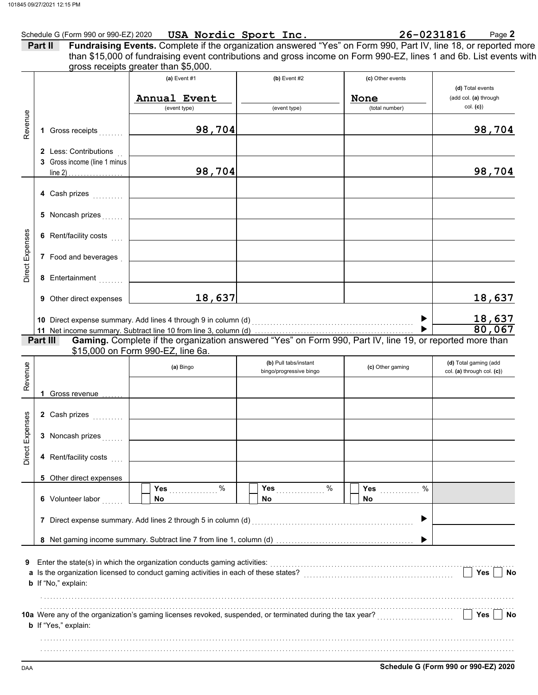|         |                                                       | Form 990 or 990-EZ) 2020 USA Nordic Sport Inc.<br>Fundraising Events. Complete if the organization answered "Yes" on Form 990, Part IV, line 18, or reported more<br>Schedule G (Form 990 or 990-EZ) 2020 USA Nordic Sport Inc. |                         |                               |                            |
|---------|-------------------------------------------------------|---------------------------------------------------------------------------------------------------------------------------------------------------------------------------------------------------------------------------------|-------------------------|-------------------------------|----------------------------|
| Part II |                                                       | than \$15,000 of fundraising event contributions and gross income on Form 990-EZ, lines 1 and 6b. List events with                                                                                                              |                         |                               |                            |
|         |                                                       | gross receipts greater than \$5,000.                                                                                                                                                                                            |                         |                               |                            |
|         |                                                       | (a) Event $#1$                                                                                                                                                                                                                  | $(b)$ Event #2          | (c) Other events              | (d) Total events           |
|         |                                                       | Annual Event                                                                                                                                                                                                                    |                         | None                          | (add col. (a) through      |
|         |                                                       | (event type)                                                                                                                                                                                                                    | (event type)            | (total number)                | col. (c)                   |
|         | 1 Gross receipts                                      | 98,704                                                                                                                                                                                                                          |                         |                               | 98,704                     |
|         | 2 Less: Contributions<br>3 Gross income (line 1 minus |                                                                                                                                                                                                                                 |                         |                               |                            |
|         |                                                       | 98,704                                                                                                                                                                                                                          |                         |                               | 98,704                     |
|         | 4 Cash prizes                                         |                                                                                                                                                                                                                                 |                         |                               |                            |
|         | 5 Noncash prizes                                      |                                                                                                                                                                                                                                 |                         |                               |                            |
|         | 6 Rent/facility costs                                 |                                                                                                                                                                                                                                 |                         |                               |                            |
|         | 7 Food and beverages                                  |                                                                                                                                                                                                                                 |                         |                               |                            |
|         | 8 Entertainment                                       |                                                                                                                                                                                                                                 |                         |                               |                            |
|         | 9 Other direct expenses                               | 18,637                                                                                                                                                                                                                          |                         |                               | 18,637                     |
|         |                                                       | 10 Direct expense summary. Add lines 4 through 9 in column (d)                                                                                                                                                                  |                         |                               | 18,637                     |
|         |                                                       |                                                                                                                                                                                                                                 |                         |                               | 80,067                     |
|         | Part III                                              | Gaming. Complete if the organization answered "Yes" on Form 990, Part IV, line 19, or reported more than                                                                                                                        |                         |                               |                            |
|         |                                                       | \$15,000 on Form 990-EZ, line 6a.                                                                                                                                                                                               | (b) Pull tabs/instant   |                               | (d) Total gaming (add      |
|         |                                                       | (a) Bingo                                                                                                                                                                                                                       | bingo/progressive bingo | (c) Other gaming              | col. (a) through col. (c)) |
|         |                                                       |                                                                                                                                                                                                                                 |                         |                               |                            |
|         | 1 Gross revenue $\ldots$                              |                                                                                                                                                                                                                                 |                         |                               |                            |
|         |                                                       |                                                                                                                                                                                                                                 |                         |                               |                            |
|         | 3 Noncash prizes                                      |                                                                                                                                                                                                                                 |                         |                               |                            |
|         | 4 Rent/facility costs                                 |                                                                                                                                                                                                                                 |                         |                               |                            |
|         | 5 Other direct expenses                               |                                                                                                                                                                                                                                 |                         |                               |                            |
|         | 6 Volunteer labor                                     | Yes $%$<br><b>No</b>                                                                                                                                                                                                            | Yes $%$<br>No.          | %<br>Yes $\frac{1}{2}$<br>No. |                            |
|         |                                                       | 7 Direct expense summary. Add lines 2 through 5 in column (d) [11] content content content content content of                                                                                                                   |                         | ▶                             |                            |
|         |                                                       |                                                                                                                                                                                                                                 |                         |                               |                            |
|         |                                                       |                                                                                                                                                                                                                                 |                         |                               |                            |
|         | b If "No," explain:                                   |                                                                                                                                                                                                                                 |                         |                               | Yes $\vert$ $\vert$<br>No  |
|         |                                                       |                                                                                                                                                                                                                                 |                         |                               |                            |
|         | b If "Yes," explain:                                  |                                                                                                                                                                                                                                 |                         |                               | Yes No                     |
|         |                                                       |                                                                                                                                                                                                                                 |                         |                               |                            |
|         |                                                       |                                                                                                                                                                                                                                 |                         |                               |                            |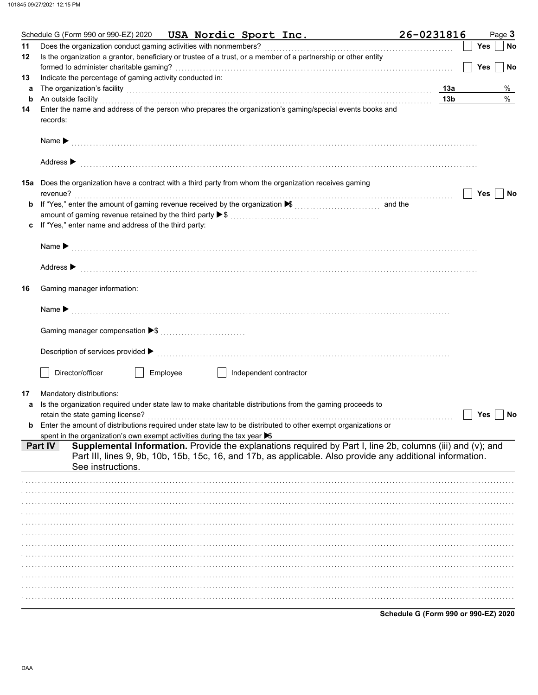|    | Schedule G (Form 990 or 990-EZ) 2020 USA Nordic Sport Inc.                                                                                                                                                                     | 26-0231816      | Page 3                               |
|----|--------------------------------------------------------------------------------------------------------------------------------------------------------------------------------------------------------------------------------|-----------------|--------------------------------------|
| 11 | Does the organization conduct gaming activities with nonmembers?                                                                                                                                                               |                 | Yes<br>No                            |
| 12 | Is the organization a grantor, beneficiary or trustee of a trust, or a member of a partnership or other entity                                                                                                                 |                 |                                      |
|    |                                                                                                                                                                                                                                |                 | <b>Yes</b><br>No                     |
| 13 | Indicate the percentage of gaming activity conducted in:                                                                                                                                                                       |                 |                                      |
| а  | The organization's facility with the contract of the contract of the contract of the contract of the contract of the contract of the contract of the contract of the contract of the contract of the contract of the contract  | 13а             | %                                    |
| b  | An outside facility                                                                                                                                                                                                            | 13 <sub>b</sub> | $\%$                                 |
| 14 | Enter the name and address of the person who prepares the organization's gaming/special events books and                                                                                                                       |                 |                                      |
|    | records:                                                                                                                                                                                                                       |                 |                                      |
|    |                                                                                                                                                                                                                                |                 |                                      |
|    |                                                                                                                                                                                                                                |                 |                                      |
|    |                                                                                                                                                                                                                                |                 |                                      |
|    |                                                                                                                                                                                                                                |                 |                                      |
|    | Address $\blacktriangleright$                                                                                                                                                                                                  |                 |                                      |
|    |                                                                                                                                                                                                                                |                 |                                      |
|    | <b>15a</b> Does the organization have a contract with a third party from whom the organization receives gaming                                                                                                                 |                 |                                      |
|    | revenue?                                                                                                                                                                                                                       |                 | Yes<br>No                            |
|    | If "Yes," enter the amount of gaming revenue received by the organization ▶ [[[[[[[[[[[[[[[[[[[[[[[[[[]]]]]]]                                                                                                                  |                 |                                      |
|    |                                                                                                                                                                                                                                |                 |                                      |
| c  | If "Yes," enter name and address of the third party:                                                                                                                                                                           |                 |                                      |
|    |                                                                                                                                                                                                                                |                 |                                      |
|    |                                                                                                                                                                                                                                |                 |                                      |
|    |                                                                                                                                                                                                                                |                 |                                      |
|    | Address > material contract and contract and contract and contract and contract and contract and contract and contract and contract and contract and contract and contract and contract and contract and contract and contract |                 |                                      |
|    |                                                                                                                                                                                                                                |                 |                                      |
| 16 | Gaming manager information:                                                                                                                                                                                                    |                 |                                      |
|    |                                                                                                                                                                                                                                |                 |                                      |
|    |                                                                                                                                                                                                                                |                 |                                      |
|    |                                                                                                                                                                                                                                |                 |                                      |
|    |                                                                                                                                                                                                                                |                 |                                      |
|    |                                                                                                                                                                                                                                |                 |                                      |
|    |                                                                                                                                                                                                                                |                 |                                      |
|    |                                                                                                                                                                                                                                |                 |                                      |
|    | Director/officer<br>Employee<br>  Independent contractor                                                                                                                                                                       |                 |                                      |
|    |                                                                                                                                                                                                                                |                 |                                      |
| 17 | Mandatory distributions:                                                                                                                                                                                                       |                 |                                      |
| a  | Is the organization required under state law to make charitable distributions from the gaming proceeds to                                                                                                                      |                 |                                      |
|    |                                                                                                                                                                                                                                |                 | Yes<br>No                            |
|    | Enter the amount of distributions required under state law to be distributed to other exempt organizations or                                                                                                                  |                 |                                      |
|    | spent in the organization's own exempt activities during the tax year $\blacktriangleright$                                                                                                                                    |                 |                                      |
|    | Supplemental Information. Provide the explanations required by Part I, line 2b, columns (iii) and (v); and<br>Part IV                                                                                                          |                 |                                      |
|    | Part III, lines 9, 9b, 10b, 15b, 15c, 16, and 17b, as applicable. Also provide any additional information.                                                                                                                     |                 |                                      |
|    | See instructions.                                                                                                                                                                                                              |                 |                                      |
|    |                                                                                                                                                                                                                                |                 |                                      |
|    |                                                                                                                                                                                                                                |                 |                                      |
|    |                                                                                                                                                                                                                                |                 |                                      |
|    |                                                                                                                                                                                                                                |                 |                                      |
|    |                                                                                                                                                                                                                                |                 |                                      |
|    |                                                                                                                                                                                                                                |                 |                                      |
|    |                                                                                                                                                                                                                                |                 |                                      |
|    |                                                                                                                                                                                                                                |                 |                                      |
|    |                                                                                                                                                                                                                                |                 |                                      |
|    |                                                                                                                                                                                                                                |                 |                                      |
|    |                                                                                                                                                                                                                                |                 |                                      |
|    |                                                                                                                                                                                                                                |                 |                                      |
|    |                                                                                                                                                                                                                                |                 |                                      |
|    |                                                                                                                                                                                                                                |                 |                                      |
|    |                                                                                                                                                                                                                                |                 | Schedule G (Form 990 or 990-EZ) 2020 |
|    |                                                                                                                                                                                                                                |                 |                                      |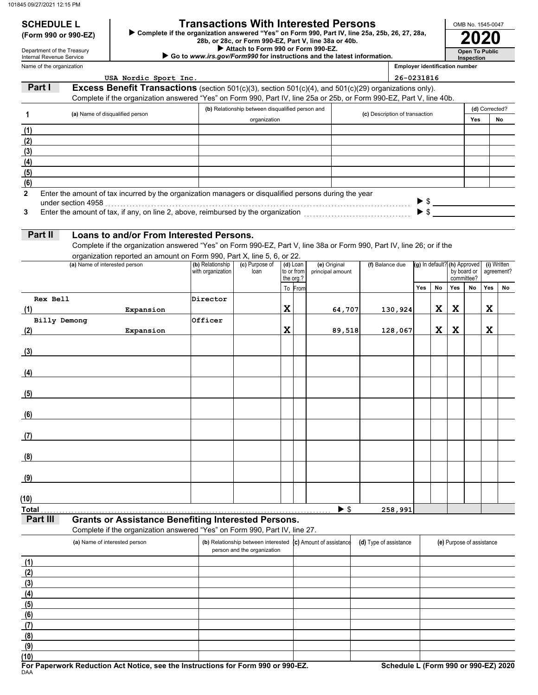# **SCHEDULE L Transactions With Interested Persons**

**(Form 990 or 990-EZ) ►** Complete if the organization answered "Yes" on Form 990, Part IV, line 25a, 25b, 26, 27, 28a,<br>28b, or 28c, or Form 990-EZ, Part V, line 38a or 40b.<br>2020

 **Attach to Form 990 or Form 990-EZ.**

 **Go to** *www.irs.gov/Form990* **for instructions and the latest information.**

Name of the organization Department of the Treasury Internal Revenue Service

**Inspection Employer identification number**

**Open To Public**

OMB No. 1545-0047

|              | USA Nordic Sport Inc.                                                                                                 |                   |                                                                    |             |                         |                          |                                | 26-0231816 |     |                                                                                           |     |                           |                |             |
|--------------|-----------------------------------------------------------------------------------------------------------------------|-------------------|--------------------------------------------------------------------|-------------|-------------------------|--------------------------|--------------------------------|------------|-----|-------------------------------------------------------------------------------------------|-----|---------------------------|----------------|-------------|
| Part I       | <b>Excess Benefit Transactions</b> (section 501(c)(3), section 501(c)(4), and 501(c)(29) organizations only).         |                   |                                                                    |             |                         |                          |                                |            |     |                                                                                           |     |                           |                |             |
|              | Complete if the organization answered "Yes" on Form 990, Part IV, line 25a or 25b, or Form 990-EZ, Part V, line 40b.  |                   |                                                                    |             |                         |                          |                                |            |     |                                                                                           |     |                           |                |             |
|              |                                                                                                                       |                   | (b) Relationship between disqualified person and                   |             |                         |                          |                                |            |     |                                                                                           |     |                           | (d) Corrected? |             |
| 1            | (a) Name of disqualified person                                                                                       |                   | organization                                                       |             |                         |                          | (c) Description of transaction |            |     |                                                                                           |     | Yes                       |                | No          |
| (1)          |                                                                                                                       |                   |                                                                    |             |                         |                          |                                |            |     |                                                                                           |     |                           |                |             |
| (2)          |                                                                                                                       |                   |                                                                    |             |                         |                          |                                |            |     |                                                                                           |     |                           |                |             |
| (3)          |                                                                                                                       |                   |                                                                    |             |                         |                          |                                |            |     |                                                                                           |     |                           |                |             |
| (4)          |                                                                                                                       |                   |                                                                    |             |                         |                          |                                |            |     |                                                                                           |     |                           |                |             |
| (5)          |                                                                                                                       |                   |                                                                    |             |                         |                          |                                |            |     |                                                                                           |     |                           |                |             |
| (6)          |                                                                                                                       |                   |                                                                    |             |                         |                          |                                |            |     |                                                                                           |     |                           |                |             |
| $\mathbf{2}$ | Enter the amount of tax incurred by the organization managers or disqualified persons during the year                 |                   |                                                                    |             |                         |                          |                                |            |     |                                                                                           |     |                           |                |             |
|              |                                                                                                                       |                   |                                                                    |             |                         |                          |                                |            |     | $\begin{array}{c} \triangleright \text{ $$\$} \\ \triangleright \text{ $$\$} \end{array}$ |     |                           |                |             |
| 3            |                                                                                                                       |                   |                                                                    |             |                         |                          |                                |            |     |                                                                                           |     |                           |                |             |
|              |                                                                                                                       |                   |                                                                    |             |                         |                          |                                |            |     |                                                                                           |     |                           |                |             |
| Part II      | Loans to and/or From Interested Persons.                                                                              |                   |                                                                    |             |                         |                          |                                |            |     |                                                                                           |     |                           |                |             |
|              | Complete if the organization answered "Yes" on Form 990-EZ, Part V, line 38a or Form 990, Part IV, line 26; or if the |                   |                                                                    |             |                         |                          |                                |            |     |                                                                                           |     |                           |                |             |
|              | organization reported an amount on Form 990, Part X, line 5, 6, or 22.                                                |                   |                                                                    |             |                         |                          |                                |            |     |                                                                                           |     |                           |                |             |
|              | (a) Name of interested person                                                                                         | (b) Relationship  | (c) Purpose of                                                     |             | $(d)$ Loan              | (e) Original             | (f) Balance due                |            |     | (g) In default? (h) Approved                                                              |     |                           |                | (i) Written |
|              |                                                                                                                       | with organization | loan                                                               |             | to or from<br>the org.? | principal amount         |                                |            |     |                                                                                           |     | by board or<br>committee? |                | agreement?  |
|              |                                                                                                                       |                   |                                                                    |             | To From                 |                          |                                |            | Yes | No                                                                                        | Yes | No                        | Yes            | No          |
| Rex Bell     |                                                                                                                       | Director          |                                                                    |             |                         |                          |                                |            |     |                                                                                           |     |                           |                |             |
| (1)          | Expansion                                                                                                             |                   |                                                                    | $\mathbf X$ |                         | 64,707                   |                                | 130,924    |     | X                                                                                         | X   |                           | X              |             |
| Billy Demong |                                                                                                                       | Officer           |                                                                    |             |                         |                          |                                |            |     |                                                                                           |     |                           |                |             |
| (2)          | Expansion                                                                                                             |                   |                                                                    | $\mathbf x$ |                         | 89,518                   |                                | 128,067    |     | X                                                                                         | X   |                           | X              |             |
|              |                                                                                                                       |                   |                                                                    |             |                         |                          |                                |            |     |                                                                                           |     |                           |                |             |
| (3)          |                                                                                                                       |                   |                                                                    |             |                         |                          |                                |            |     |                                                                                           |     |                           |                |             |
|              |                                                                                                                       |                   |                                                                    |             |                         |                          |                                |            |     |                                                                                           |     |                           |                |             |
| (4)          |                                                                                                                       |                   |                                                                    |             |                         |                          |                                |            |     |                                                                                           |     |                           |                |             |
|              |                                                                                                                       |                   |                                                                    |             |                         |                          |                                |            |     |                                                                                           |     |                           |                |             |
| (5)          |                                                                                                                       |                   |                                                                    |             |                         |                          |                                |            |     |                                                                                           |     |                           |                |             |
|              |                                                                                                                       |                   |                                                                    |             |                         |                          |                                |            |     |                                                                                           |     |                           |                |             |
| (6)          |                                                                                                                       |                   |                                                                    |             |                         |                          |                                |            |     |                                                                                           |     |                           |                |             |
|              |                                                                                                                       |                   |                                                                    |             |                         |                          |                                |            |     |                                                                                           |     |                           |                |             |
| (7)          |                                                                                                                       |                   |                                                                    |             |                         |                          |                                |            |     |                                                                                           |     |                           |                |             |
|              |                                                                                                                       |                   |                                                                    |             |                         |                          |                                |            |     |                                                                                           |     |                           |                |             |
| (8)          |                                                                                                                       |                   |                                                                    |             |                         |                          |                                |            |     |                                                                                           |     |                           |                |             |
|              |                                                                                                                       |                   |                                                                    |             |                         |                          |                                |            |     |                                                                                           |     |                           |                |             |
| (9)          |                                                                                                                       |                   |                                                                    |             |                         |                          |                                |            |     |                                                                                           |     |                           |                |             |
|              |                                                                                                                       |                   |                                                                    |             |                         |                          |                                |            |     |                                                                                           |     |                           |                |             |
| (10)         |                                                                                                                       |                   |                                                                    |             |                         |                          |                                |            |     |                                                                                           |     |                           |                |             |
| <b>Total</b> |                                                                                                                       |                   |                                                                    |             |                         | $\blacktriangleright$ \$ |                                | 258,991    |     |                                                                                           |     |                           |                |             |
| Part III     | <b>Grants or Assistance Benefiting Interested Persons.</b>                                                            |                   |                                                                    |             |                         |                          |                                |            |     |                                                                                           |     |                           |                |             |
|              | Complete if the organization answered "Yes" on Form 990, Part IV, line 27.                                            |                   |                                                                    |             |                         |                          |                                |            |     |                                                                                           |     |                           |                |             |
|              |                                                                                                                       |                   |                                                                    |             |                         | (c) Amount of assistance |                                |            |     |                                                                                           |     |                           |                |             |
|              | (a) Name of interested person                                                                                         |                   | (b) Relationship between interested<br>person and the organization |             |                         |                          | (d) Type of assistance         |            |     |                                                                                           |     | (e) Purpose of assistance |                |             |
| (1)          |                                                                                                                       |                   |                                                                    |             |                         |                          |                                |            |     |                                                                                           |     |                           |                |             |
|              |                                                                                                                       |                   |                                                                    |             |                         |                          |                                |            |     |                                                                                           |     |                           |                |             |
| (2)          |                                                                                                                       |                   |                                                                    |             |                         |                          |                                |            |     |                                                                                           |     |                           |                |             |
| (3)          |                                                                                                                       |                   |                                                                    |             |                         |                          |                                |            |     |                                                                                           |     |                           |                |             |
| (4)          |                                                                                                                       |                   |                                                                    |             |                         |                          |                                |            |     |                                                                                           |     |                           |                |             |
| (5)          |                                                                                                                       |                   |                                                                    |             |                         |                          |                                |            |     |                                                                                           |     |                           |                |             |
| (6)          |                                                                                                                       |                   |                                                                    |             |                         |                          |                                |            |     |                                                                                           |     |                           |                |             |
| (7)          |                                                                                                                       |                   |                                                                    |             |                         |                          |                                |            |     |                                                                                           |     |                           |                |             |
| (8)          |                                                                                                                       |                   |                                                                    |             |                         |                          |                                |            |     |                                                                                           |     |                           |                |             |
| (9)          |                                                                                                                       |                   |                                                                    |             |                         |                          |                                |            |     |                                                                                           |     |                           |                |             |
| (10)         |                                                                                                                       |                   |                                                                    |             |                         |                          |                                |            |     |                                                                                           |     |                           |                |             |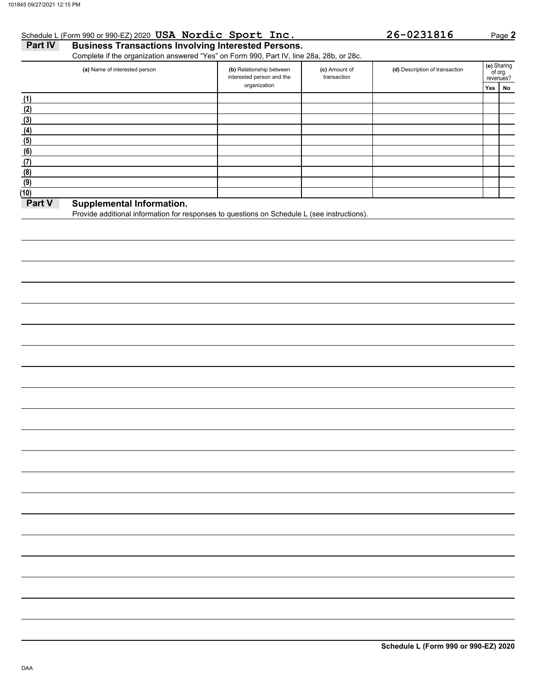# Schedule L (Form 990 or 990-EZ) 2020 **USA Nordic Sport Inc. 26-0231816** Page **2**

**Part IV Business Transactions Involving Interested Persons.** Complete if the organization answered "Yes" on Form 990, Part IV, line 28a, 28b, or 28c.

|        | (a) Name of interested person | (b) Relationship between<br>interested person and the | (c) Amount of<br>transaction | (d) Description of transaction |     | (e) Sharing<br>of org.<br>revenues? |
|--------|-------------------------------|-------------------------------------------------------|------------------------------|--------------------------------|-----|-------------------------------------|
|        |                               | organization                                          |                              |                                | Yes | No                                  |
| (1)    |                               |                                                       |                              |                                |     |                                     |
| (2)    |                               |                                                       |                              |                                |     |                                     |
| (3)    |                               |                                                       |                              |                                |     |                                     |
| (4)    |                               |                                                       |                              |                                |     |                                     |
| (5)    |                               |                                                       |                              |                                |     |                                     |
| (6)    |                               |                                                       |                              |                                |     |                                     |
| (7)    |                               |                                                       |                              |                                |     |                                     |
| (8)    |                               |                                                       |                              |                                |     |                                     |
| (9)    |                               |                                                       |                              |                                |     |                                     |
| (10)   |                               |                                                       |                              |                                |     |                                     |
| Part V | Sunnlamantal Information      |                                                       |                              |                                |     |                                     |

## **Part V** Supplemental Information.

Provide additional information for responses to questions on Schedule L (see instructions).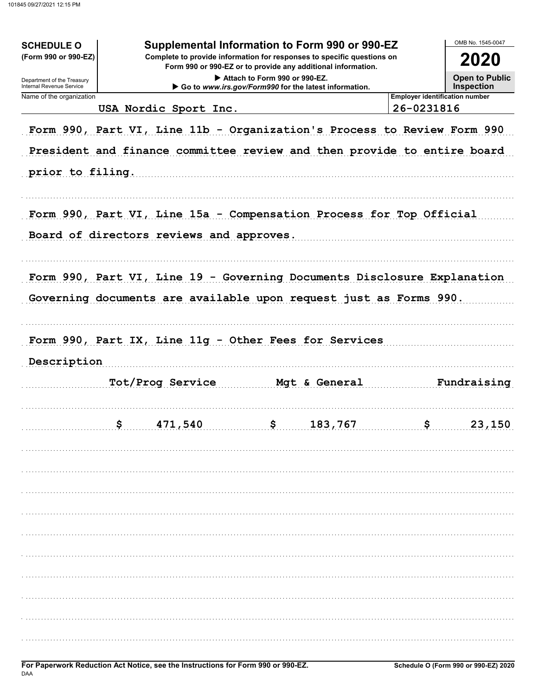| <b>SCHEDULE O</b><br>(Form 990 or 990-EZ)<br>Department of the Treasury<br>Internal Revenue Service | OMB No. 1545-0047<br>2020<br><b>Open to Public</b><br><b>Inspection</b> |                                                                                                                                                    |   |               |                                       |             |  |  |  |  |  |  |
|-----------------------------------------------------------------------------------------------------|-------------------------------------------------------------------------|----------------------------------------------------------------------------------------------------------------------------------------------------|---|---------------|---------------------------------------|-------------|--|--|--|--|--|--|
| Name of the organization                                                                            |                                                                         |                                                                                                                                                    |   |               | <b>Employer identification number</b> |             |  |  |  |  |  |  |
|                                                                                                     |                                                                         | USA Nordic Sport Inc.                                                                                                                              |   |               | 26-0231816                            |             |  |  |  |  |  |  |
|                                                                                                     |                                                                         | Form 990, Part VI, Line 11b - Organization's Process to Review Form 990<br>President and finance committee review and then provide to entire board |   |               |                                       |             |  |  |  |  |  |  |
| prior to filing.                                                                                    |                                                                         |                                                                                                                                                    |   |               |                                       |             |  |  |  |  |  |  |
|                                                                                                     |                                                                         |                                                                                                                                                    |   |               |                                       |             |  |  |  |  |  |  |
|                                                                                                     |                                                                         | Form 990, Part VI, Line 15a - Compensation Process for Top Official<br>Board of directors reviews and approves.                                    |   |               |                                       |             |  |  |  |  |  |  |
|                                                                                                     |                                                                         | Form 990, Part VI, Line 19 - Governing Documents Disclosure Explanation                                                                            |   |               |                                       |             |  |  |  |  |  |  |
|                                                                                                     |                                                                         |                                                                                                                                                    |   |               |                                       |             |  |  |  |  |  |  |
|                                                                                                     |                                                                         | Governing documents are available upon request just as Forms 990.                                                                                  |   |               |                                       |             |  |  |  |  |  |  |
|                                                                                                     |                                                                         |                                                                                                                                                    |   |               |                                       |             |  |  |  |  |  |  |
|                                                                                                     |                                                                         |                                                                                                                                                    |   |               |                                       |             |  |  |  |  |  |  |
| Form 990, Part IX, Line 11g - Other Fees for Services                                               |                                                                         |                                                                                                                                                    |   |               |                                       |             |  |  |  |  |  |  |
|                                                                                                     |                                                                         |                                                                                                                                                    |   |               |                                       |             |  |  |  |  |  |  |
|                                                                                                     |                                                                         |                                                                                                                                                    |   |               |                                       |             |  |  |  |  |  |  |
| Description                                                                                         |                                                                         |                                                                                                                                                    |   |               |                                       |             |  |  |  |  |  |  |
|                                                                                                     |                                                                         | Tot/Prog Service                                                                                                                                   |   | Mgt & General |                                       | Fundraising |  |  |  |  |  |  |
|                                                                                                     |                                                                         |                                                                                                                                                    |   |               |                                       |             |  |  |  |  |  |  |
|                                                                                                     |                                                                         |                                                                                                                                                    |   |               |                                       |             |  |  |  |  |  |  |
|                                                                                                     | ¢                                                                       | 471,540                                                                                                                                            | ¢ | 183,767       | ¢                                     | 23,150      |  |  |  |  |  |  |
|                                                                                                     |                                                                         |                                                                                                                                                    |   |               |                                       |             |  |  |  |  |  |  |
|                                                                                                     |                                                                         |                                                                                                                                                    |   |               |                                       |             |  |  |  |  |  |  |
|                                                                                                     |                                                                         |                                                                                                                                                    |   |               |                                       |             |  |  |  |  |  |  |
|                                                                                                     |                                                                         |                                                                                                                                                    |   |               |                                       |             |  |  |  |  |  |  |
|                                                                                                     |                                                                         |                                                                                                                                                    |   |               |                                       |             |  |  |  |  |  |  |
|                                                                                                     |                                                                         |                                                                                                                                                    |   |               |                                       |             |  |  |  |  |  |  |
|                                                                                                     |                                                                         |                                                                                                                                                    |   |               |                                       |             |  |  |  |  |  |  |
|                                                                                                     |                                                                         |                                                                                                                                                    |   |               |                                       |             |  |  |  |  |  |  |
|                                                                                                     |                                                                         |                                                                                                                                                    |   |               |                                       |             |  |  |  |  |  |  |
|                                                                                                     |                                                                         |                                                                                                                                                    |   |               |                                       |             |  |  |  |  |  |  |
|                                                                                                     |                                                                         |                                                                                                                                                    |   |               |                                       |             |  |  |  |  |  |  |
|                                                                                                     |                                                                         |                                                                                                                                                    |   |               |                                       |             |  |  |  |  |  |  |
|                                                                                                     |                                                                         |                                                                                                                                                    |   |               |                                       |             |  |  |  |  |  |  |
|                                                                                                     |                                                                         |                                                                                                                                                    |   |               |                                       |             |  |  |  |  |  |  |
|                                                                                                     |                                                                         |                                                                                                                                                    |   |               |                                       |             |  |  |  |  |  |  |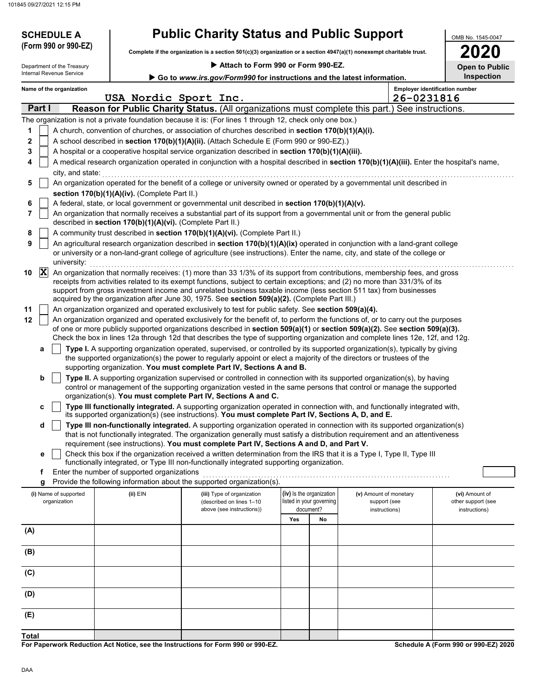**d**

| 45 09/27/2021 12:15 PM<br><b>SCHEDULE A</b>                                                                                                                                                                                                                                                                                                                                                                                                                                                                                                                                                                                                                                                                                                                                                                                                                                                                                                                                                                                                                                                                                                                                                                                                                                                                                                                          | <b>Public Charity Status and Public Support</b>                                                                                                                                                                                                                                                                                                                                                                                                                                                                                                                                                                                                                                                                                                                                                                                                                                                                                                                                                                                                                                                                                                                                                                                                                                                                                                                                                    |                                                                                                                      | OMB No. 1545-0047                           |  |  |  |  |
|----------------------------------------------------------------------------------------------------------------------------------------------------------------------------------------------------------------------------------------------------------------------------------------------------------------------------------------------------------------------------------------------------------------------------------------------------------------------------------------------------------------------------------------------------------------------------------------------------------------------------------------------------------------------------------------------------------------------------------------------------------------------------------------------------------------------------------------------------------------------------------------------------------------------------------------------------------------------------------------------------------------------------------------------------------------------------------------------------------------------------------------------------------------------------------------------------------------------------------------------------------------------------------------------------------------------------------------------------------------------|----------------------------------------------------------------------------------------------------------------------------------------------------------------------------------------------------------------------------------------------------------------------------------------------------------------------------------------------------------------------------------------------------------------------------------------------------------------------------------------------------------------------------------------------------------------------------------------------------------------------------------------------------------------------------------------------------------------------------------------------------------------------------------------------------------------------------------------------------------------------------------------------------------------------------------------------------------------------------------------------------------------------------------------------------------------------------------------------------------------------------------------------------------------------------------------------------------------------------------------------------------------------------------------------------------------------------------------------------------------------------------------------------|----------------------------------------------------------------------------------------------------------------------|---------------------------------------------|--|--|--|--|
| (Form 990 or 990-EZ)                                                                                                                                                                                                                                                                                                                                                                                                                                                                                                                                                                                                                                                                                                                                                                                                                                                                                                                                                                                                                                                                                                                                                                                                                                                                                                                                                 |                                                                                                                                                                                                                                                                                                                                                                                                                                                                                                                                                                                                                                                                                                                                                                                                                                                                                                                                                                                                                                                                                                                                                                                                                                                                                                                                                                                                    | Complete if the organization is a section 501(c)(3) organization or a section 4947(a)(1) nonexempt charitable trust. |                                             |  |  |  |  |
| Department of the Treasury<br>Internal Revenue Service                                                                                                                                                                                                                                                                                                                                                                                                                                                                                                                                                                                                                                                                                                                                                                                                                                                                                                                                                                                                                                                                                                                                                                                                                                                                                                               | Attach to Form 990 or Form 990-EZ.<br>Go to www.irs.gov/Form990 for instructions and the latest information.                                                                                                                                                                                                                                                                                                                                                                                                                                                                                                                                                                                                                                                                                                                                                                                                                                                                                                                                                                                                                                                                                                                                                                                                                                                                                       |                                                                                                                      | 2020<br><b>Open to Public</b><br>Inspection |  |  |  |  |
| Name of the organization                                                                                                                                                                                                                                                                                                                                                                                                                                                                                                                                                                                                                                                                                                                                                                                                                                                                                                                                                                                                                                                                                                                                                                                                                                                                                                                                             | USA Nordic Sport Inc.                                                                                                                                                                                                                                                                                                                                                                                                                                                                                                                                                                                                                                                                                                                                                                                                                                                                                                                                                                                                                                                                                                                                                                                                                                                                                                                                                                              | <b>Employer identification number</b><br>26-0231816                                                                  |                                             |  |  |  |  |
| Part I                                                                                                                                                                                                                                                                                                                                                                                                                                                                                                                                                                                                                                                                                                                                                                                                                                                                                                                                                                                                                                                                                                                                                                                                                                                                                                                                                               | <b>Reason for Public Charity Status.</b> (All organizations must complete this part.) See instructions.                                                                                                                                                                                                                                                                                                                                                                                                                                                                                                                                                                                                                                                                                                                                                                                                                                                                                                                                                                                                                                                                                                                                                                                                                                                                                            |                                                                                                                      |                                             |  |  |  |  |
| 1<br>2<br>3<br>4<br>city, and state:<br>5<br>6<br>7<br>8<br>9<br>university:                                                                                                                                                                                                                                                                                                                                                                                                                                                                                                                                                                                                                                                                                                                                                                                                                                                                                                                                                                                                                                                                                                                                                                                                                                                                                         | The organization is not a private foundation because it is: (For lines 1 through 12, check only one box.)<br>A church, convention of churches, or association of churches described in section 170(b)(1)(A)(i).<br>A school described in section 170(b)(1)(A)(ii). (Attach Schedule E (Form 990 or 990-EZ).)<br>A hospital or a cooperative hospital service organization described in section 170(b)(1)(A)(iii).<br>A medical research organization operated in conjunction with a hospital described in section 170(b)(1)(A)(iii). Enter the hospital's name,<br>An organization operated for the benefit of a college or university owned or operated by a governmental unit described in<br>section 170(b)(1)(A)(iv). (Complete Part II.)<br>A federal, state, or local government or governmental unit described in section 170(b)(1)(A)(v).<br>An organization that normally receives a substantial part of its support from a governmental unit or from the general public<br>described in section 170(b)(1)(A)(vi). (Complete Part II.)<br>A community trust described in section 170(b)(1)(A)(vi). (Complete Part II.)<br>An agricultural research organization described in section 170(b)(1)(A)(ix) operated in conjunction with a land-grant college<br>or university or a non-land-grant college of agriculture (see instructions). Enter the name, city, and state of the college or |                                                                                                                      |                                             |  |  |  |  |
| $ {\bf X} $<br>An organization that normally receives: (1) more than 33 1/3% of its support from contributions, membership fees, and gross<br>10<br>receipts from activities related to its exempt functions, subject to certain exceptions; and (2) no more than 331/3% of its<br>support from gross investment income and unrelated business taxable income (less section 511 tax) from businesses<br>acquired by the organization after June 30, 1975. See section 509(a)(2). (Complete Part III.)<br>An organization organized and operated exclusively to test for public safety. See section 509(a)(4).<br>11<br>12<br>An organization organized and operated exclusively for the benefit of, to perform the functions of, or to carry out the purposes<br>of one or more publicly supported organizations described in section 509(a)(1) or section 509(a)(2). See section 509(a)(3).<br>Check the box in lines 12a through 12d that describes the type of supporting organization and complete lines 12e, 12f, and 12g.<br>Type I. A supporting organization operated, supervised, or controlled by its supported organization(s), typically by giving<br>a<br>the supported organization(s) the power to regularly appoint or elect a majority of the directors or trustees of the<br>supporting organization. You must complete Part IV, Sections A and B. |                                                                                                                                                                                                                                                                                                                                                                                                                                                                                                                                                                                                                                                                                                                                                                                                                                                                                                                                                                                                                                                                                                                                                                                                                                                                                                                                                                                                    |                                                                                                                      |                                             |  |  |  |  |

**b** organization(s). **You must complete Part IV, Sections A and C. Type II.** A supporting organization supervised or controlled in connection with its supported organization(s), by having control or management of the supporting organization vested in the same persons that control or manage the supported

**c** its supported organization(s) (see instructions). **You must complete Part IV, Sections A, D, and E. Type III functionally integrated.** A supporting organization operated in connection with, and functionally integrated with,

that is not functionally integrated. The organization generally must satisfy a distribution requirement and an attentiveness **Type III non-functionally integrated.** A supporting organization operated in connection with its supported organization(s) requirement (see instructions). **You must complete Part IV, Sections A and D, and Part V.**

**e** Check this box if the organization received a written determination from the IRS that it is a Type I, Type II, Type III functionally integrated, or Type III non-functionally integrated supporting organization.

**f** Enter the number of supported organizations . . . . . . . . . . . . . . . . . . . . . . . . . . . . . . . . . . . . . . . . . . . . . . . . . . . . . . . . . . . . . . . . . . . . . . . . . . . . . . . . . Provide the following information about the supported organization(s).

| ີ                                     |          |                                                                                     |                                                                   |    |  |  |  |  |  |  |  |  |  |  |  |  |  |  |  |  |  |  |                                                         |                                                       |
|---------------------------------------|----------|-------------------------------------------------------------------------------------|-------------------------------------------------------------------|----|--|--|--|--|--|--|--|--|--|--|--|--|--|--|--|--|--|--|---------------------------------------------------------|-------------------------------------------------------|
| (i) Name of supported<br>organization | (ii) EIN | (iii) Type of organization<br>(described on lines 1-10<br>above (see instructions)) | (iv) Is the organization<br>listed in your governing<br>document? |    |  |  |  |  |  |  |  |  |  |  |  |  |  |  |  |  |  |  | (v) Amount of monetary<br>support (see<br>instructions) | (vi) Amount of<br>other support (see<br>instructions) |
|                                       |          |                                                                                     | Yes                                                               | No |  |  |  |  |  |  |  |  |  |  |  |  |  |  |  |  |  |  |                                                         |                                                       |
| (A)                                   |          |                                                                                     |                                                                   |    |  |  |  |  |  |  |  |  |  |  |  |  |  |  |  |  |  |  |                                                         |                                                       |
| (B)                                   |          |                                                                                     |                                                                   |    |  |  |  |  |  |  |  |  |  |  |  |  |  |  |  |  |  |  |                                                         |                                                       |
| (C)                                   |          |                                                                                     |                                                                   |    |  |  |  |  |  |  |  |  |  |  |  |  |  |  |  |  |  |  |                                                         |                                                       |
| (D)                                   |          |                                                                                     |                                                                   |    |  |  |  |  |  |  |  |  |  |  |  |  |  |  |  |  |  |  |                                                         |                                                       |
| (E)                                   |          |                                                                                     |                                                                   |    |  |  |  |  |  |  |  |  |  |  |  |  |  |  |  |  |  |  |                                                         |                                                       |
| Total                                 |          |                                                                                     |                                                                   |    |  |  |  |  |  |  |  |  |  |  |  |  |  |  |  |  |  |  |                                                         |                                                       |

**For Paperwork Reduction Act Notice, see the Instructions for Form 990 or 990-EZ.**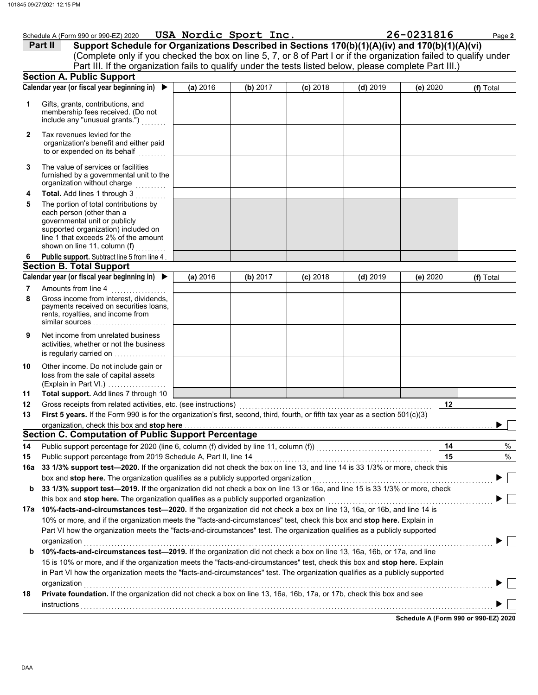|          | Schedule A (Form 990 or 990-EZ) 2020 USA Nordic Sport Inc.                                                                            |          |          |            |            | 26-0231816 | Page 2    |
|----------|---------------------------------------------------------------------------------------------------------------------------------------|----------|----------|------------|------------|------------|-----------|
|          | Support Schedule for Organizations Described in Sections 170(b)(1)(A)(iv) and 170(b)(1)(A)(vi)<br>Part II                             |          |          |            |            |            |           |
|          | (Complete only if you checked the box on line 5, 7, or 8 of Part I or if the organization failed to qualify under                     |          |          |            |            |            |           |
|          | Part III. If the organization fails to qualify under the tests listed below, please complete Part III.)                               |          |          |            |            |            |           |
|          | <b>Section A. Public Support</b><br>Calendar year (or fiscal year beginning in) $\blacktriangleright$                                 |          |          |            |            |            |           |
|          |                                                                                                                                       | (a) 2016 | (b) 2017 | $(c)$ 2018 | $(d)$ 2019 | (e) 2020   | (f) Total |
| 1        | Gifts, grants, contributions, and                                                                                                     |          |          |            |            |            |           |
|          | membership fees received. (Do not<br>include any "unusual grants.")                                                                   |          |          |            |            |            |           |
|          |                                                                                                                                       |          |          |            |            |            |           |
| 2        | Tax revenues levied for the                                                                                                           |          |          |            |            |            |           |
|          | organization's benefit and either paid<br>to or expended on its behalf                                                                |          |          |            |            |            |           |
|          |                                                                                                                                       |          |          |            |            |            |           |
| 3        | The value of services or facilities<br>furnished by a governmental unit to the                                                        |          |          |            |            |            |           |
|          | organization without charge<br>.                                                                                                      |          |          |            |            |            |           |
| 4        | Total. Add lines 1 through 3                                                                                                          |          |          |            |            |            |           |
| 5        | The portion of total contributions by                                                                                                 |          |          |            |            |            |           |
|          | each person (other than a                                                                                                             |          |          |            |            |            |           |
|          | governmental unit or publicly<br>supported organization) included on                                                                  |          |          |            |            |            |           |
|          | line 1 that exceeds 2% of the amount                                                                                                  |          |          |            |            |            |           |
|          | shown on line 11, column (f)                                                                                                          |          |          |            |            |            |           |
| 6        | Public support. Subtract line 5 from line 4<br><b>Section B. Total Support</b>                                                        |          |          |            |            |            |           |
|          | Calendar year (or fiscal year beginning in) $\blacktriangleright$                                                                     | (a) 2016 | (b) 2017 | $(c)$ 2018 | $(d)$ 2019 | (e) 2020   | (f) Total |
| 7        | Amounts from line 4                                                                                                                   |          |          |            |            |            |           |
| 8        | Gross income from interest, dividends,                                                                                                |          |          |            |            |            |           |
|          | payments received on securities loans,                                                                                                |          |          |            |            |            |           |
|          | rents, royalties, and income from<br>similar sources                                                                                  |          |          |            |            |            |           |
|          |                                                                                                                                       |          |          |            |            |            |           |
| 9        | Net income from unrelated business<br>activities, whether or not the business                                                         |          |          |            |            |            |           |
|          | is regularly carried on                                                                                                               |          |          |            |            |            |           |
| 10       | Other income. Do not include gain or                                                                                                  |          |          |            |            |            |           |
|          | loss from the sale of capital assets                                                                                                  |          |          |            |            |            |           |
|          | (Explain in Part VI.)                                                                                                                 |          |          |            |            |            |           |
| 11<br>12 | Total support. Add lines 7 through 10<br>Gross receipts from related activities, etc. (see instructions)                              |          |          |            |            | 12         |           |
| 13       | First 5 years. If the Form 990 is for the organization's first, second, third, fourth, or fifth tax year as a section 501(c)(3)       |          |          |            |            |            |           |
|          | organization, check this box and stop here                                                                                            |          |          |            |            |            |           |
|          | <b>Section C. Computation of Public Support Percentage</b>                                                                            |          |          |            |            |            |           |
| 14       | Public support percentage for 2020 (line 6, column (f) divided by line 11, column (f)) [[[[[[[[[[[[[[[[[[[[[[                         |          |          |            |            | 14         | %         |
| 15       | Public support percentage from 2019 Schedule A, Part II, line 14                                                                      |          |          |            |            | 15         | %         |
| 16a      | 33 1/3% support test-2020. If the organization did not check the box on line 13, and line 14 is 33 1/3% or more, check this           |          |          |            |            |            |           |
|          | box and stop here. The organization qualifies as a publicly supported organization                                                    |          |          |            |            |            |           |
| b        | 33 1/3% support test-2019. If the organization did not check a box on line 13 or 16a, and line 15 is 33 1/3% or more, check           |          |          |            |            |            |           |
|          | this box and stop here. The organization qualifies as a publicly supported organization                                               |          |          |            |            |            |           |
|          | 17a 10%-facts-and-circumstances test-2020. If the organization did not check a box on line 13, 16a, or 16b, and line 14 is            |          |          |            |            |            |           |
|          | 10% or more, and if the organization meets the "facts-and-circumstances" test, check this box and stop here. Explain in               |          |          |            |            |            |           |
|          | Part VI how the organization meets the "facts-and-circumstances" test. The organization qualifies as a publicly supported             |          |          |            |            |            |           |
|          | organization<br>10%-facts-and-circumstances test-2019. If the organization did not check a box on line 13, 16a, 16b, or 17a, and line |          |          |            |            |            |           |
| b        | 15 is 10% or more, and if the organization meets the "facts-and-circumstances" test, check this box and stop here. Explain            |          |          |            |            |            |           |
|          | in Part VI how the organization meets the "facts-and-circumstances" test. The organization qualifies as a publicly supported          |          |          |            |            |            |           |
|          | organization                                                                                                                          |          |          |            |            |            |           |
| 18       | Private foundation. If the organization did not check a box on line 13, 16a, 16b, 17a, or 17b, check this box and see                 |          |          |            |            |            |           |
|          | instructions                                                                                                                          |          |          |            |            |            |           |
|          |                                                                                                                                       |          |          |            |            |            |           |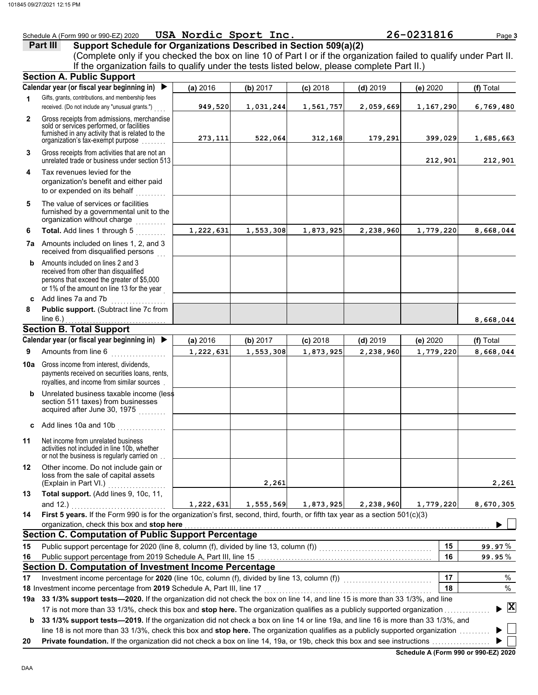## Schedule A (Form 990 or 990-EZ) 2020 Page **3 USA Nordic Sport Inc. 26-0231816 Part III Support Schedule for Organizations Described in Section 509(a)(2)** (Complete only if you checked the box on line 10 of Part I or if the organization failed to qualify under Part II. If the organization fails to qualify under the tests listed below, please complete Part II.) **Section A. Public Support Calendar year (or fiscal year beginning in) (a)** 2016 **(b)** 2017 **(c)** 2018 **(d)** 2019 **(e)** 2020 **(f)** Total Gifts, grants, contributions, and membership fees **1 949,520 1,031,244 1,561,757 2,059,669 1,167,290 6,769,480** received. (Do not include any "unusual grants.") **2** Gross receipts from admissions, merchandise sold or services performed, or facilities furnished in any activity that is related to the **273,111 522,064 312,168 179,291 399,029 1,685,663** organization's tax-exempt purpose . . . . . . . . **3** Gross receipts from activities that are not an unrelated trade or business under section 513 **212,901 212,901 4** Tax revenues levied for the organization's benefit and either paid to or expended on its behalf **5** The value of services or facilities furnished by a governmental unit to the organization without charge ........... **Total.** Add lines 1 through 5 . . . . . . . . . **6 1,222,631 1,553,308 1,873,925 2,238,960 1,779,220 8,668,044 7a** Amounts included on lines 1, 2, and 3 received from disqualified persons **b** Amounts included on lines 2 and 3 received from other than disqualified persons that exceed the greater of \$5,000 or 1% of the amount on line 13 for the year **c** Add lines 7a and 7b ....... **8 Public support.** (Subtract line 7c from  $line 6.)$ **8,668,044 Section B. Total Support Calendar year (or fiscal year beginning in) (a)** 2016 **(b)** 2017 **(c)** 2018 **(d)** 2019 **(e)** 2020 **(f)** Total Amounts from line 6 . . . . . . . . . . . . . . . . . . **9 1,222,631 1,553,308 1,873,925 2,238,960 1,779,220 8,668,044 10a** Gross income from interest, dividends, payments received on securities loans, rents, royalties, and income from similar sources . **b** Unrelated business taxable income (less section 511 taxes) from businesses acquired after June 30, 1975 . . . . . . . . **c** Add lines 10a and 10b . . . . . . . . . . . . . . . . **11** Net income from unrelated business activities not included in line 10b, whether or not the business is regularly carried on ... **12** Other income. Do not include gain or loss from the sale of capital assets (Explain in Part VI.) . . . . . . . . . . . . . . **2,261 2,261 13 Total support.** (Add lines 9, 10c, 11, and 12.) **1,222,631 1,555,569 1,873,925 2,238,960 1,779,220 8,670,305 14 First 5 years.** If the Form 990 is for the organization's first, second, third, fourth, or fifth tax year as a section 501(c)(3) organization, check this box and stop here ь **Section C. Computation of Public Support Percentage 15** Public support percentage for 2020 (line 8, column (f), divided by line 13, column (f)) . . . . . . . . . . . . . . . . . . . . . . . . . . . . . . . . . . . . . **15** % **99.97** Public support percentage from 2019 Schedule A, Part III, line 15 **16 16** % **99.95 Section D. Computation of Investment Income Percentage** 17 Investment income percentage for 2020 (line 10c, column (f), divided by line 13, column (f)) **17** % **18** % **18** Investment income percentage from **2019** Schedule A, Part III, line 17 . . . . . . . . . . . . . . . . . . . . . . . . . . . . . . . . . . . . . . . . . . . . . . . . . . . . . . . **19a 33 1/3% support tests—2020.** If the organization did not check the box on line 14, and line 15 is more than 33 1/3%, and line **X**

17 is not more than 33 1/3%, check this box and **stop here.** The organization qualifies as a publicly supported organization . . . . . . . . . . . . . . . **b** 33 1/3% support tests—2019. If the organization did not check a box on line 14 or line 19a, and line 16 is more than 33 1/3%, and line 18 is not more than 33 1/3%, check this box and **stop here.** The organization qualifies as a publicly supported organization ........

**20 Private foundation.** If the organization did not check a box on line 14, 19a, or 19b, check this box and see instructions . . . . . . . . . . . . . . . . . . .

**Schedule A (Form 990 or 990-EZ) 2020**

Þ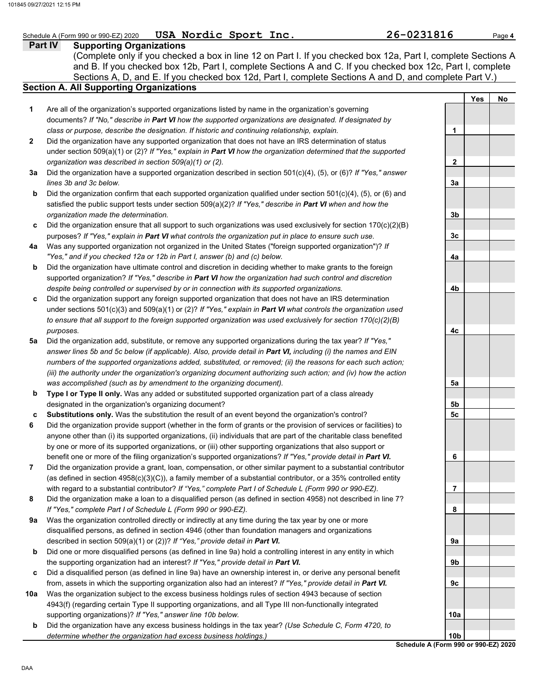### **Part IV Supporting Organizations** Sections A, D, and E. If you checked box 12d, Part I, complete Sections A and D, and complete Part V.) Schedule A (Form 990 or 990-EZ) 2020 Page **4 USA Nordic Sport Inc. 26-0231816 Section A. All Supporting Organizations** (Complete only if you checked a box in line 12 on Part I. If you checked box 12a, Part I, complete Sections A and B. If you checked box 12b, Part I, complete Sections A and C. If you checked box 12c, Part I, complete Are all of the organization's supported organizations listed by name in the organization's governing documents? *If "No," describe in Part VI how the supported organizations are designated. If designated by class or purpose, describe the designation. If historic and continuing relationship, explain.* Did the organization have any supported organization that does not have an IRS determination of status under section 509(a)(1) or (2)? *If "Yes," explain in Part VI how the organization determined that the supported organization was described in section 509(a)(1) or (2).* **1 2 3a** Did the organization have a supported organization described in section 501(c)(4), (5), or (6)? *If "Yes," answer* **b c** Did the organization ensure that all support to such organizations was used exclusively for section 170(c)(2)(B) **4a** Was any supported organization not organized in the United States ("foreign supported organization")? *If* **b c** Did the organization support any foreign supported organization that does not have an IRS determination **5a** Did the organization add, substitute, or remove any supported organizations during the tax year? *If "Yes,"* **b c 6 7 8 9a b c 10a b** *lines 3b and 3c below.* Did the organization confirm that each supported organization qualified under section  $501(c)(4)$ ,  $(5)$ , or  $(6)$  and satisfied the public support tests under section 509(a)(2)? *If "Yes," describe in Part VI when and how the organization made the determination.* purposes? *If "Yes," explain in Part VI what controls the organization put in place to ensure such use. "Yes," and if you checked 12a or 12b in Part I, answer (b) and (c) below.* Did the organization have ultimate control and discretion in deciding whether to make grants to the foreign supported organization? *If "Yes," describe in Part VI how the organization had such control and discretion despite being controlled or supervised by or in connection with its supported organizations.* under sections 501(c)(3) and 509(a)(1) or (2)? *If "Yes," explain in Part VI what controls the organization used to ensure that all support to the foreign supported organization was used exclusively for section 170(c)(2)(B) purposes. answer lines 5b and 5c below (if applicable). Also, provide detail in Part VI, including (i) the names and EIN numbers of the supported organizations added, substituted, or removed; (ii) the reasons for each such action; (iii) the authority under the organization's organizing document authorizing such action; and (iv) how the action was accomplished (such as by amendment to the organizing document).* **Type I or Type II only.** Was any added or substituted supported organization part of a class already designated in the organization's organizing document? **Substitutions only.** Was the substitution the result of an event beyond the organization's control? Did the organization provide support (whether in the form of grants or the provision of services or facilities) to anyone other than (i) its supported organizations, (ii) individuals that are part of the charitable class benefited by one or more of its supported organizations, or (iii) other supporting organizations that also support or benefit one or more of the filing organization's supported organizations? *If "Yes," provide detail in Part VI.* Did the organization provide a grant, loan, compensation, or other similar payment to a substantial contributor (as defined in section 4958(c)(3)(C)), a family member of a substantial contributor, or a 35% controlled entity with regard to a substantial contributor? *If "Yes," complete Part I of Schedule L (Form 990 or 990-EZ).* Did the organization make a loan to a disqualified person (as defined in section 4958) not described in line 7? *If "Yes," complete Part I of Schedule L (Form 990 or 990-EZ).* Was the organization controlled directly or indirectly at any time during the tax year by one or more disqualified persons, as defined in section 4946 (other than foundation managers and organizations described in section 509(a)(1) or (2))? *If "Yes," provide detail in Part VI.* Did one or more disqualified persons (as defined in line 9a) hold a controlling interest in any entity in which the supporting organization had an interest? *If "Yes," provide detail in Part VI.* Did a disqualified person (as defined in line 9a) have an ownership interest in, or derive any personal benefit from, assets in which the supporting organization also had an interest? *If "Yes," provide detail in Part VI.* Was the organization subject to the excess business holdings rules of section 4943 because of section 4943(f) (regarding certain Type II supporting organizations, and all Type III non-functionally integrated supporting organizations)? *If "Yes," answer line 10b below.* Did the organization have any excess business holdings in the tax year? *(Use Schedule C, Form 4720, to determine whether the organization had excess business holdings.)* **Yes No 1 2 3a 3b 3c 4a 4b 4c 5a 5b 5c 6 7 8 9a 9b 9c 10a 10b**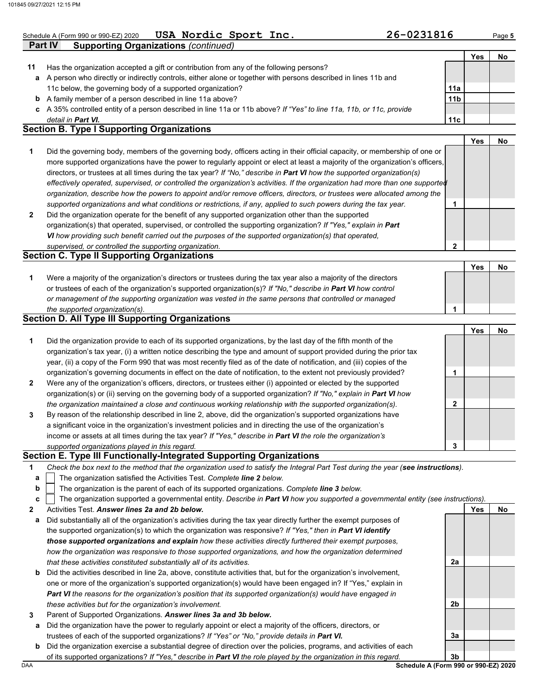| 26-0231816<br><b>USA</b><br>Nordic Sport<br>Inc.<br>Schedule A (Form 990 or 990-EZ) 2020<br>$P$ age 5 |
|-------------------------------------------------------------------------------------------------------|
|-------------------------------------------------------------------------------------------------------|

**2**

|  | ۰, |
|--|----|

|    |                                                                                                                            |                 | Yes | No |
|----|----------------------------------------------------------------------------------------------------------------------------|-----------------|-----|----|
| 11 | Has the organization accepted a gift or contribution from any of the following persons?                                    |                 |     |    |
| a  | A person who directly or indirectly controls, either alone or together with persons described in lines 11b and             |                 |     |    |
|    | 11c below, the governing body of a supported organization?                                                                 | 11a             |     |    |
| b  | A family member of a person described in line 11a above?                                                                   | 11 <sub>b</sub> |     |    |
| c  | A 35% controlled entity of a person described in line 11a or 11b above? If "Yes" to line 11a, 11b, or 11c, provide         |                 |     |    |
|    | detail in <b>Part VI.</b>                                                                                                  | 11c             |     |    |
|    | <b>Section B. Type I Supporting Organizations</b>                                                                          |                 |     |    |
|    |                                                                                                                            |                 | Yes | No |
|    | Did the governing body, members of the governing body, officers acting in their official capacity, or membership of one or |                 |     |    |

- **2** *supported organizations and what conditions or restrictions, if any, applied to such powers during the tax year. organization, describe how the powers to appoint and/or remove officers, directors, or trustees were allocated among the effectively operated, supervised, or controlled the organization's activities. If the organization had more than one supported* directors, or trustees at all times during the tax year? *If "No," describe in Part VI how the supported organization(s)* more supported organizations have the power to regularly appoint or elect at least a majority of the organization's officers, Did the organization operate for the benefit of any supported organization other than the supported **1**
- organization(s) that operated, supervised, or controlled the supporting organization? *If "Yes," explain in Part VI how providing such benefit carried out the purposes of the supported organization(s) that operated, supervised, or controlled the supporting organization.*

# **Section C. Type II Supporting Organizations**

**Part IV Supporting Organizations** *(continued)*

|                                                                                                                      | Yes |  |
|----------------------------------------------------------------------------------------------------------------------|-----|--|
| Were a majority of the organization's directors or trustees during the tax year also a majority of the directors     |     |  |
| or trustees of each of the organization's supported organization(s)? If "No," describe in <b>Part VI</b> how control |     |  |
| or management of the supporting organization was vested in the same persons that controlled or managed               |     |  |
| the supported organization(s).                                                                                       |     |  |

# **Section D. All Type III Supporting Organizations**

|                |                                                                                                                        |   | Yes | No |
|----------------|------------------------------------------------------------------------------------------------------------------------|---|-----|----|
| 1              | Did the organization provide to each of its supported organizations, by the last day of the fifth month of the         |   |     |    |
|                | organization's tax year, (i) a written notice describing the type and amount of support provided during the prior tax  |   |     |    |
|                | year, (ii) a copy of the Form 990 that was most recently filed as of the date of notification, and (iii) copies of the |   |     |    |
|                | organization's governing documents in effect on the date of notification, to the extent not previously provided?       |   |     |    |
| $\overline{2}$ | Were any of the organization's officers, directors, or trustees either (i) appointed or elected by the supported       |   |     |    |
|                | organization(s) or (ii) serving on the governing body of a supported organization? If "No," explain in Part VI how     |   |     |    |
|                | the organization maintained a close and continuous working relationship with the supported organization(s).            | າ |     |    |
| $\mathbf{3}$   | By reason of the relationship described in line 2, above, did the organization's supported organizations have          |   |     |    |
|                | a significant voice in the organization's investment policies and in directing the use of the organization's           |   |     |    |
|                | income or assets at all times during the tax year? If "Yes," describe in Part VI the role the organization's           |   |     |    |
|                | supported organizations played in this regard.                                                                         | 3 |     |    |

## **Section E. Type III Functionally-Integrated Supporting Organizations**

| Check the box next to the method that the organization used to satisfy the Integral Part Test during the year (see instructions). |  |  |
|-----------------------------------------------------------------------------------------------------------------------------------|--|--|

- The organization satisfied the Activities Test. *Complete line 2 below.* **a**
- The organization is the parent of each of its supported organizations. *Complete line 3 below.* **b**

|  |  | $c$   The organization supported a governmental entity. Describe in Part VI how you supported a governmental entity (see instructions). |  |
|--|--|-----------------------------------------------------------------------------------------------------------------------------------------|--|
|  |  |                                                                                                                                         |  |

**2** Activities Test. *Answer lines 2a and 2b below.*

- **a** Did substantially all of the organization's activities during the tax year directly further the exempt purposes of the supported organization(s) to which the organization was responsive? *If "Yes," then in Part VI identify those supported organizations and explain how these activities directly furthered their exempt purposes,*  how the organization was responsive to those supported organizations, and how the organization determined *that these activities constituted substantially all of its activities.*
- **b** Did the activities described in line 2a, above, constitute activities that, but for the organization's involvement, one or more of the organization's supported organization(s) would have been engaged in? If "Yes," explain in *Part VI the reasons for the organization's position that its supported organization(s) would have engaged in these activities but for the organization's involvement.*
- **3** Parent of Supported Organizations. *Answer lines 3a and 3b below.*
- **a** Did the organization have the power to regularly appoint or elect a majority of the officers, directors, or trustees of each of the supported organizations? *If "Yes" or "No," provide details in Part VI.*
- DAA **Schedule A (Form 990 or 990-EZ) 2020 b** Did the organization exercise a substantial degree of direction over the policies, programs, and activities of each of its supported organizations? *If "Yes," describe in Part VI the role played by the organization in this regard.*

**3b**

**2a**

**2b**

**3a**

**Yes No**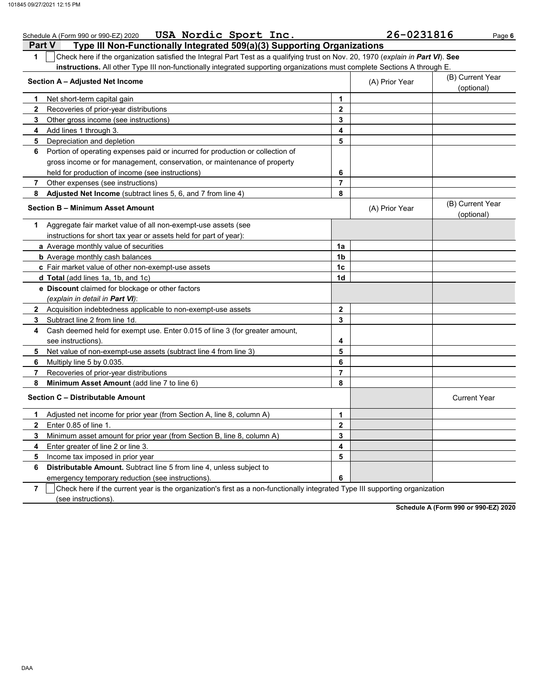| Schedule A (Form 990 or 990-EZ) 2020 USA Nordic Sport Inc.                                                                            |                     | 26-0231816     | Page 6                         |
|---------------------------------------------------------------------------------------------------------------------------------------|---------------------|----------------|--------------------------------|
| <b>Part V</b><br>Type III Non-Functionally Integrated 509(a)(3) Supporting Organizations                                              |                     |                |                                |
| Check here if the organization satisfied the Integral Part Test as a qualifying trust on Nov. 20, 1970 (explain in Part VI). See<br>1 |                     |                |                                |
| instructions. All other Type III non-functionally integrated supporting organizations must complete Sections A through E.             |                     |                |                                |
| Section A - Adjusted Net Income                                                                                                       |                     | (A) Prior Year | (B) Current Year<br>(optional) |
| 1<br>Net short-term capital gain                                                                                                      | $\mathbf{1}$        |                |                                |
| 2<br>Recoveries of prior-year distributions                                                                                           | $\mathbf{2}$        |                |                                |
| 3<br>Other gross income (see instructions)                                                                                            | 3                   |                |                                |
| 4<br>Add lines 1 through 3.                                                                                                           | 4                   |                |                                |
| 5<br>Depreciation and depletion                                                                                                       | 5                   |                |                                |
| Portion of operating expenses paid or incurred for production or collection of<br>6                                                   |                     |                |                                |
| gross income or for management, conservation, or maintenance of property                                                              |                     |                |                                |
| held for production of income (see instructions)                                                                                      | 6                   |                |                                |
| $\overline{7}$<br>Other expenses (see instructions)                                                                                   | $\overline{7}$      |                |                                |
| <b>Adjusted Net Income</b> (subtract lines 5, 6, and 7 from line 4)<br>8                                                              | 8                   |                |                                |
| <b>Section B - Minimum Asset Amount</b>                                                                                               |                     | (A) Prior Year | (B) Current Year<br>(optional) |
| Aggregate fair market value of all non-exempt-use assets (see<br>1                                                                    |                     |                |                                |
| instructions for short tax year or assets held for part of year):                                                                     |                     |                |                                |
| a Average monthly value of securities                                                                                                 | 1a                  |                |                                |
| <b>b</b> Average monthly cash balances                                                                                                | 1b                  |                |                                |
| c Fair market value of other non-exempt-use assets                                                                                    | 1c                  |                |                                |
| <b>d Total</b> (add lines 1a, 1b, and 1c)                                                                                             | 1d                  |                |                                |
| <b>e</b> Discount claimed for blockage or other factors                                                                               |                     |                |                                |
| (explain in detail in Part VI):                                                                                                       |                     |                |                                |
| 2 Acquisition indebtedness applicable to non-exempt-use assets                                                                        | $\mathbf{2}$        |                |                                |
| 3<br>Subtract line 2 from line 1d.                                                                                                    | 3                   |                |                                |
| Cash deemed held for exempt use. Enter 0.015 of line 3 (for greater amount,<br>4                                                      |                     |                |                                |
| see instructions).                                                                                                                    | 4                   |                |                                |
| 5<br>Net value of non-exempt-use assets (subtract line 4 from line 3)                                                                 | 5                   |                |                                |
| 6<br>Multiply line 5 by 0.035.                                                                                                        | 6                   |                |                                |
| $\overline{7}$<br>Recoveries of prior-year distributions                                                                              | $\overline{7}$      |                |                                |
| 8<br>Minimum Asset Amount (add line 7 to line 6)                                                                                      | 8                   |                |                                |
| Section C - Distributable Amount                                                                                                      | <b>Current Year</b> |                |                                |
| 1<br>Adjusted net income for prior year (from Section A, line 8, column A)                                                            | $\mathbf{1}$        |                |                                |
| $\mathbf{2}$<br>Enter 0.85 of line 1.                                                                                                 | $\mathbf{2}$        |                |                                |
| 3<br>Minimum asset amount for prior year (from Section B, line 8, column A)                                                           | 3                   |                |                                |
| 4<br>Enter greater of line 2 or line 3.                                                                                               | 4                   |                |                                |
| 5<br>Income tax imposed in prior year                                                                                                 | 5                   |                |                                |
| <b>Distributable Amount.</b> Subtract line 5 from line 4, unless subject to<br>6                                                      |                     |                |                                |
| emergency temporary reduction (see instructions).                                                                                     | 6                   |                |                                |

**7** emergency temporary reduction (see instructions). Check here if the current year is the organization's first as a non-functionally integrated Type III supporting organization

(see instructions).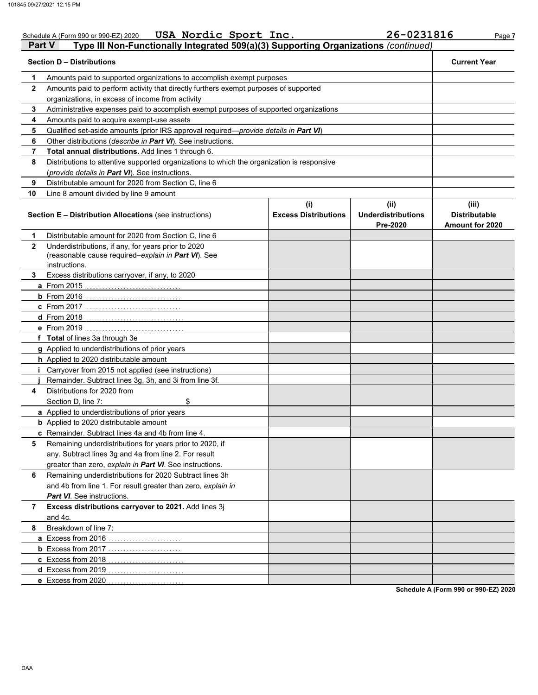| Part V         | USA Nordic Sport Inc.<br>Schedule A (Form 990 or 990-EZ) 2020<br>Type III Non-Functionally Integrated 509(a)(3) Supporting Organizations (continued) |                             | 26-0231816                            | Page 7                                  |  |  |  |
|----------------|------------------------------------------------------------------------------------------------------------------------------------------------------|-----------------------------|---------------------------------------|-----------------------------------------|--|--|--|
|                | <b>Section D - Distributions</b>                                                                                                                     |                             |                                       | <b>Current Year</b>                     |  |  |  |
| 1              | Amounts paid to supported organizations to accomplish exempt purposes                                                                                |                             |                                       |                                         |  |  |  |
| $\mathbf{2}$   | Amounts paid to perform activity that directly furthers exempt purposes of supported                                                                 |                             |                                       |                                         |  |  |  |
|                | organizations, in excess of income from activity                                                                                                     |                             |                                       |                                         |  |  |  |
| 3              | Administrative expenses paid to accomplish exempt purposes of supported organizations                                                                |                             |                                       |                                         |  |  |  |
| 4              | Amounts paid to acquire exempt-use assets                                                                                                            |                             |                                       |                                         |  |  |  |
| 5              | Qualified set-aside amounts (prior IRS approval required-provide details in Part VI)                                                                 |                             |                                       |                                         |  |  |  |
| 6              | Other distributions (describe in Part VI). See instructions.                                                                                         |                             |                                       |                                         |  |  |  |
| $\overline{7}$ | Total annual distributions. Add lines 1 through 6.                                                                                                   |                             |                                       |                                         |  |  |  |
| 8              | Distributions to attentive supported organizations to which the organization is responsive                                                           |                             |                                       |                                         |  |  |  |
|                | (provide details in Part VI). See instructions.                                                                                                      |                             |                                       |                                         |  |  |  |
| 9              | Distributable amount for 2020 from Section C, line 6                                                                                                 |                             |                                       |                                         |  |  |  |
| 10             | Line 8 amount divided by line 9 amount                                                                                                               |                             |                                       |                                         |  |  |  |
|                |                                                                                                                                                      | (i)                         | (ii)                                  | (iii)                                   |  |  |  |
|                | <b>Section E - Distribution Allocations (see instructions)</b>                                                                                       | <b>Excess Distributions</b> | <b>Underdistributions</b><br>Pre-2020 | <b>Distributable</b><br>Amount for 2020 |  |  |  |
| 1              | Distributable amount for 2020 from Section C, line 6                                                                                                 |                             |                                       |                                         |  |  |  |
| $\mathbf{2}$   | Underdistributions, if any, for years prior to 2020                                                                                                  |                             |                                       |                                         |  |  |  |
|                | (reasonable cause required-explain in Part VI). See                                                                                                  |                             |                                       |                                         |  |  |  |
|                | instructions.                                                                                                                                        |                             |                                       |                                         |  |  |  |
| 3              | Excess distributions carryover, if any, to 2020                                                                                                      |                             |                                       |                                         |  |  |  |
|                | <b>a</b> From 2015                                                                                                                                   |                             |                                       |                                         |  |  |  |
|                | <b>b</b> From 2016                                                                                                                                   |                             |                                       |                                         |  |  |  |
|                | c From 2017                                                                                                                                          |                             |                                       |                                         |  |  |  |
|                | <b>d</b> From 2018                                                                                                                                   |                             |                                       |                                         |  |  |  |
|                | e From 2019                                                                                                                                          |                             |                                       |                                         |  |  |  |
|                | f Total of lines 3a through 3e                                                                                                                       |                             |                                       |                                         |  |  |  |
|                | g Applied to underdistributions of prior years                                                                                                       |                             |                                       |                                         |  |  |  |
|                | h Applied to 2020 distributable amount                                                                                                               |                             |                                       |                                         |  |  |  |
|                | Carryover from 2015 not applied (see instructions)                                                                                                   |                             |                                       |                                         |  |  |  |
|                | Remainder. Subtract lines 3g, 3h, and 3i from line 3f.                                                                                               |                             |                                       |                                         |  |  |  |
| 4              | Distributions for 2020 from                                                                                                                          |                             |                                       |                                         |  |  |  |
|                | Section D, line 7:<br>\$                                                                                                                             |                             |                                       |                                         |  |  |  |
|                | a Applied to underdistributions of prior years                                                                                                       |                             |                                       |                                         |  |  |  |
|                | <b>b</b> Applied to 2020 distributable amount                                                                                                        |                             |                                       |                                         |  |  |  |
|                | c Remainder. Subtract lines 4a and 4b from line 4.                                                                                                   |                             |                                       |                                         |  |  |  |
| 5              | Remaining underdistributions for years prior to 2020, if                                                                                             |                             |                                       |                                         |  |  |  |
|                | any. Subtract lines 3g and 4a from line 2. For result                                                                                                |                             |                                       |                                         |  |  |  |
|                | greater than zero, explain in Part VI. See instructions.                                                                                             |                             |                                       |                                         |  |  |  |
| 6              | Remaining underdistributions for 2020 Subtract lines 3h                                                                                              |                             |                                       |                                         |  |  |  |
|                | and 4b from line 1. For result greater than zero, explain in                                                                                         |                             |                                       |                                         |  |  |  |
|                | <b>Part VI</b> . See instructions.                                                                                                                   |                             |                                       |                                         |  |  |  |
| $\mathbf{7}$   | Excess distributions carryover to 2021. Add lines 3j                                                                                                 |                             |                                       |                                         |  |  |  |
|                | and 4c.                                                                                                                                              |                             |                                       |                                         |  |  |  |
| 8              | Breakdown of line 7:                                                                                                                                 |                             |                                       |                                         |  |  |  |
|                | a Excess from 2016                                                                                                                                   |                             |                                       |                                         |  |  |  |
|                |                                                                                                                                                      |                             |                                       |                                         |  |  |  |
|                | c Excess from 2018                                                                                                                                   |                             |                                       |                                         |  |  |  |
|                | d Excess from 2019                                                                                                                                   |                             |                                       |                                         |  |  |  |
|                | e Excess from 2020                                                                                                                                   |                             |                                       |                                         |  |  |  |